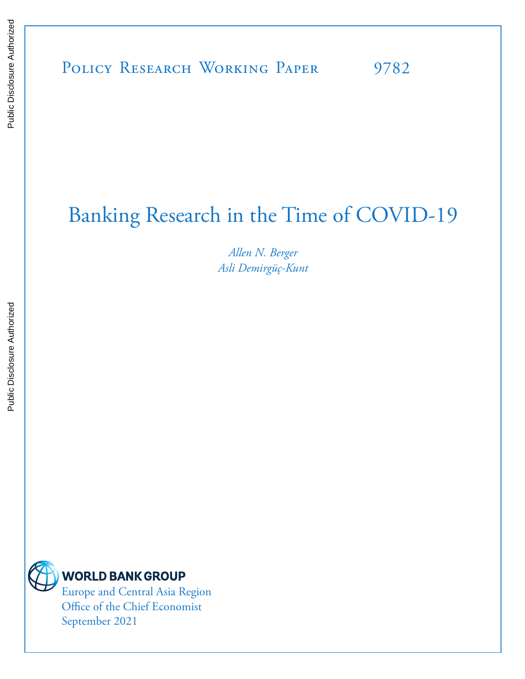# Banking Research in the Time of COVID-19

*Allen N. Berger Asli Demirgüç-Kunt*



# **WORLD BANK GROUP**

Europe and Central Asia Region Office of the Chief Economist September 2021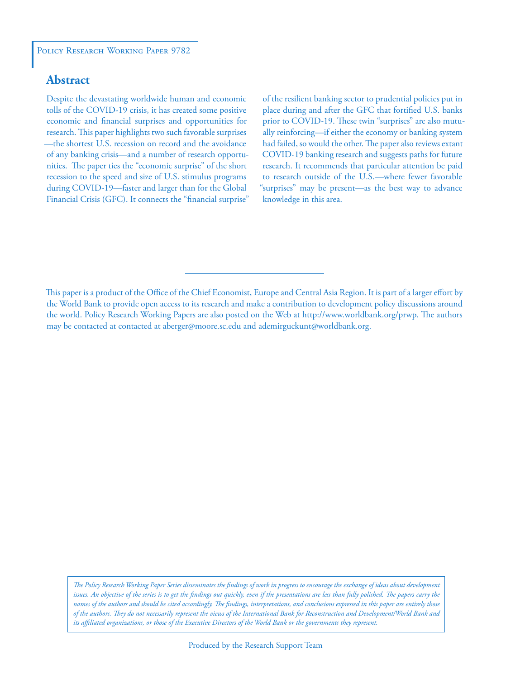### **Abstract**

Despite the devastating worldwide human and economic tolls of the COVID-19 crisis, it has created some positive economic and financial surprises and opportunities for research. This paper highlights two such favorable surprises —the shortest U.S. recession on record and the avoidance of any banking crisis—and a number of research opportunities. The paper ties the "economic surprise" of the short recession to the speed and size of U.S. stimulus programs during COVID-19—faster and larger than for the Global Financial Crisis (GFC). It connects the "financial surprise"

of the resilient banking sector to prudential policies put in place during and after the GFC that fortified U.S. banks prior to COVID-19. These twin "surprises" are also mutually reinforcing—if either the economy or banking system had failed, so would the other. The paper also reviews extant COVID-19 banking research and suggests paths for future research. It recommends that particular attention be paid to research outside of the U.S.—where fewer favorable "surprises" may be present—as the best way to advance knowledge in this area.

*The Policy Research Working Paper Series disseminates the findings of work in progress to encourage the exchange of ideas about development*  issues. An objective of the series is to get the findings out quickly, even if the presentations are less than fully polished. The papers carry the *names of the authors and should be cited accordingly. The findings, interpretations, and conclusions expressed in this paper are entirely those of the authors. They do not necessarily represent the views of the International Bank for Reconstruction and Development/World Bank and its affiliated organizations, or those of the Executive Directors of the World Bank or the governments they represent.*

This paper is a product of the Office of the Chief Economist, Europe and Central Asia Region. It is part of a larger effort by the World Bank to provide open access to its research and make a contribution to development policy discussions around the world. Policy Research Working Papers are also posted on the Web at http://www.worldbank.org/prwp. The authors may be contacted at contacted at aberger@moore.sc.edu and ademirguckunt@worldbank.org.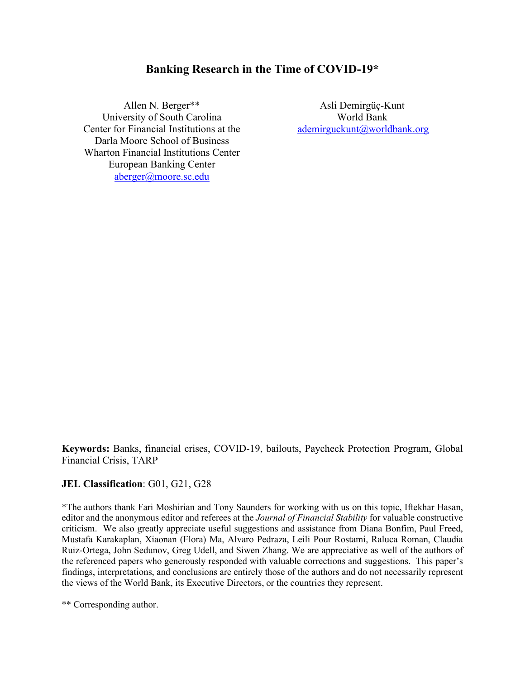### **Banking Research in the Time of COVID-19\***

Allen N. Berger\*\* University of South Carolina Center for Financial Institutions at the Darla Moore School of Business Wharton Financial Institutions Center European Banking Center [aberger@moore.sc.edu](about:blank)

Asli Demirgüç-Kunt World Bank [ademirguckunt@worldbank.org](mailto:%20ademirguckunt@worldbank.org)

**Keywords:** Banks, financial crises, COVID-19, bailouts, Paycheck Protection Program, Global Financial Crisis, TARP

#### **JEL Classification**: G01, G21, G28

\*The authors thank Fari Moshirian and Tony Saunders for working with us on this topic, Iftekhar Hasan, editor and the anonymous editor and referees at the *Journal of Financial Stability* for valuable constructive criticism. We also greatly appreciate useful suggestions and assistance from Diana Bonfim, Paul Freed, Mustafa Karakaplan, Xiaonan (Flora) Ma, Alvaro Pedraza, Leili Pour Rostami, Raluca Roman, Claudia Ruiz-Ortega, John Sedunov, Greg Udell, and Siwen Zhang. We are appreciative as well of the authors of the referenced papers who generously responded with valuable corrections and suggestions. This paper's findings, interpretations, and conclusions are entirely those of the authors and do not necessarily represent the views of the World Bank, its Executive Directors, or the countries they represent.

\*\* Corresponding author.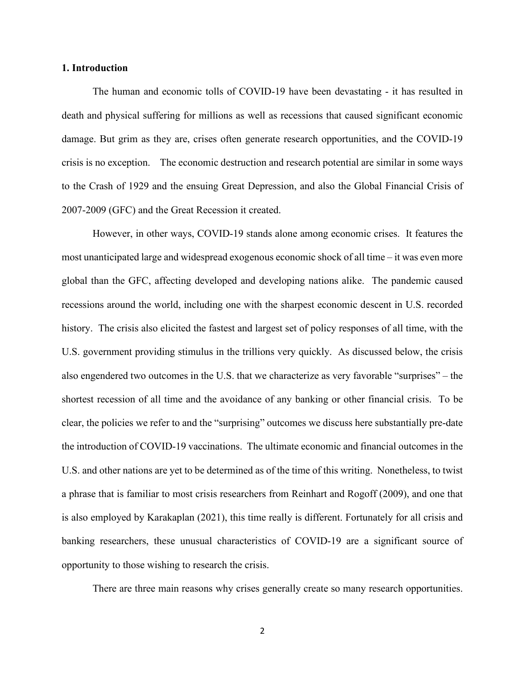#### **1. Introduction**

The human and economic tolls of COVID-19 have been devastating - it has resulted in death and physical suffering for millions as well as recessions that caused significant economic damage. But grim as they are, crises often generate research opportunities, and the COVID-19 crisis is no exception. The economic destruction and research potential are similar in some ways to the Crash of 1929 and the ensuing Great Depression, and also the Global Financial Crisis of 2007-2009 (GFC) and the Great Recession it created.

However, in other ways, COVID-19 stands alone among economic crises. It features the most unanticipated large and widespread exogenous economic shock of all time – it was even more global than the GFC, affecting developed and developing nations alike. The pandemic caused recessions around the world, including one with the sharpest economic descent in U.S. recorded history. The crisis also elicited the fastest and largest set of policy responses of all time, with the U.S. government providing stimulus in the trillions very quickly. As discussed below, the crisis also engendered two outcomes in the U.S. that we characterize as very favorable "surprises" – the shortest recession of all time and the avoidance of any banking or other financial crisis. To be clear, the policies we refer to and the "surprising" outcomes we discuss here substantially pre-date the introduction of COVID-19 vaccinations. The ultimate economic and financial outcomes in the U.S. and other nations are yet to be determined as of the time of this writing. Nonetheless, to twist a phrase that is familiar to most crisis researchers from Reinhart and Rogoff (2009), and one that is also employed by Karakaplan (2021), this time really is different. Fortunately for all crisis and banking researchers, these unusual characteristics of COVID-19 are a significant source of opportunity to those wishing to research the crisis.

There are three main reasons why crises generally create so many research opportunities.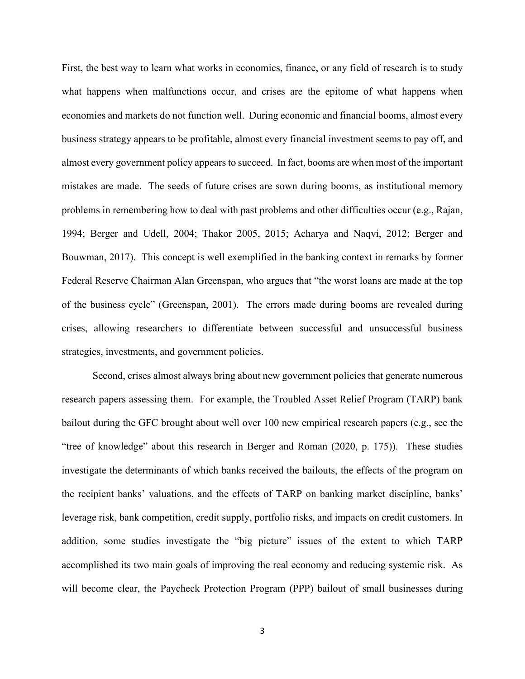First, the best way to learn what works in economics, finance, or any field of research is to study what happens when malfunctions occur, and crises are the epitome of what happens when economies and markets do not function well. During economic and financial booms, almost every business strategy appears to be profitable, almost every financial investment seems to pay off, and almost every government policy appears to succeed. In fact, booms are when most of the important mistakes are made. The seeds of future crises are sown during booms, as institutional memory problems in remembering how to deal with past problems and other difficulties occur (e.g., Rajan, 1994; Berger and Udell, 2004; Thakor 2005, 2015; Acharya and Naqvi, 2012; Berger and Bouwman, 2017). This concept is well exemplified in the banking context in remarks by former Federal Reserve Chairman Alan Greenspan, who argues that "the worst loans are made at the top of the business cycle" (Greenspan, 2001). The errors made during booms are revealed during crises, allowing researchers to differentiate between successful and unsuccessful business strategies, investments, and government policies.

Second, crises almost always bring about new government policies that generate numerous research papers assessing them. For example, the Troubled Asset Relief Program (TARP) bank bailout during the GFC brought about well over 100 new empirical research papers (e.g., see the "tree of knowledge" about this research in Berger and Roman (2020, p. 175)). These studies investigate the determinants of which banks received the bailouts, the effects of the program on the recipient banks' valuations, and the effects of TARP on banking market discipline, banks' leverage risk, bank competition, credit supply, portfolio risks, and impacts on credit customers. In addition, some studies investigate the "big picture" issues of the extent to which TARP accomplished its two main goals of improving the real economy and reducing systemic risk. As will become clear, the Paycheck Protection Program (PPP) bailout of small businesses during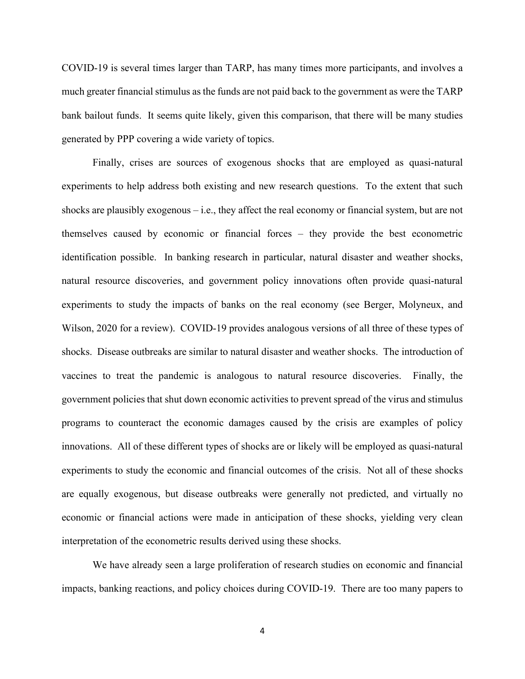COVID-19 is several times larger than TARP, has many times more participants, and involves a much greater financial stimulus as the funds are not paid back to the government as were the TARP bank bailout funds. It seems quite likely, given this comparison, that there will be many studies generated by PPP covering a wide variety of topics.

Finally, crises are sources of exogenous shocks that are employed as quasi-natural experiments to help address both existing and new research questions. To the extent that such shocks are plausibly exogenous – i.e., they affect the real economy or financial system, but are not themselves caused by economic or financial forces – they provide the best econometric identification possible. In banking research in particular, natural disaster and weather shocks, natural resource discoveries, and government policy innovations often provide quasi-natural experiments to study the impacts of banks on the real economy (see Berger, Molyneux, and Wilson, 2020 for a review). COVID-19 provides analogous versions of all three of these types of shocks. Disease outbreaks are similar to natural disaster and weather shocks. The introduction of vaccines to treat the pandemic is analogous to natural resource discoveries. Finally, the government policies that shut down economic activities to prevent spread of the virus and stimulus programs to counteract the economic damages caused by the crisis are examples of policy innovations. All of these different types of shocks are or likely will be employed as quasi-natural experiments to study the economic and financial outcomes of the crisis. Not all of these shocks are equally exogenous, but disease outbreaks were generally not predicted, and virtually no economic or financial actions were made in anticipation of these shocks, yielding very clean interpretation of the econometric results derived using these shocks.

We have already seen a large proliferation of research studies on economic and financial impacts, banking reactions, and policy choices during COVID-19. There are too many papers to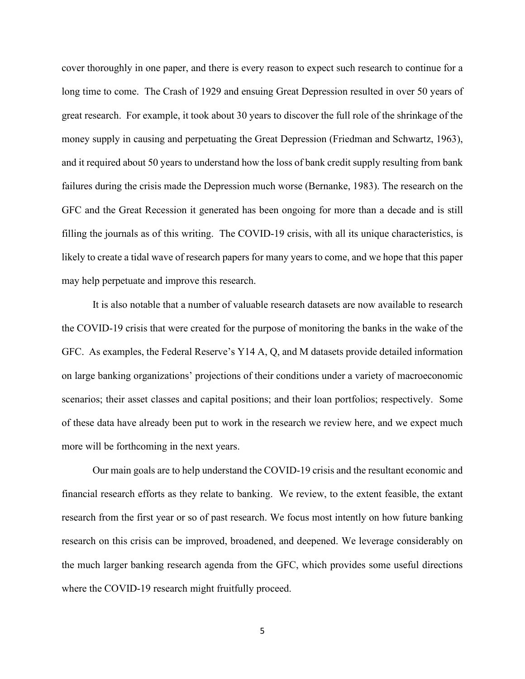cover thoroughly in one paper, and there is every reason to expect such research to continue for a long time to come. The Crash of 1929 and ensuing Great Depression resulted in over 50 years of great research. For example, it took about 30 years to discover the full role of the shrinkage of the money supply in causing and perpetuating the Great Depression (Friedman and Schwartz, 1963), and it required about 50 years to understand how the loss of bank credit supply resulting from bank failures during the crisis made the Depression much worse (Bernanke, 1983). The research on the GFC and the Great Recession it generated has been ongoing for more than a decade and is still filling the journals as of this writing. The COVID-19 crisis, with all its unique characteristics, is likely to create a tidal wave of research papers for many years to come, and we hope that this paper may help perpetuate and improve this research.

It is also notable that a number of valuable research datasets are now available to research the COVID-19 crisis that were created for the purpose of monitoring the banks in the wake of the GFC. As examples, the Federal Reserve's Y14 A, Q, and M datasets provide detailed information on large banking organizations' projections of their conditions under a variety of macroeconomic scenarios; their asset classes and capital positions; and their loan portfolios; respectively. Some of these data have already been put to work in the research we review here, and we expect much more will be forthcoming in the next years.

Our main goals are to help understand the COVID-19 crisis and the resultant economic and financial research efforts as they relate to banking. We review, to the extent feasible, the extant research from the first year or so of past research. We focus most intently on how future banking research on this crisis can be improved, broadened, and deepened. We leverage considerably on the much larger banking research agenda from the GFC, which provides some useful directions where the COVID-19 research might fruitfully proceed.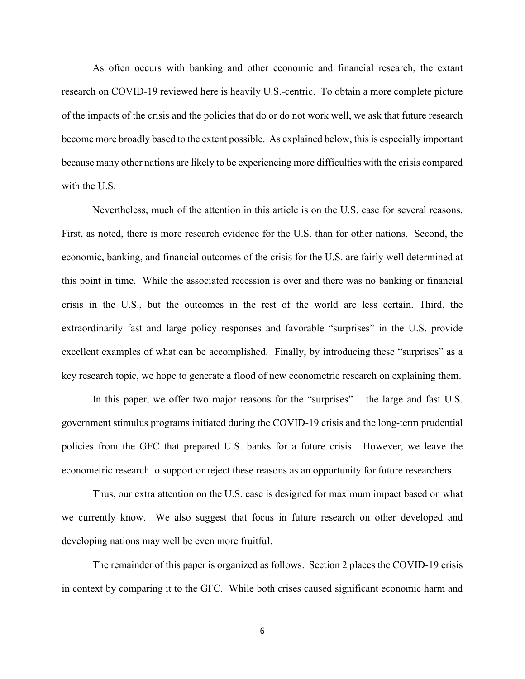As often occurs with banking and other economic and financial research, the extant research on COVID-19 reviewed here is heavily U.S.-centric. To obtain a more complete picture of the impacts of the crisis and the policies that do or do not work well, we ask that future research become more broadly based to the extent possible. As explained below, this is especially important because many other nations are likely to be experiencing more difficulties with the crisis compared with the U.S.

Nevertheless, much of the attention in this article is on the U.S. case for several reasons. First, as noted, there is more research evidence for the U.S. than for other nations. Second, the economic, banking, and financial outcomes of the crisis for the U.S. are fairly well determined at this point in time. While the associated recession is over and there was no banking or financial crisis in the U.S., but the outcomes in the rest of the world are less certain. Third, the extraordinarily fast and large policy responses and favorable "surprises" in the U.S. provide excellent examples of what can be accomplished. Finally, by introducing these "surprises" as a key research topic, we hope to generate a flood of new econometric research on explaining them.

In this paper, we offer two major reasons for the "surprises" – the large and fast U.S. government stimulus programs initiated during the COVID-19 crisis and the long-term prudential policies from the GFC that prepared U.S. banks for a future crisis. However, we leave the econometric research to support or reject these reasons as an opportunity for future researchers.

Thus, our extra attention on the U.S. case is designed for maximum impact based on what we currently know. We also suggest that focus in future research on other developed and developing nations may well be even more fruitful.

The remainder of this paper is organized as follows. Section 2 places the COVID-19 crisis in context by comparing it to the GFC. While both crises caused significant economic harm and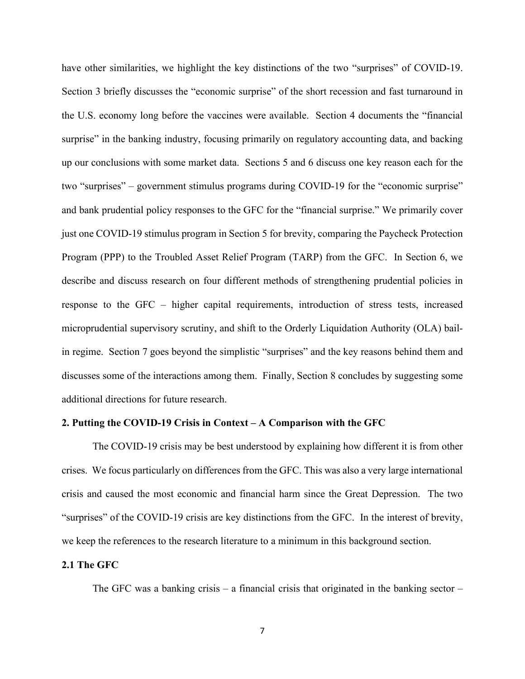have other similarities, we highlight the key distinctions of the two "surprises" of COVID-19. Section 3 briefly discusses the "economic surprise" of the short recession and fast turnaround in the U.S. economy long before the vaccines were available. Section 4 documents the "financial surprise" in the banking industry, focusing primarily on regulatory accounting data, and backing up our conclusions with some market data. Sections 5 and 6 discuss one key reason each for the two "surprises" – government stimulus programs during COVID-19 for the "economic surprise" and bank prudential policy responses to the GFC for the "financial surprise." We primarily cover just one COVID-19 stimulus program in Section 5 for brevity, comparing the Paycheck Protection Program (PPP) to the Troubled Asset Relief Program (TARP) from the GFC. In Section 6, we describe and discuss research on four different methods of strengthening prudential policies in response to the GFC – higher capital requirements, introduction of stress tests, increased microprudential supervisory scrutiny, and shift to the Orderly Liquidation Authority (OLA) bailin regime. Section 7 goes beyond the simplistic "surprises" and the key reasons behind them and discusses some of the interactions among them. Finally, Section 8 concludes by suggesting some additional directions for future research.

#### **2. Putting the COVID-19 Crisis in Context – A Comparison with the GFC**

The COVID-19 crisis may be best understood by explaining how different it is from other crises. We focus particularly on differences from the GFC. This was also a very large international crisis and caused the most economic and financial harm since the Great Depression. The two "surprises" of the COVID-19 crisis are key distinctions from the GFC. In the interest of brevity, we keep the references to the research literature to a minimum in this background section.

#### **2.1 The GFC**

The GFC was a banking crisis – a financial crisis that originated in the banking sector –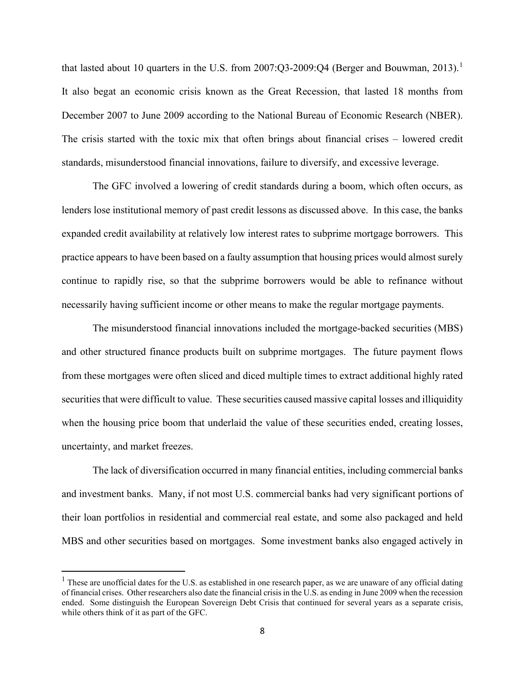that lasted about [1](#page-9-0)0 quarters in the U.S. from 2007:Q3-2009:Q4 (Berger and Bouwman, 2013).<sup>1</sup> It also begat an economic crisis known as the Great Recession, that lasted 18 months from December 2007 to June 2009 according to the National Bureau of Economic Research (NBER). The crisis started with the toxic mix that often brings about financial crises – lowered credit standards, misunderstood financial innovations, failure to diversify, and excessive leverage.

The GFC involved a lowering of credit standards during a boom, which often occurs, as lenders lose institutional memory of past credit lessons as discussed above. In this case, the banks expanded credit availability at relatively low interest rates to subprime mortgage borrowers. This practice appears to have been based on a faulty assumption that housing prices would almost surely continue to rapidly rise, so that the subprime borrowers would be able to refinance without necessarily having sufficient income or other means to make the regular mortgage payments.

The misunderstood financial innovations included the mortgage-backed securities (MBS) and other structured finance products built on subprime mortgages. The future payment flows from these mortgages were often sliced and diced multiple times to extract additional highly rated securities that were difficult to value. These securities caused massive capital losses and illiquidity when the housing price boom that underlaid the value of these securities ended, creating losses, uncertainty, and market freezes.

The lack of diversification occurred in many financial entities, including commercial banks and investment banks. Many, if not most U.S. commercial banks had very significant portions of their loan portfolios in residential and commercial real estate, and some also packaged and held MBS and other securities based on mortgages. Some investment banks also engaged actively in

<span id="page-9-0"></span> $<sup>1</sup>$  These are unofficial dates for the U.S. as established in one research paper, as we are unaware of any official dating</sup> of financial crises. Other researchers also date the financial crisis in the U.S. as ending in June 2009 when the recession ended. Some distinguish the European Sovereign Debt Crisis that continued for several years as a separate crisis, while others think of it as part of the GFC.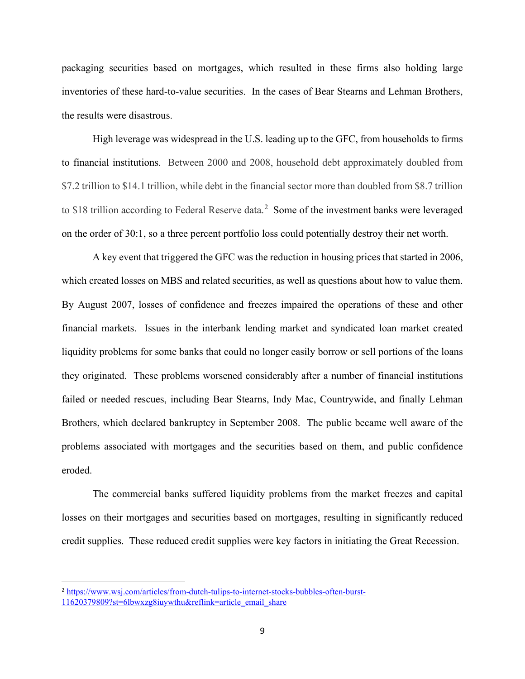packaging securities based on mortgages, which resulted in these firms also holding large inventories of these hard-to-value securities. In the cases of Bear Stearns and Lehman Brothers, the results were disastrous.

High leverage was widespread in the U.S. leading up to the GFC, from households to firms to financial institutions. Between 2000 and 2008, household debt approximately doubled from \$7.2 trillion to \$14.1 trillion, while debt in the financial sector more than doubled from \$8.7 trillion to \$18 trillion according to Federal Reserve data.<sup>[2](#page-10-0)</sup> Some of the investment banks were leveraged on the order of 30:1, so a three percent portfolio loss could potentially destroy their net worth.

A key event that triggered the GFC was the reduction in housing prices that started in 2006, which created losses on MBS and related securities, as well as questions about how to value them. By August 2007, losses of confidence and freezes impaired the operations of these and other financial markets. Issues in the interbank lending market and syndicated loan market created liquidity problems for some banks that could no longer easily borrow or sell portions of the loans they originated. These problems worsened considerably after a number of financial institutions failed or needed rescues, including Bear Stearns, Indy Mac, Countrywide, and finally Lehman Brothers, which declared bankruptcy in September 2008. The public became well aware of the problems associated with mortgages and the securities based on them, and public confidence eroded.

The commercial banks suffered liquidity problems from the market freezes and capital losses on their mortgages and securities based on mortgages, resulting in significantly reduced credit supplies. These reduced credit supplies were key factors in initiating the Great Recession.

<span id="page-10-0"></span><sup>&</sup>lt;sup>2</sup> [https://www.wsj.com/articles/from-dutch-tulips-to-internet-stocks-bubbles-often-burst-](https://www.wsj.com/articles/from-dutch-tulips-to-internet-stocks-bubbles-often-burst-11620379809?st=6lbwxzg8iuywthu&reflink=article_email_share)[11620379809?st=6lbwxzg8iuywthu&reflink=article\\_email\\_share](https://www.wsj.com/articles/from-dutch-tulips-to-internet-stocks-bubbles-often-burst-11620379809?st=6lbwxzg8iuywthu&reflink=article_email_share)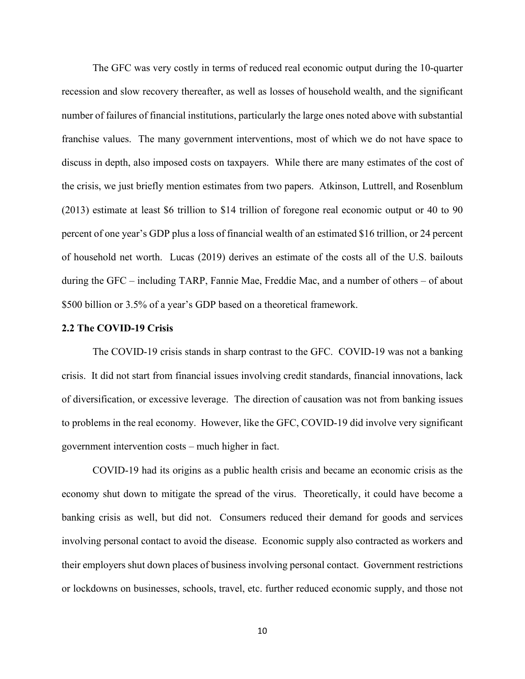The GFC was very costly in terms of reduced real economic output during the 10-quarter recession and slow recovery thereafter, as well as losses of household wealth, and the significant number of failures of financial institutions, particularly the large ones noted above with substantial franchise values. The many government interventions, most of which we do not have space to discuss in depth, also imposed costs on taxpayers. While there are many estimates of the cost of the crisis, we just briefly mention estimates from two papers. Atkinson, Luttrell, and Rosenblum (2013) estimate at least \$6 trillion to \$14 trillion of foregone real economic output or 40 to 90 percent of one year's GDP plus a loss of financial wealth of an estimated \$16 trillion, or 24 percent of household net worth. Lucas (2019) derives an estimate of the costs all of the U.S. bailouts during the GFC – including TARP, Fannie Mae, Freddie Mac, and a number of others – of about \$500 billion or 3.5% of a year's GDP based on a theoretical framework.

#### **2.2 The COVID-19 Crisis**

The COVID-19 crisis stands in sharp contrast to the GFC. COVID-19 was not a banking crisis. It did not start from financial issues involving credit standards, financial innovations, lack of diversification, or excessive leverage. The direction of causation was not from banking issues to problems in the real economy. However, like the GFC, COVID-19 did involve very significant government intervention costs – much higher in fact.

COVID-19 had its origins as a public health crisis and became an economic crisis as the economy shut down to mitigate the spread of the virus. Theoretically, it could have become a banking crisis as well, but did not. Consumers reduced their demand for goods and services involving personal contact to avoid the disease. Economic supply also contracted as workers and their employers shut down places of business involving personal contact. Government restrictions or lockdowns on businesses, schools, travel, etc. further reduced economic supply, and those not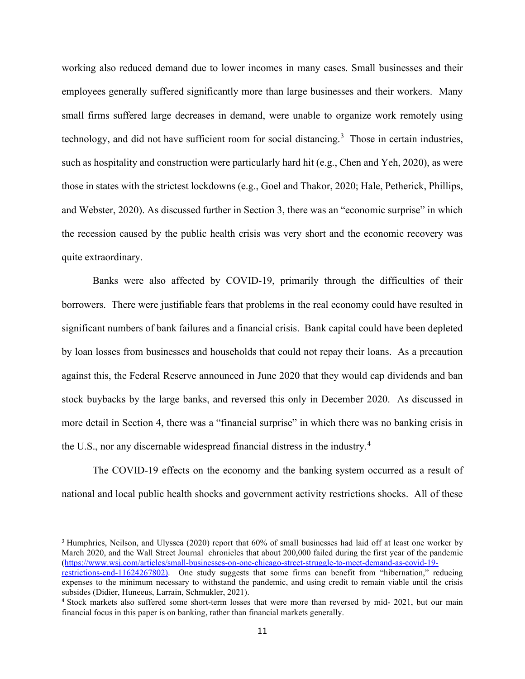working also reduced demand due to lower incomes in many cases. Small businesses and their employees generally suffered significantly more than large businesses and their workers. Many small firms suffered large decreases in demand, were unable to organize work remotely using technology, and did not have sufficient room for social distancing.<sup>[3](#page-12-0)</sup> Those in certain industries, such as hospitality and construction were particularly hard hit (e.g., Chen and Yeh, 2020), as were those in states with the strictest lockdowns (e.g., Goel and Thakor, 2020; Hale, Petherick, Phillips, and Webster, 2020). As discussed further in Section 3, there was an "economic surprise" in which the recession caused by the public health crisis was very short and the economic recovery was quite extraordinary.

Banks were also affected by COVID-19, primarily through the difficulties of their borrowers. There were justifiable fears that problems in the real economy could have resulted in significant numbers of bank failures and a financial crisis. Bank capital could have been depleted by loan losses from businesses and households that could not repay their loans. As a precaution against this, the Federal Reserve announced in June 2020 that they would cap dividends and ban stock buybacks by the large banks, and reversed this only in December 2020. As discussed in more detail in Section 4, there was a "financial surprise" in which there was no banking crisis in the U.S., nor any discernable widespread financial distress in the industry.<sup>[4](#page-12-1)</sup>

The COVID-19 effects on the economy and the banking system occurred as a result of national and local public health shocks and government activity restrictions shocks. All of these

<span id="page-12-0"></span><sup>3</sup> Humphries, Neilson, and Ulyssea (2020) report that 60% of small businesses had laid off at least one worker by March 2020, and the Wall Street Journal chronicles that about 200,000 failed during the first year of the pandemic [\(https://www.wsj.com/articles/small-businesses-on-one-chicago-street-struggle-to-meet-demand-as-covid-19-](https://www.wsj.com/articles/small-businesses-on-one-chicago-street-struggle-to-meet-demand-as-covid-19-restrictions-end-11624267802)

[restrictions-end-11624267802\)](https://www.wsj.com/articles/small-businesses-on-one-chicago-street-struggle-to-meet-demand-as-covid-19-restrictions-end-11624267802). One study suggests that some firms can benefit from "hibernation," reducing expenses to the minimum necessary to withstand the pandemic, and using credit to remain viable until the crisis subsides (Didier, Huneeus, Larrain, Schmukler, 2021).

<span id="page-12-1"></span><sup>&</sup>lt;sup>4</sup> Stock markets also suffered some short-term losses that were more than reversed by mid- 2021, but our main financial focus in this paper is on banking, rather than financial markets generally.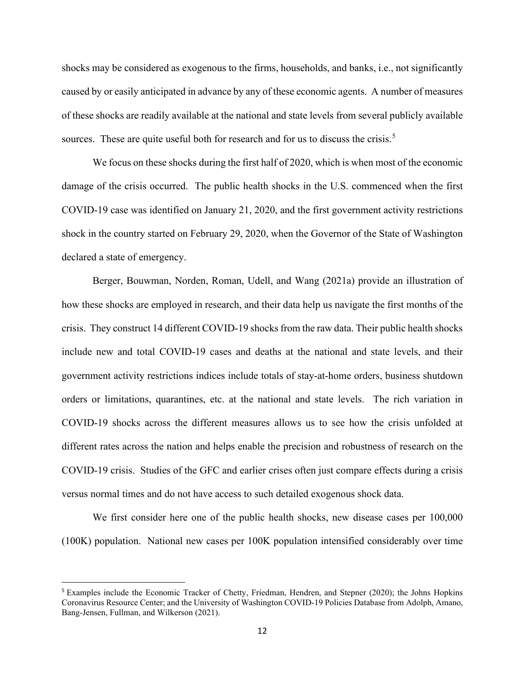shocks may be considered as exogenous to the firms, households, and banks, i.e., not significantly caused by or easily anticipated in advance by any of these economic agents. A number of measures of these shocks are readily available at the national and state levels from several publicly available sources. These are quite useful both for research and for us to discuss the crisis.<sup>[5](#page-13-0)</sup>

We focus on these shocks during the first half of 2020, which is when most of the economic damage of the crisis occurred. The public health shocks in the U.S. commenced when the first COVID-19 case was identified on January 21, 2020, and the first government activity restrictions shock in the country started on February 29, 2020, when the Governor of the State of Washington declared a state of emergency.

Berger, Bouwman, Norden, Roman, Udell, and Wang (2021a) provide an illustration of how these shocks are employed in research, and their data help us navigate the first months of the crisis. They construct 14 different COVID-19 shocksfrom the raw data. Their public health shocks include new and total COVID-19 cases and deaths at the national and state levels, and their government activity restrictions indices include totals of stay-at-home orders, business shutdown orders or limitations, quarantines, etc. at the national and state levels. The rich variation in COVID-19 shocks across the different measures allows us to see how the crisis unfolded at different rates across the nation and helps enable the precision and robustness of research on the COVID-19 crisis. Studies of the GFC and earlier crises often just compare effects during a crisis versus normal times and do not have access to such detailed exogenous shock data.

We first consider here one of the public health shocks, new disease cases per  $100,000$ (100K) population. National new cases per 100K population intensified considerably over time

<span id="page-13-0"></span><sup>5</sup> Examples include the Economic Tracker of Chetty, Friedman, Hendren, and Stepner (2020); the Johns Hopkins Coronavirus Resource Center; and the University of Washington COVID-19 Policies Database from Adolph, Amano, Bang-Jensen, Fullman, and Wilkerson (2021).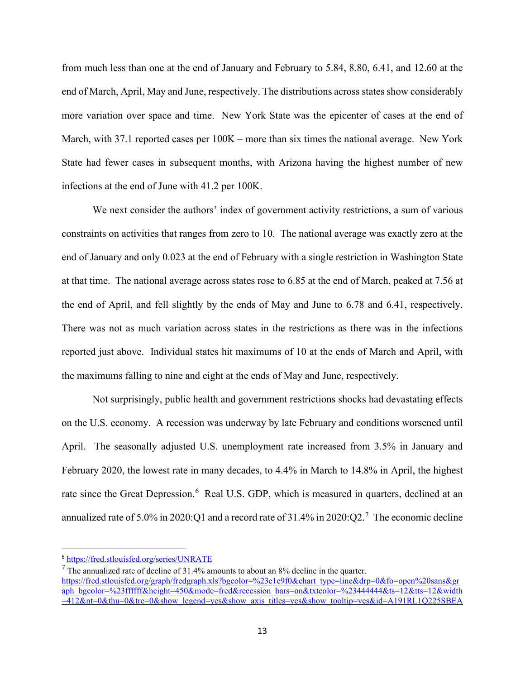from much less than one at the end of January and February to 5.84, 8.80, 6.41, and 12.60 at the end of March, April, May and June, respectively. The distributions across states show considerably more variation over space and time. New York State was the epicenter of cases at the end of March, with 37.1 reported cases per 100K – more than six times the national average. New York State had fewer cases in subsequent months, with Arizona having the highest number of new infections at the end of June with 41.2 per 100K.

We next consider the authors' index of government activity restrictions, a sum of various constraints on activities that ranges from zero to 10. The national average was exactly zero at the end of January and only 0.023 at the end of February with a single restriction in Washington State at that time. The national average across states rose to 6.85 at the end of March, peaked at 7.56 at the end of April, and fell slightly by the ends of May and June to 6.78 and 6.41, respectively. There was not as much variation across states in the restrictions as there was in the infections reported just above. Individual states hit maximums of 10 at the ends of March and April, with the maximums falling to nine and eight at the ends of May and June, respectively.

Not surprisingly, public health and government restrictions shocks had devastating effects on the U.S. economy. A recession was underway by late February and conditions worsened until April. The seasonally adjusted U.S. unemployment rate increased from 3.5% in January and February 2020, the lowest rate in many decades, to 4.4% in March to 14.8% in April, the highest rate since the Great Depression.<sup>[6](#page-14-0)</sup> Real U.S. GDP, which is measured in quarters, declined at an annualized rate of 5.0% in 2020:Q1 and a record rate of 31.4% in 2020:Q2.<sup>[7](#page-14-1)</sup> The economic decline

<span id="page-14-0"></span><sup>6</sup> <https://fred.stlouisfed.org/series/UNRATE>

<span id="page-14-1"></span> $<sup>7</sup>$  The annualized rate of decline of 31.4% amounts to about an 8% decline in the quarter.</sup> [https://fred.stlouisfed.org/graph/fredgraph.xls?bgcolor=%23e1e9f0&chart\\_type=line&drp=0&fo=open%20sans&gr](https://fred.stlouisfed.org/graph/fredgraph.xls?bgcolor=%23e1e9f0&chart_type=line&drp=0&fo=open%20sans&graph_bgcolor=%23ffffff&height=450&mode=fred&recession_bars=on&txtcolor=%23444444&ts=12&tts=12&width=412&nt=0&thu=0&trc=0&show_legend=yes&show_axis_titles=yes&show_tooltip=yes&id=A191RL1Q225SBEA&scale=left&cosd=1947-04-01&coed=2021-01-01&line_color=%234572a7&link_values=false&line_style=solid&mark_type=none&mw=3&lw=2&ost=-99999&oet=99999&mma=0&fml=a&fq=Quarterly&fam=avg&fgst=lin&fgsnd=2020-02-01&line_index=1&transformation=lin&vintage_date=2021-05-27&revision_date=2021-05-27&nd=1947-04-01) [aph\\_bgcolor=%23ffffff&height=450&mode=fred&recession\\_bars=on&txtcolor=%23444444&ts=12&tts=12&width](https://fred.stlouisfed.org/graph/fredgraph.xls?bgcolor=%23e1e9f0&chart_type=line&drp=0&fo=open%20sans&graph_bgcolor=%23ffffff&height=450&mode=fred&recession_bars=on&txtcolor=%23444444&ts=12&tts=12&width=412&nt=0&thu=0&trc=0&show_legend=yes&show_axis_titles=yes&show_tooltip=yes&id=A191RL1Q225SBEA&scale=left&cosd=1947-04-01&coed=2021-01-01&line_color=%234572a7&link_values=false&line_style=solid&mark_type=none&mw=3&lw=2&ost=-99999&oet=99999&mma=0&fml=a&fq=Quarterly&fam=avg&fgst=lin&fgsnd=2020-02-01&line_index=1&transformation=lin&vintage_date=2021-05-27&revision_date=2021-05-27&nd=1947-04-01) [=412&nt=0&thu=0&trc=0&show\\_legend=yes&show\\_axis\\_titles=yes&show\\_tooltip=yes&id=A191RL1Q225SBEA](https://fred.stlouisfed.org/graph/fredgraph.xls?bgcolor=%23e1e9f0&chart_type=line&drp=0&fo=open%20sans&graph_bgcolor=%23ffffff&height=450&mode=fred&recession_bars=on&txtcolor=%23444444&ts=12&tts=12&width=412&nt=0&thu=0&trc=0&show_legend=yes&show_axis_titles=yes&show_tooltip=yes&id=A191RL1Q225SBEA&scale=left&cosd=1947-04-01&coed=2021-01-01&line_color=%234572a7&link_values=false&line_style=solid&mark_type=none&mw=3&lw=2&ost=-99999&oet=99999&mma=0&fml=a&fq=Quarterly&fam=avg&fgst=lin&fgsnd=2020-02-01&line_index=1&transformation=lin&vintage_date=2021-05-27&revision_date=2021-05-27&nd=1947-04-01)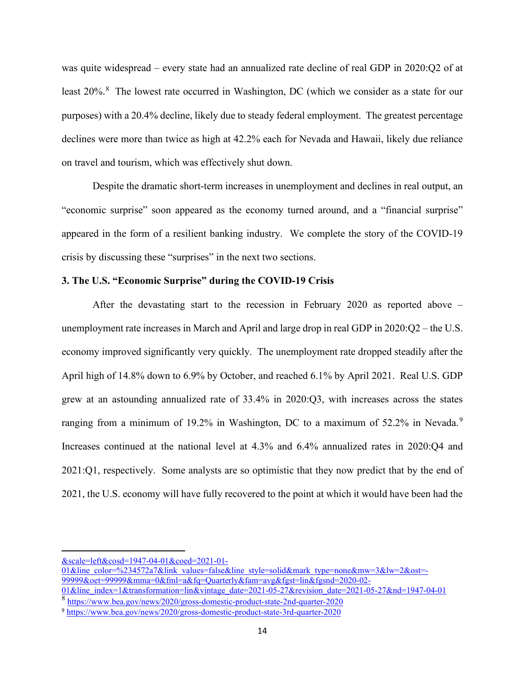was quite widespread – every state had an annualized rate decline of real GDP in 2020:Q2 of at least 20%.<sup>[8](#page-15-0)</sup> The lowest rate occurred in Washington, DC (which we consider as a state for our purposes) with a 20.4% decline, likely due to steady federal employment. The greatest percentage declines were more than twice as high at 42.2% each for Nevada and Hawaii, likely due reliance on travel and tourism, which was effectively shut down.

Despite the dramatic short-term increases in unemployment and declines in real output, an "economic surprise" soon appeared as the economy turned around, and a "financial surprise" appeared in the form of a resilient banking industry. We complete the story of the COVID-19 crisis by discussing these "surprises" in the next two sections.

#### **3. The U.S. "Economic Surprise" during the COVID-19 Crisis**

After the devastating start to the recession in February 2020 as reported above – unemployment rate increases in March and April and large drop in real GDP in 2020:Q2 – the U.S. economy improved significantly very quickly. The unemployment rate dropped steadily after the April high of 14.8% down to 6.9% by October, and reached 6.1% by April 2021. Real U.S. GDP grew at an astounding annualized rate of 33.4% in 2020:Q3, with increases across the states ranging from a minimum of 1[9](#page-15-1).2% in Washington, DC to a maximum of 52.2% in Nevada.<sup>9</sup> Increases continued at the national level at 4.3% and 6.4% annualized rates in 2020:Q4 and 2021:Q1, respectively. Some analysts are so optimistic that they now predict that by the end of 2021, the U.S. economy will have fully recovered to the point at which it would have been had the

[01&line\\_color=%234572a7&link\\_values=false&line\\_style=solid&mark\\_type=none&mw=3&lw=2&ost=-](https://fred.stlouisfed.org/graph/fredgraph.xls?bgcolor=%23e1e9f0&chart_type=line&drp=0&fo=open%20sans&graph_bgcolor=%23ffffff&height=450&mode=fred&recession_bars=on&txtcolor=%23444444&ts=12&tts=12&width=412&nt=0&thu=0&trc=0&show_legend=yes&show_axis_titles=yes&show_tooltip=yes&id=A191RL1Q225SBEA&scale=left&cosd=1947-04-01&coed=2021-01-01&line_color=%234572a7&link_values=false&line_style=solid&mark_type=none&mw=3&lw=2&ost=-99999&oet=99999&mma=0&fml=a&fq=Quarterly&fam=avg&fgst=lin&fgsnd=2020-02-01&line_index=1&transformation=lin&vintage_date=2021-05-27&revision_date=2021-05-27&nd=1947-04-01)  $999998\text{°o}$ et=99999&mma=0&fml=a&fq=Quarterly&fam=avg&fgst=lin&fgsnd=2020-02-

[<sup>&</sup>amp;scale=left&cosd=1947-04-01&coed=2021-01-](https://fred.stlouisfed.org/graph/fredgraph.xls?bgcolor=%23e1e9f0&chart_type=line&drp=0&fo=open%20sans&graph_bgcolor=%23ffffff&height=450&mode=fred&recession_bars=on&txtcolor=%23444444&ts=12&tts=12&width=412&nt=0&thu=0&trc=0&show_legend=yes&show_axis_titles=yes&show_tooltip=yes&id=A191RL1Q225SBEA&scale=left&cosd=1947-04-01&coed=2021-01-01&line_color=%234572a7&link_values=false&line_style=solid&mark_type=none&mw=3&lw=2&ost=-99999&oet=99999&mma=0&fml=a&fq=Quarterly&fam=avg&fgst=lin&fgsnd=2020-02-01&line_index=1&transformation=lin&vintage_date=2021-05-27&revision_date=2021-05-27&nd=1947-04-01)

[<sup>01&</sup>amp;line\\_index=1&transformation=lin&vintage\\_date=2021-05-27&revision\\_date=2021-05-27&nd=1947-04-01](https://fred.stlouisfed.org/graph/fredgraph.xls?bgcolor=%23e1e9f0&chart_type=line&drp=0&fo=open%20sans&graph_bgcolor=%23ffffff&height=450&mode=fred&recession_bars=on&txtcolor=%23444444&ts=12&tts=12&width=412&nt=0&thu=0&trc=0&show_legend=yes&show_axis_titles=yes&show_tooltip=yes&id=A191RL1Q225SBEA&scale=left&cosd=1947-04-01&coed=2021-01-01&line_color=%234572a7&link_values=false&line_style=solid&mark_type=none&mw=3&lw=2&ost=-99999&oet=99999&mma=0&fml=a&fq=Quarterly&fam=avg&fgst=lin&fgsnd=2020-02-01&line_index=1&transformation=lin&vintage_date=2021-05-27&revision_date=2021-05-27&nd=1947-04-01) <sup>8</sup> <https://www.bea.gov/news/2020/gross-domestic-product-state-2nd-quarter-2020>

<span id="page-15-0"></span>

<span id="page-15-1"></span><sup>9</sup> <https://www.bea.gov/news/2020/gross-domestic-product-state-3rd-quarter-2020>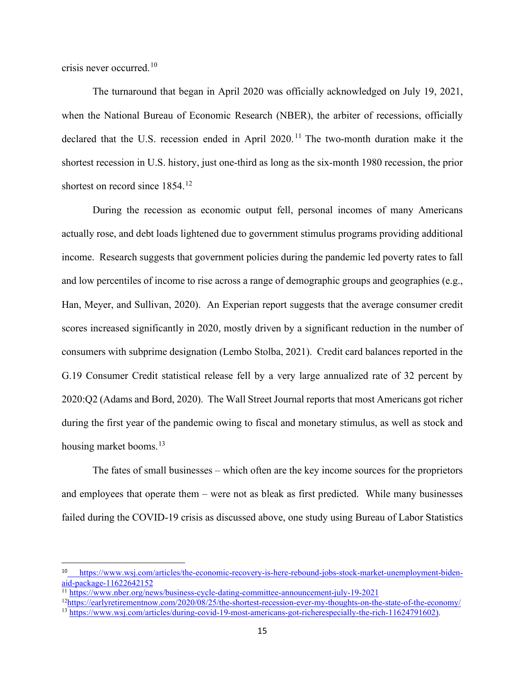crisis never occurred. [10](#page-16-0) 

The turnaround that began in April 2020 was officially acknowledged on July 19, 2021, when the National Bureau of Economic Research (NBER), the arbiter of recessions, officially declared that the U.S. recession ended in April 2020.<sup>[11](#page-16-1)</sup> The two-month duration make it the shortest recession in U.S. history, just one-third as long as the six-month 1980 recession, the prior shortest on record since 1854.<sup>[12](#page-16-2)</sup>

During the recession as economic output fell, personal incomes of many Americans actually rose, and debt loads lightened due to government stimulus programs providing additional income. Research suggests that government policies during the pandemic led poverty rates to fall and low percentiles of income to rise across a range of demographic groups and geographies (e.g., Han, Meyer, and Sullivan, 2020). An Experian report suggests that the average consumer credit scores increased significantly in 2020, mostly driven by a significant reduction in the number of consumers with subprime designation [\(Lembo Stolba,](https://www.experian.com/blogs/ask-experian/author/stefan-lembo-stolba/) 2021). Credit card balances reported in the G.19 Consumer Credit statistical release fell by a very large annualized rate of 32 percent by 2020:Q2 (Adams and Bord, 2020). The Wall Street Journal reports that most Americans got richer during the first year of the pandemic owing to fiscal and monetary stimulus, as well as stock and housing market booms.<sup>[13](#page-16-3)</sup>

The fates of small businesses – which often are the key income sources for the proprietors and employees that operate them – were not as bleak as first predicted. While many businesses failed during the COVID-19 crisis as discussed above, one study using Bureau of Labor Statistics

<span id="page-16-0"></span>[https://www.wsj.com/articles/the-economic-recovery-is-here-rebound-jobs-stock-market-unemployment-biden](https://www.wsj.com/articles/the-economic-recovery-is-here-rebound-jobs-stock-market-unemployment-biden-aid-package-11622642152)[aid-package-11622642152](https://www.wsj.com/articles/the-economic-recovery-is-here-rebound-jobs-stock-market-unemployment-biden-aid-package-11622642152)

<sup>&</sup>lt;sup>11</sup> <https://www.nber.org/news/business-cycle-dating-committee-announcement-july-19-2021>

<span id="page-16-2"></span><span id="page-16-1"></span><sup>1</sup>[2https://earlyretirementnow.com/2020/08/25/the-shortest-recession-ever-my-thoughts-on-the-state-of-the-economy/](https://earlyretirementnow.com/2020/08/25/the-shortest-recession-ever-my-thoughts-on-the-state-of-the-economy/)

<span id="page-16-3"></span><sup>&</sup>lt;sup>13</sup> [https://www.wsj.com/articles/during-covid-19-most-americans-got-richerespecially-the-rich-11624791602\)](https://www.wsj.com/articles/during-covid-19-most-americans-got-richerespecially-the-rich-11624791602).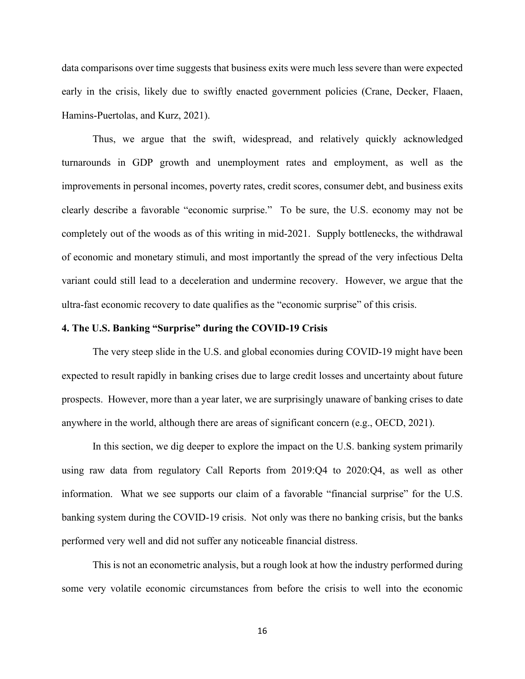data comparisons over time suggests that business exits were much less severe than were expected early in the crisis, likely due to swiftly enacted government policies (Crane, Decker, Flaaen, Hamins-Puertolas, and Kurz, 2021).

Thus, we argue that the swift, widespread, and relatively quickly acknowledged turnarounds in GDP growth and unemployment rates and employment, as well as the improvements in personal incomes, poverty rates, credit scores, consumer debt, and business exits clearly describe a favorable "economic surprise." To be sure, the U.S. economy may not be completely out of the woods as of this writing in mid-2021. Supply bottlenecks, the withdrawal of economic and monetary stimuli, and most importantly the spread of the very infectious Delta variant could still lead to a deceleration and undermine recovery. However, we argue that the ultra-fast economic recovery to date qualifies as the "economic surprise" of this crisis.

#### **4. The U.S. Banking "Surprise" during the COVID-19 Crisis**

The very steep slide in the U.S. and global economies during COVID-19 might have been expected to result rapidly in banking crises due to large credit losses and uncertainty about future prospects. However, more than a year later, we are surprisingly unaware of banking crises to date anywhere in the world, although there are areas of significant concern (e.g., OECD, 2021).

In this section, we dig deeper to explore the impact on the U.S. banking system primarily using raw data from regulatory Call Reports from 2019:Q4 to 2020:Q4, as well as other information. What we see supports our claim of a favorable "financial surprise" for the U.S. banking system during the COVID-19 crisis. Not only was there no banking crisis, but the banks performed very well and did not suffer any noticeable financial distress.

This is not an econometric analysis, but a rough look at how the industry performed during some very volatile economic circumstances from before the crisis to well into the economic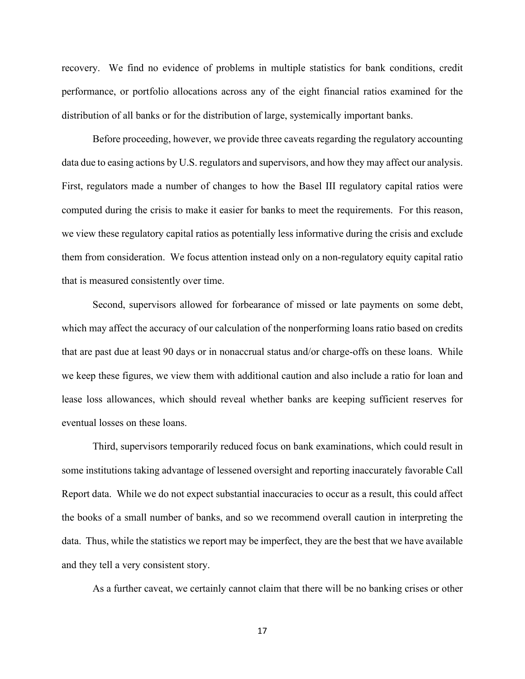recovery. We find no evidence of problems in multiple statistics for bank conditions, credit performance, or portfolio allocations across any of the eight financial ratios examined for the distribution of all banks or for the distribution of large, systemically important banks.

Before proceeding, however, we provide three caveats regarding the regulatory accounting data due to easing actions by U.S. regulators and supervisors, and how they may affect our analysis. First, regulators made a number of changes to how the Basel III regulatory capital ratios were computed during the crisis to make it easier for banks to meet the requirements. For this reason, we view these regulatory capital ratios as potentially less informative during the crisis and exclude them from consideration. We focus attention instead only on a non-regulatory equity capital ratio that is measured consistently over time.

Second, supervisors allowed for forbearance of missed or late payments on some debt, which may affect the accuracy of our calculation of the nonperforming loans ratio based on credits that are past due at least 90 days or in nonaccrual status and/or charge-offs on these loans. While we keep these figures, we view them with additional caution and also include a ratio for loan and lease loss allowances, which should reveal whether banks are keeping sufficient reserves for eventual losses on these loans.

Third, supervisors temporarily reduced focus on bank examinations, which could result in some institutions taking advantage of lessened oversight and reporting inaccurately favorable Call Report data. While we do not expect substantial inaccuracies to occur as a result, this could affect the books of a small number of banks, and so we recommend overall caution in interpreting the data. Thus, while the statistics we report may be imperfect, they are the best that we have available and they tell a very consistent story.

As a further caveat, we certainly cannot claim that there will be no banking crises or other

17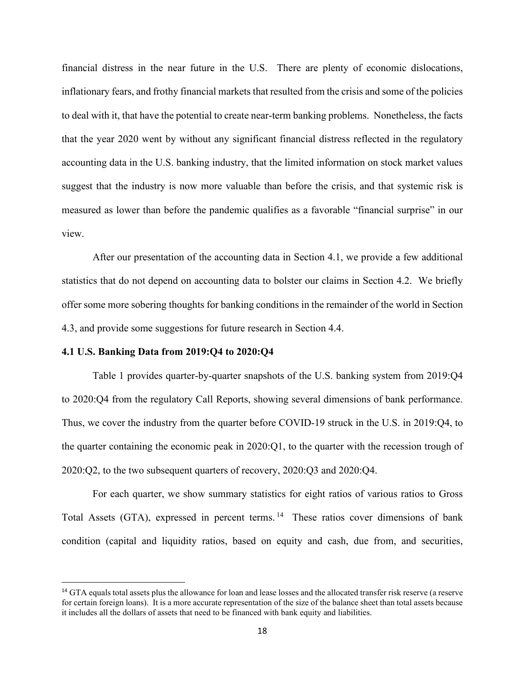financial distress in the near future in the U.S. There are plenty of economic dislocations, inflationary fears, and frothy financial markets that resulted from the crisis and some of the policies to deal with it, that have the potential to create near-term banking problems. Nonetheless, the facts that the year 2020 went by without any significant financial distress reflected in the regulatory accounting data in the U.S. banking industry, that the limited information on stock market values suggest that the industry is now more valuable than before the crisis, and that systemic risk is measured as lower than before the pandemic qualifies as a favorable "financial surprise" in our view.

After our presentation of the accounting data in Section 4.1, we provide a few additional statistics that do not depend on accounting data to bolster our claims in Section 4.2. We briefly offer some more sobering thoughts for banking conditions in the remainder of the world in Section 4.3, and provide some suggestions for future research in Section 4.4.

#### **4.1 U.S. Banking Data from 2019:Q4 to 2020:Q4**

Table 1 provides quarter-by-quarter snapshots of the U.S. banking system from 2019:Q4 to 2020:Q4 from the regulatory Call Reports, showing several dimensions of bank performance. Thus, we cover the industry from the quarter before COVID-19 struck in the U.S. in 2019:Q4, to the quarter containing the economic peak in 2020:Q1, to the quarter with the recession trough of 2020:Q2, to the two subsequent quarters of recovery, 2020:Q3 and 2020:Q4.

For each quarter, we show summary statistics for eight ratios of various ratios to Gross Total Assets (GTA), expressed in percent terms.<sup>[14](#page-19-0)</sup> These ratios cover dimensions of bank condition (capital and liquidity ratios, based on equity and cash, due from, and securities,

<span id="page-19-0"></span><sup>&</sup>lt;sup>14</sup> GTA equals total assets plus the allowance for loan and lease losses and the allocated transfer risk reserve (a reserve for certain foreign loans). It is a more accurate representation of the size of the balance sheet than total assets because it includes all the dollars of assets that need to be financed with bank equity and liabilities.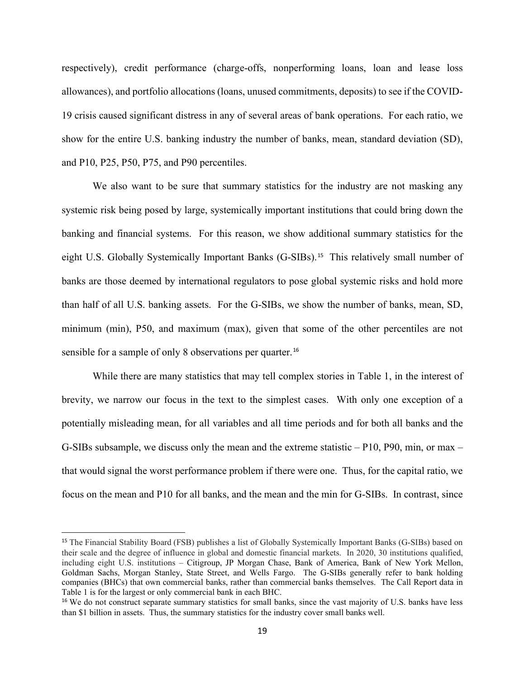respectively), credit performance (charge-offs, nonperforming loans, loan and lease loss allowances), and portfolio allocations (loans, unused commitments, deposits) to see if the COVID-19 crisis caused significant distress in any of several areas of bank operations. For each ratio, we show for the entire U.S. banking industry the number of banks, mean, standard deviation (SD), and P10, P25, P50, P75, and P90 percentiles.

We also want to be sure that summary statistics for the industry are not masking any systemic risk being posed by large, systemically important institutions that could bring down the banking and financial systems. For this reason, we show additional summary statistics for the eight U.S. Globally Systemically Important Banks (G-SIBs).<sup>[15](#page-20-0)</sup> This relatively small number of banks are those deemed by international regulators to pose global systemic risks and hold more than half of all U.S. banking assets. For the G-SIBs, we show the number of banks, mean, SD, minimum (min), P50, and maximum (max), given that some of the other percentiles are not sensible for a sample of only 8 observations per quarter.<sup>[16](#page-20-1)</sup>

While there are many statistics that may tell complex stories in Table 1, in the interest of brevity, we narrow our focus in the text to the simplest cases. With only one exception of a potentially misleading mean, for all variables and all time periods and for both all banks and the G-SIBs subsample, we discuss only the mean and the extreme statistic – P10, P90, min, or max – that would signal the worst performance problem if there were one. Thus, for the capital ratio, we focus on the mean and P10 for all banks, and the mean and the min for G-SIBs. In contrast, since

<span id="page-20-0"></span><sup>&</sup>lt;sup>15</sup> The [Financial Stability Board](https://en.wikipedia.org/wiki/Financial_Stability_Board) (FSB) publishes a list of Globally Systemically Important Banks (G-SIBs) based on their scale and the degree of influence in global and domestic financial markets. In 2020, 30 institutions qualified, including eight U.S. institutions – Citigroup, JP Morgan Chase, Bank of America, Bank of New York Mellon, Goldman Sachs, Morgan Stanley, State Street, and Wells Fargo. The G-SIBs generally refer to bank holding companies (BHCs) that own commercial banks, rather than commercial banks themselves. The Call Report data in Table 1 is for the largest or only commercial bank in each BHC.

<span id="page-20-1"></span><sup>&</sup>lt;sup>16</sup> We do not construct separate summary statistics for small banks, since the vast majority of U.S. banks have less than \$1 billion in assets. Thus, the summary statistics for the industry cover small banks well.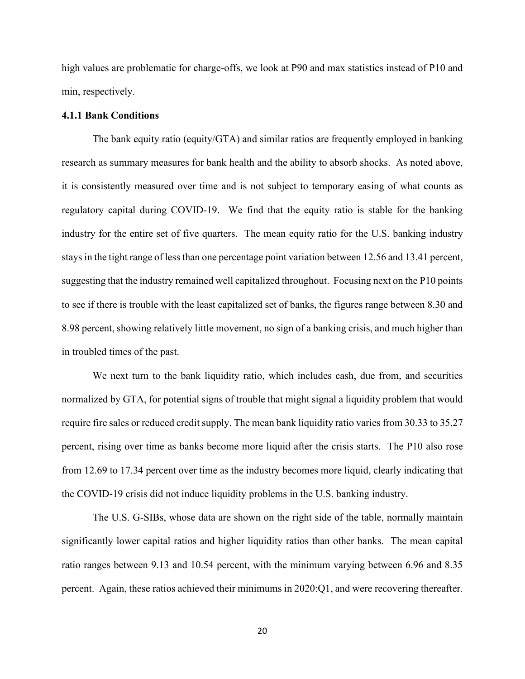high values are problematic for charge-offs, we look at P90 and max statistics instead of P10 and min, respectively.

#### **4.1.1 Bank Conditions**

The bank equity ratio (equity/GTA) and similar ratios are frequently employed in banking research as summary measures for bank health and the ability to absorb shocks. As noted above, it is consistently measured over time and is not subject to temporary easing of what counts as regulatory capital during COVID-19. We find that the equity ratio is stable for the banking industry for the entire set of five quarters. The mean equity ratio for the U.S. banking industry stays in the tight range of less than one percentage point variation between 12.56 and 13.41 percent, suggesting that the industry remained well capitalized throughout. Focusing next on the P10 points to see if there is trouble with the least capitalized set of banks, the figures range between 8.30 and 8.98 percent, showing relatively little movement, no sign of a banking crisis, and much higher than in troubled times of the past.

We next turn to the bank liquidity ratio, which includes cash, due from, and securities normalized by GTA, for potential signs of trouble that might signal a liquidity problem that would require fire sales or reduced credit supply. The mean bank liquidity ratio varies from 30.33 to 35.27 percent, rising over time as banks become more liquid after the crisis starts. The P10 also rose from 12.69 to 17.34 percent over time as the industry becomes more liquid, clearly indicating that the COVID-19 crisis did not induce liquidity problems in the U.S. banking industry.

The U.S. G-SIBs, whose data are shown on the right side of the table, normally maintain significantly lower capital ratios and higher liquidity ratios than other banks. The mean capital ratio ranges between 9.13 and 10.54 percent, with the minimum varying between 6.96 and 8.35 percent. Again, these ratios achieved their minimums in 2020:Q1, and were recovering thereafter.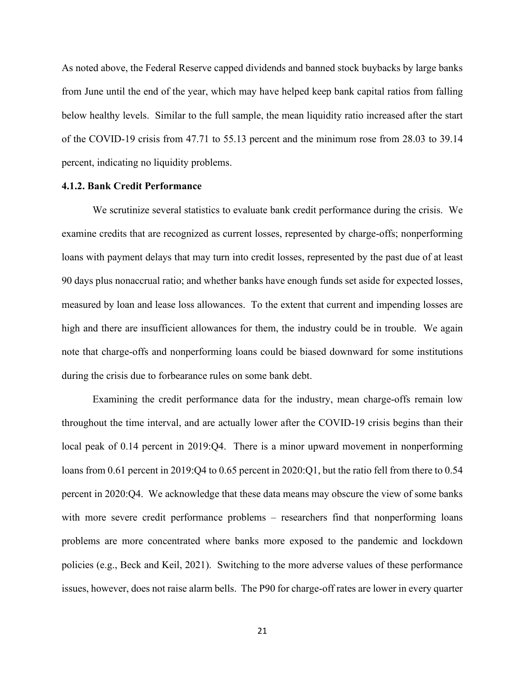As noted above, the Federal Reserve capped dividends and banned stock buybacks by large banks from June until the end of the year, which may have helped keep bank capital ratios from falling below healthy levels. Similar to the full sample, the mean liquidity ratio increased after the start of the COVID-19 crisis from 47.71 to 55.13 percent and the minimum rose from 28.03 to 39.14 percent, indicating no liquidity problems.

#### **4.1.2. Bank Credit Performance**

We scrutinize several statistics to evaluate bank credit performance during the crisis. We examine credits that are recognized as current losses, represented by charge-offs; nonperforming loans with payment delays that may turn into credit losses, represented by the past due of at least 90 days plus nonaccrual ratio; and whether banks have enough funds set aside for expected losses, measured by loan and lease loss allowances. To the extent that current and impending losses are high and there are insufficient allowances for them, the industry could be in trouble. We again note that charge-offs and nonperforming loans could be biased downward for some institutions during the crisis due to forbearance rules on some bank debt.

Examining the credit performance data for the industry, mean charge-offs remain low throughout the time interval, and are actually lower after the COVID-19 crisis begins than their local peak of 0.14 percent in 2019:Q4. There is a minor upward movement in nonperforming loans from 0.61 percent in 2019:Q4 to 0.65 percent in 2020:Q1, but the ratio fell from there to 0.54 percent in 2020:Q4. We acknowledge that these data means may obscure the view of some banks with more severe credit performance problems – researchers find that nonperforming loans problems are more concentrated where banks more exposed to the pandemic and lockdown policies (e.g., Beck and Keil, 2021). Switching to the more adverse values of these performance issues, however, does not raise alarm bells. The P90 for charge-off rates are lower in every quarter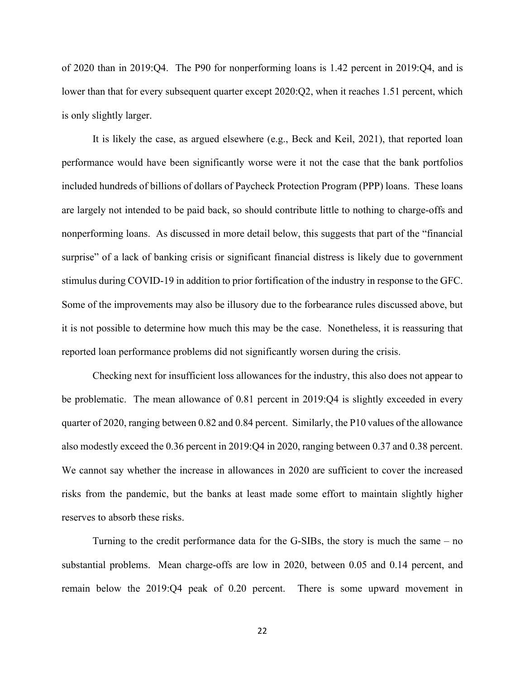of 2020 than in 2019:Q4. The P90 for nonperforming loans is 1.42 percent in 2019:Q4, and is lower than that for every subsequent quarter except 2020:Q2, when it reaches 1.51 percent, which is only slightly larger.

It is likely the case, as argued elsewhere (e.g., Beck and Keil, 2021), that reported loan performance would have been significantly worse were it not the case that the bank portfolios included hundreds of billions of dollars of Paycheck Protection Program (PPP) loans. These loans are largely not intended to be paid back, so should contribute little to nothing to charge-offs and nonperforming loans. As discussed in more detail below, this suggests that part of the "financial surprise" of a lack of banking crisis or significant financial distress is likely due to government stimulus during COVID-19 in addition to prior fortification of the industry in response to the GFC. Some of the improvements may also be illusory due to the forbearance rules discussed above, but it is not possible to determine how much this may be the case. Nonetheless, it is reassuring that reported loan performance problems did not significantly worsen during the crisis.

Checking next for insufficient loss allowances for the industry, this also does not appear to be problematic. The mean allowance of 0.81 percent in 2019:Q4 is slightly exceeded in every quarter of 2020, ranging between 0.82 and 0.84 percent. Similarly, the P10 values of the allowance also modestly exceed the 0.36 percent in 2019:Q4 in 2020, ranging between 0.37 and 0.38 percent. We cannot say whether the increase in allowances in 2020 are sufficient to cover the increased risks from the pandemic, but the banks at least made some effort to maintain slightly higher reserves to absorb these risks.

Turning to the credit performance data for the G-SIBs, the story is much the same – no substantial problems. Mean charge-offs are low in 2020, between 0.05 and 0.14 percent, and remain below the 2019:Q4 peak of 0.20 percent. There is some upward movement in

22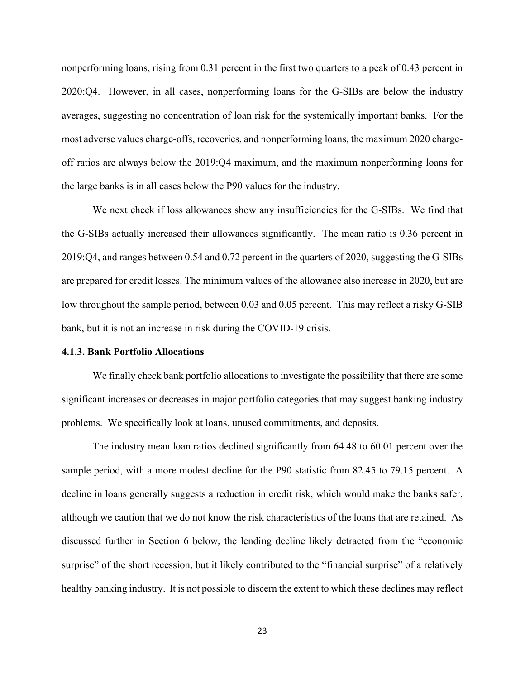nonperforming loans, rising from 0.31 percent in the first two quarters to a peak of 0.43 percent in 2020:Q4. However, in all cases, nonperforming loans for the G-SIBs are below the industry averages, suggesting no concentration of loan risk for the systemically important banks. For the most adverse values charge-offs, recoveries, and nonperforming loans, the maximum 2020 chargeoff ratios are always below the 2019:Q4 maximum, and the maximum nonperforming loans for the large banks is in all cases below the P90 values for the industry.

We next check if loss allowances show any insufficiencies for the G-SIBs. We find that the G-SIBs actually increased their allowances significantly. The mean ratio is 0.36 percent in 2019:Q4, and ranges between 0.54 and 0.72 percent in the quarters of 2020, suggesting the G-SIBs are prepared for credit losses. The minimum values of the allowance also increase in 2020, but are low throughout the sample period, between 0.03 and 0.05 percent. This may reflect a risky G-SIB bank, but it is not an increase in risk during the COVID-19 crisis.

#### **4.1.3. Bank Portfolio Allocations**

We finally check bank portfolio allocations to investigate the possibility that there are some significant increases or decreases in major portfolio categories that may suggest banking industry problems. We specifically look at loans, unused commitments, and deposits.

The industry mean loan ratios declined significantly from 64.48 to 60.01 percent over the sample period, with a more modest decline for the P90 statistic from 82.45 to 79.15 percent. A decline in loans generally suggests a reduction in credit risk, which would make the banks safer, although we caution that we do not know the risk characteristics of the loans that are retained. As discussed further in Section 6 below, the lending decline likely detracted from the "economic surprise" of the short recession, but it likely contributed to the "financial surprise" of a relatively healthy banking industry. It is not possible to discern the extent to which these declines may reflect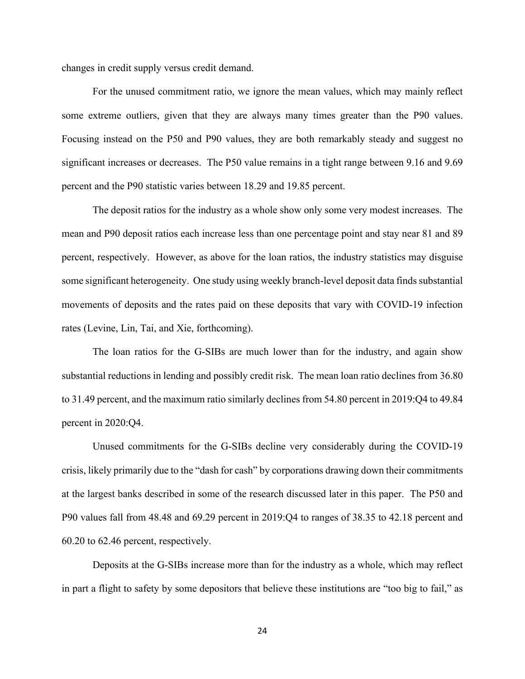changes in credit supply versus credit demand.

For the unused commitment ratio, we ignore the mean values, which may mainly reflect some extreme outliers, given that they are always many times greater than the P90 values. Focusing instead on the P50 and P90 values, they are both remarkably steady and suggest no significant increases or decreases. The P50 value remains in a tight range between 9.16 and 9.69 percent and the P90 statistic varies between 18.29 and 19.85 percent.

The deposit ratios for the industry as a whole show only some very modest increases. The mean and P90 deposit ratios each increase less than one percentage point and stay near 81 and 89 percent, respectively. However, as above for the loan ratios, the industry statistics may disguise some significant heterogeneity. One study using weekly branch-level deposit data finds substantial movements of deposits and the rates paid on these deposits that vary with COVID-19 infection rates (Levine, Lin, Tai, and Xie, forthcoming).

The loan ratios for the G-SIBs are much lower than for the industry, and again show substantial reductions in lending and possibly credit risk. The mean loan ratio declines from 36.80 to 31.49 percent, and the maximum ratio similarly declines from 54.80 percent in 2019:Q4 to 49.84 percent in 2020:Q4.

Unused commitments for the G-SIBs decline very considerably during the COVID-19 crisis, likely primarily due to the "dash for cash" by corporations drawing down their commitments at the largest banks described in some of the research discussed later in this paper. The P50 and P90 values fall from 48.48 and 69.29 percent in 2019:Q4 to ranges of 38.35 to 42.18 percent and 60.20 to 62.46 percent, respectively.

Deposits at the G-SIBs increase more than for the industry as a whole, which may reflect in part a flight to safety by some depositors that believe these institutions are "too big to fail," as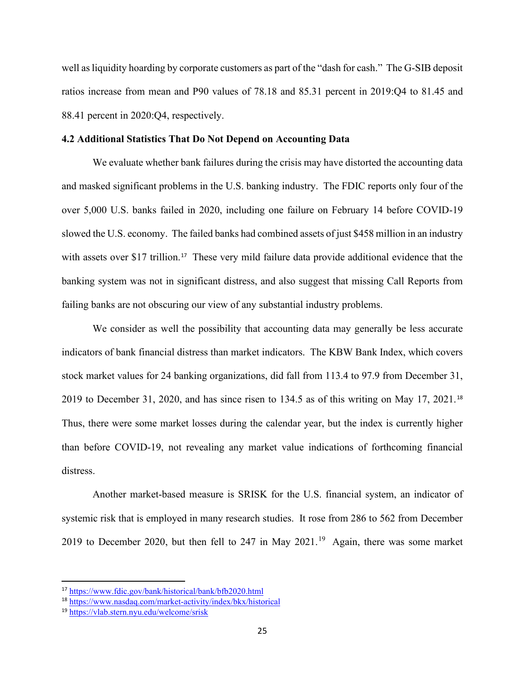well as liquidity hoarding by corporate customers as part of the "dash for cash." The G-SIB deposit ratios increase from mean and P90 values of 78.18 and 85.31 percent in 2019:Q4 to 81.45 and 88.41 percent in 2020:Q4, respectively.

#### **4.2 Additional Statistics That Do Not Depend on Accounting Data**

We evaluate whether bank failures during the crisis may have distorted the accounting data and masked significant problems in the U.S. banking industry. The FDIC reports only four of the over 5,000 U.S. banks failed in 2020, including one failure on February 14 before COVID-19 slowed the U.S. economy. The failed banks had combined assets of just \$458 million in an industry with assets over \$[17](#page-26-0) trillion.<sup>17</sup> These very mild failure data provide additional evidence that the banking system was not in significant distress, and also suggest that missing Call Reports from failing banks are not obscuring our view of any substantial industry problems.

We consider as well the possibility that accounting data may generally be less accurate indicators of bank financial distress than market indicators. The KBW Bank Index, which covers stock market values for 24 banking organizations, did fall from 113.4 to 97.9 from December 31, 2019 to December 31, 2020, and has since risen to 134.5 as of this writing on May 17, 2021.[18](#page-26-1) Thus, there were some market losses during the calendar year, but the index is currently higher than before COVID-19, not revealing any market value indications of forthcoming financial distress.

Another market-based measure is SRISK for the U.S. financial system, an indicator of systemic risk that is employed in many research studies. It rose from 286 to 562 from December 20[19](#page-26-2) to December 2020, but then fell to 247 in May 2021.<sup>19</sup> Again, there was some market

<span id="page-26-0"></span><sup>17</sup> <https://www.fdic.gov/bank/historical/bank/bfb2020.html>

<span id="page-26-1"></span><sup>18</sup> <https://www.nasdaq.com/market-activity/index/bkx/historical>

<span id="page-26-2"></span><sup>19</sup> <https://vlab.stern.nyu.edu/welcome/srisk>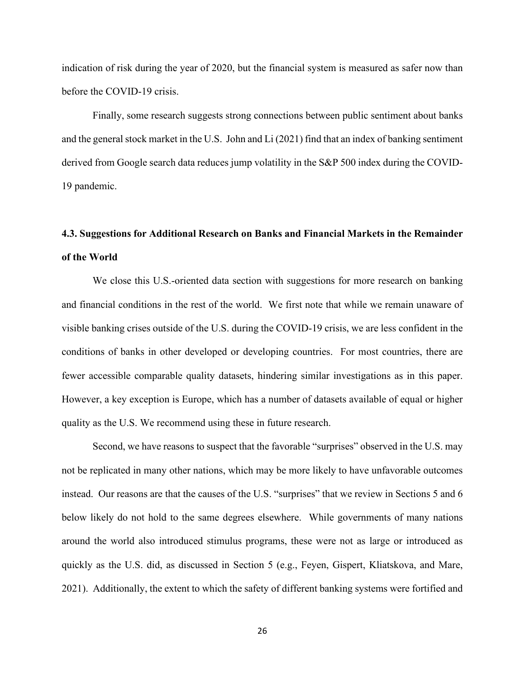indication of risk during the year of 2020, but the financial system is measured as safer now than before the COVID-19 crisis.

Finally, some research suggests strong connections between public sentiment about banks and the general stock market in the U.S. John and Li (2021) find that an index of banking sentiment derived from Google search data reduces jump volatility in the S&P 500 index during the COVID-19 pandemic.

# **4.3. Suggestions for Additional Research on Banks and Financial Markets in the Remainder of the World**

We close this U.S.-oriented data section with suggestions for more research on banking and financial conditions in the rest of the world. We first note that while we remain unaware of visible banking crises outside of the U.S. during the COVID-19 crisis, we are less confident in the conditions of banks in other developed or developing countries. For most countries, there are fewer accessible comparable quality datasets, hindering similar investigations as in this paper. However, a key exception is Europe, which has a number of datasets available of equal or higher quality as the U.S. We recommend using these in future research.

Second, we have reasons to suspect that the favorable "surprises" observed in the U.S. may not be replicated in many other nations, which may be more likely to have unfavorable outcomes instead. Our reasons are that the causes of the U.S. "surprises" that we review in Sections 5 and 6 below likely do not hold to the same degrees elsewhere. While governments of many nations around the world also introduced stimulus programs, these were not as large or introduced as quickly as the U.S. did, as discussed in Section 5 (e.g., Feyen, Gispert, Kliatskova, and Mare, 2021). Additionally, the extent to which the safety of different banking systems were fortified and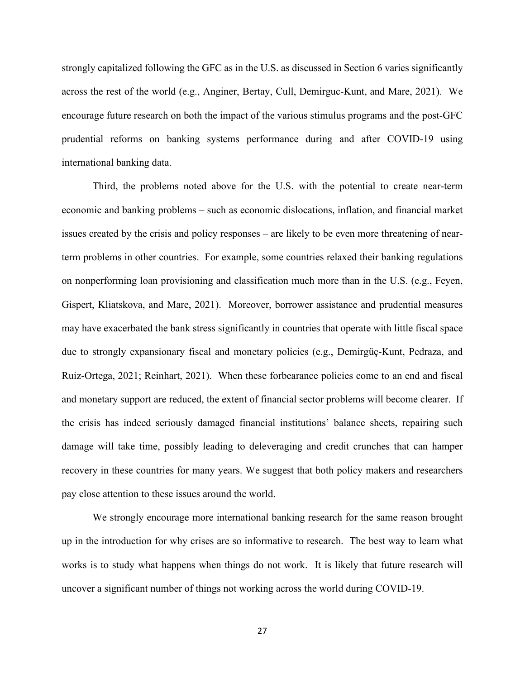strongly capitalized following the GFC as in the U.S. as discussed in Section 6 varies significantly across the rest of the world (e.g., Anginer, Bertay, Cull, Demirguc-Kunt, and Mare, 2021). We encourage future research on both the impact of the various stimulus programs and the post-GFC prudential reforms on banking systems performance during and after COVID-19 using international banking data.

Third, the problems noted above for the U.S. with the potential to create near-term economic and banking problems – such as economic dislocations, inflation, and financial market issues created by the crisis and policy responses – are likely to be even more threatening of nearterm problems in other countries. For example, some countries relaxed their banking regulations on nonperforming loan provisioning and classification much more than in the U.S. (e.g., Feyen, Gispert, Kliatskova, and Mare, 2021). Moreover, borrower assistance and prudential measures may have exacerbated the bank stress significantly in countries that operate with little fiscal space due to strongly expansionary fiscal and monetary policies (e.g., Demirgüç-Kunt, Pedraza, and Ruiz-Ortega, 2021; Reinhart, 2021). When these forbearance policies come to an end and fiscal and monetary support are reduced, the extent of financial sector problems will become clearer. If the crisis has indeed seriously damaged financial institutions' balance sheets, repairing such damage will take time, possibly leading to deleveraging and credit crunches that can hamper recovery in these countries for many years. We suggest that both policy makers and researchers pay close attention to these issues around the world.

We strongly encourage more international banking research for the same reason brought up in the introduction for why crises are so informative to research. The best way to learn what works is to study what happens when things do not work. It is likely that future research will uncover a significant number of things not working across the world during COVID-19.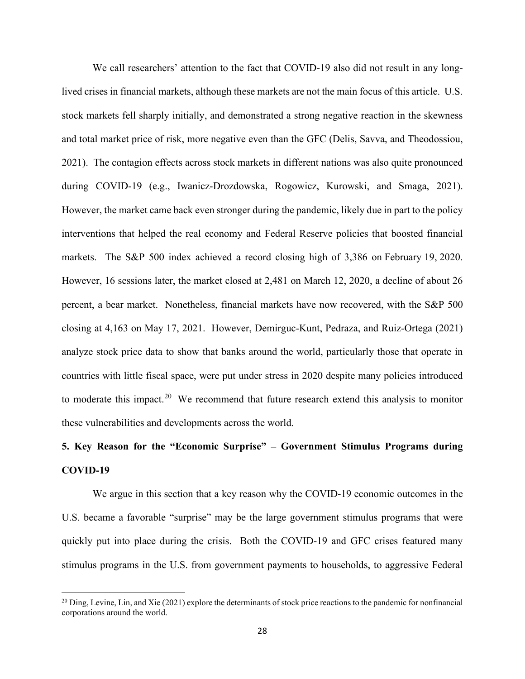We call researchers' attention to the fact that COVID-19 also did not result in any longlived crises in financial markets, although these markets are not the main focus of this article. U.S. stock markets fell sharply initially, and demonstrated a strong negative reaction in the skewness and total market price of risk, more negative even than the GFC (Delis, Savva, and Theodossiou, 2021). The contagion effects across stock markets in different nations was also quite pronounced during COVID-19 (e.g., Iwanicz-Drozdowska, Rogowicz, Kurowski, and Smaga, 2021). However, the market came back even stronger during the pandemic, likely due in part to the policy interventions that helped the real economy and Federal Reserve policies that boosted financial markets. The S&P 500 index achieved a record closing high of 3,386 on February 19, 2020. However, 16 sessions later, the market closed at 2,481 on March 12, 2020, a decline of about 26 percent, a bear market. Nonetheless, financial markets have now recovered, with the S&P 500 closing at 4,163 on May 17, 2021. However, Demirguc-Kunt, Pedraza, and Ruiz-Ortega (2021) analyze stock price data to show that banks around the world, particularly those that operate in countries with little fiscal space, were put under stress in 2020 despite many policies introduced to moderate this impact.<sup>[20](#page-29-0)</sup> We recommend that future research extend this analysis to monitor these vulnerabilities and developments across the world.

## **5. Key Reason for the "Economic Surprise" – Government Stimulus Programs during COVID-19**

We argue in this section that a key reason why the COVID-19 economic outcomes in the U.S. became a favorable "surprise" may be the large government stimulus programs that were quickly put into place during the crisis. Both the COVID-19 and GFC crises featured many stimulus programs in the U.S. from government payments to households, to aggressive Federal

<span id="page-29-0"></span> $^{20}$  Ding, Levine, Lin, and Xie (2021) explore the determinants of stock price reactions to the pandemic for nonfinancial corporations around the world.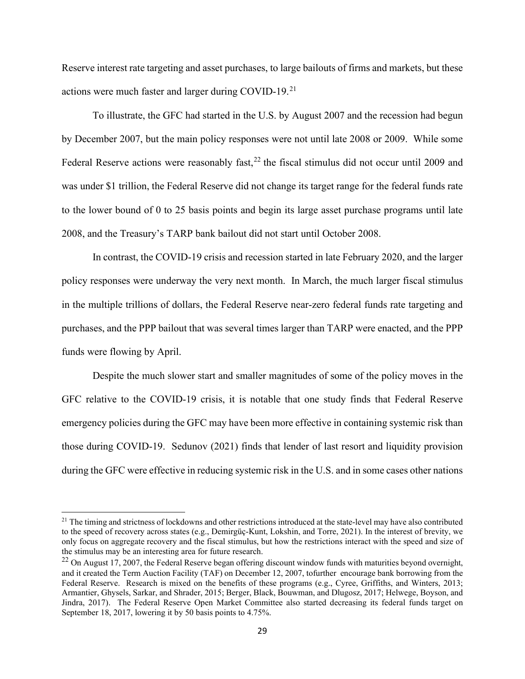Reserve interest rate targeting and asset purchases, to large bailouts of firms and markets, but these actions were much faster and larger during COVID-19.<sup>21</sup>

To illustrate, the GFC had started in the U.S. by August 2007 and the recession had begun by December 2007, but the main policy responses were not until late 2008 or 2009. While some Federal Reserve actions were reasonably fast,  $22$  the fiscal stimulus did not occur until 2009 and was under \$1 trillion, the Federal Reserve did not change its target range for the federal funds rate to the lower bound of 0 to 25 basis points and begin its large asset purchase programs until late 2008, and the Treasury's TARP bank bailout did not start until October 2008.

In contrast, the COVID-19 crisis and recession started in late February 2020, and the larger policy responses were underway the very next month. In March, the much larger fiscal stimulus in the multiple trillions of dollars, the Federal Reserve near-zero federal funds rate targeting and purchases, and the PPP bailout that was several times larger than TARP were enacted, and the PPP funds were flowing by April.

Despite the much slower start and smaller magnitudes of some of the policy moves in the GFC relative to the COVID-19 crisis, it is notable that one study finds that Federal Reserve emergency policies during the GFC may have been more effective in containing systemic risk than those during COVID-19. Sedunov (2021) finds that [lender of last resort](https://www.sciencedirect.com/topics/economics-econometrics-and-finance/lender-of-last-resort) and liquidity provision during the GFC were effective in reducing systemic risk in the U.S. and in some cases other nations

<span id="page-30-0"></span><sup>&</sup>lt;sup>21</sup> The timing and strictness of lockdowns and other restrictions introduced at the state-level may have also contributed to the speed of recovery across states (e.g., Demirgüç-Kunt, Lokshin, and Torre, 2021). In the interest of brevity, we only focus on aggregate recovery and the fiscal stimulus, but how the restrictions interact with the speed and size of the stimulus may be an interesting area for future research.

<span id="page-30-1"></span> $^{22}$  On August 17, 2007, the Federal Reserve began offering discount window funds with maturities beyond overnight, and it created the Term Auction Facility (TAF) on December 12, 2007, tofurther encourage bank borrowing from the Federal Reserve. Research is mixed on the benefits of these programs (e.g., Cyree, Griffiths, and Winters, 2013; Armantier, Ghysels, Sarkar, and Shrader, 2015; Berger, Black, Bouwman, and Dlugosz, 2017; Helwege, Boyson, and Jindra, 2017). The Federal Reserve Open Market Committee also started decreasing its federal funds target on September 18, 2017, lowering it by 50 basis points to 4.75%.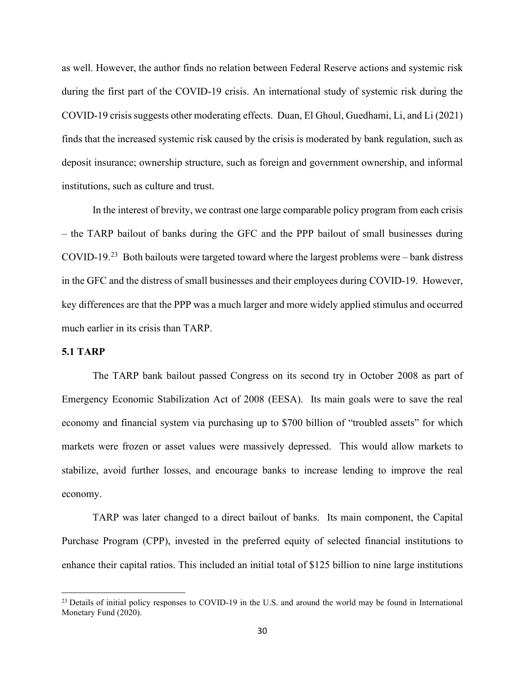as well. However, the author finds no relation between Federal Reserve actions and systemic risk during the first part of the COVID-19 crisis. An international study of systemic risk during the COVID-19 crisis suggests other moderating effects. Duan, El Ghoul, Guedhami, Li, and Li (2021) finds that the increased systemic risk caused by the crisis is moderated by bank regulation, such as deposit insurance; ownership structure, such as foreign and government ownership, and informal institutions, such as culture and trust.

In the interest of brevity, we contrast one large comparable policy program from each crisis – the TARP bailout of banks during the GFC and the PPP bailout of small businesses during COVID-19.<sup>23</sup> Both bailouts were targeted toward where the largest problems were – bank distress in the GFC and the distress of small businesses and their employees during COVID-19. However, key differences are that the PPP was a much larger and more widely applied stimulus and occurred much earlier in its crisis than TARP.

#### **5.1 TARP**

The TARP bank bailout passed Congress on its second try in October 2008 as part of Emergency Economic Stabilization Act of 2008 (EESA). Its main goals were to save the real economy and financial system via purchasing up to \$700 billion of "troubled assets" for which markets were frozen or asset values were massively depressed. This would allow markets to stabilize, avoid further losses, and encourage banks to increase lending to improve the real economy.

TARP was later changed to a direct bailout of banks. Its main component, the Capital Purchase Program (CPP), invested in the preferred equity of selected financial institutions to enhance their capital ratios. This included an initial total of \$125 billion to nine large institutions

<span id="page-31-0"></span><sup>&</sup>lt;sup>23</sup> Details of initial policy responses to COVID-19 in the U.S. and around the world may be found in International Monetary Fund (2020).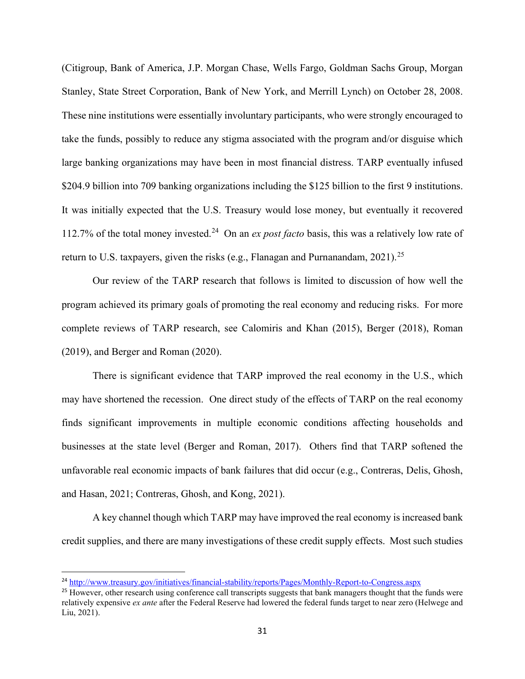(Citigroup, Bank of America, J.P. Morgan Chase, Wells Fargo, Goldman Sachs Group, Morgan Stanley, State Street Corporation, Bank of New York, and Merrill Lynch) on October 28, 2008. These nine institutions were essentially involuntary participants, who were strongly encouraged to take the funds, possibly to reduce any stigma associated with the program and/or disguise which large banking organizations may have been in most financial distress. TARP eventually infused \$204.9 billion into 709 banking organizations including the \$125 billion to the first 9 institutions. It was initially expected that the U.S. Treasury would lose money, but eventually it recovered 112.7% of the total money invested. [24](#page-32-0) On an *ex post facto* basis, this was a relatively low rate of return to U.S. taxpayers, given the risks (e.g., Flanagan and Purnanandam, 2021).<sup>[25](#page-32-1)</sup>

Our review of the TARP research that follows is limited to discussion of how well the program achieved its primary goals of promoting the real economy and reducing risks. For more complete reviews of TARP research, see Calomiris and Khan (2015), Berger (2018), Roman (2019), and Berger and Roman (2020).

There is significant evidence that TARP improved the real economy in the U.S., which may have shortened the recession. One direct study of the effects of TARP on the real economy finds significant improvements in multiple economic conditions affecting households and businesses at the state level (Berger and Roman, 2017). Others find that TARP softened the unfavorable real economic impacts of bank failures that did occur (e.g., Contreras, Delis, Ghosh, and Hasan, 2021; Contreras, Ghosh, and Kong, 2021).

A key channel though which TARP may have improved the real economy is increased bank credit supplies, and there are many investigations of these credit supply effects. Most such studies

<span id="page-32-0"></span><sup>24</sup> <http://www.treasury.gov/initiatives/financial-stability/reports/Pages/Monthly-Report-to-Congress.aspx>

<span id="page-32-1"></span><sup>&</sup>lt;sup>25</sup> However, other research using conference call transcripts suggests that bank managers thought that the funds were relatively expensive *ex ante* after the Federal Reserve had lowered the federal funds target to near zero (Helwege and Liu, 2021).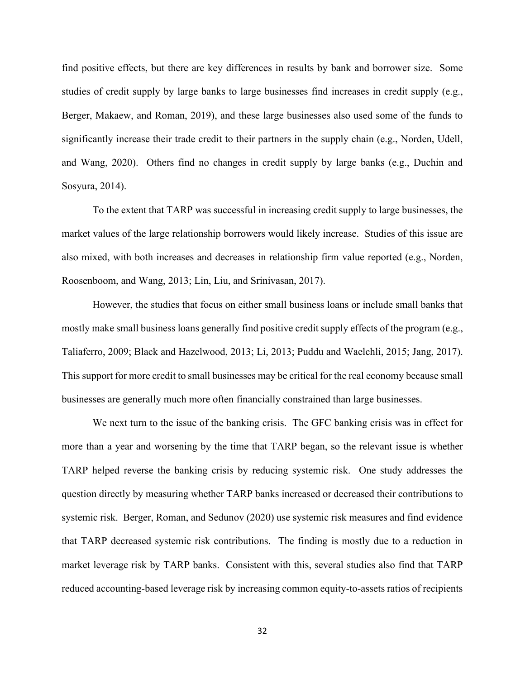find positive effects, but there are key differences in results by bank and borrower size. Some studies of credit supply by large banks to large businesses find increases in credit supply (e.g., Berger, Makaew, and Roman, 2019), and these large businesses also used some of the funds to significantly increase their trade credit to their partners in the supply chain (e.g., Norden, Udell, and Wang, 2020). Others find no changes in credit supply by large banks (e.g., Duchin and Sosyura, 2014).

To the extent that TARP was successful in increasing credit supply to large businesses, the market values of the large relationship borrowers would likely increase. Studies of this issue are also mixed, with both increases and decreases in relationship firm value reported (e.g., Norden, Roosenboom, and Wang, 2013; Lin, Liu, and Srinivasan, 2017).

However, the studies that focus on either small business loans or include small banks that mostly make small business loans generally find positive credit supply effects of the program (e.g., Taliaferro, 2009; Black and Hazelwood, 2013; Li, 2013; Puddu and Waelchli, 2015; Jang, 2017). This support for more credit to small businesses may be critical for the real economy because small businesses are generally much more often financially constrained than large businesses.

We next turn to the issue of the banking crisis. The GFC banking crisis was in effect for more than a year and worsening by the time that TARP began, so the relevant issue is whether TARP helped reverse the banking crisis by reducing systemic risk. One study addresses the question directly by measuring whether TARP banks increased or decreased their contributions to systemic risk. Berger, Roman, and Sedunov (2020) use systemic risk measures and find evidence that TARP decreased systemic risk contributions. The finding is mostly due to a reduction in market leverage risk by TARP banks. Consistent with this, several studies also find that TARP reduced accounting-based leverage risk by increasing common equity-to-assets ratios of recipients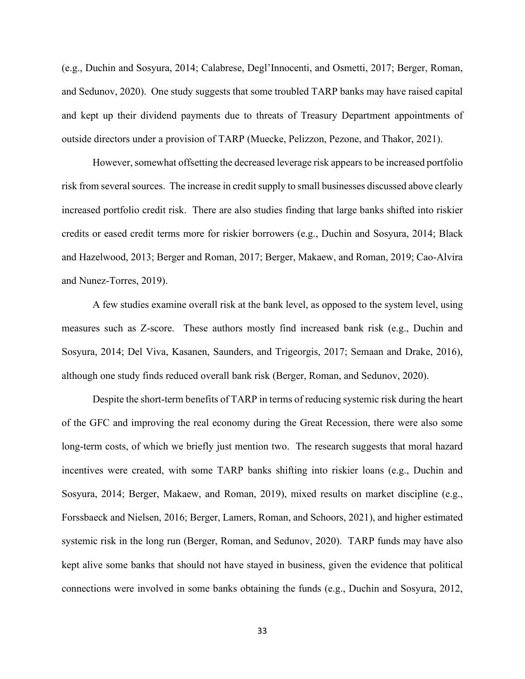(e.g., Duchin and Sosyura, 2014; Calabrese, Degl'Innocenti, and Osmetti, 2017; Berger, Roman, and Sedunov, 2020). One study suggests that some troubled TARP banks may have raised capital and kept up their dividend payments due to threats of Treasury Department appointments of outside directors under a provision of TARP (Muecke, Pelizzon, Pezone, and Thakor, 2021).

However, somewhat offsetting the decreased leverage risk appears to be increased portfolio risk from several sources. The increase in credit supply to small businesses discussed above clearly increased portfolio credit risk. There are also studies finding that large banks shifted into riskier credits or eased credit terms more for riskier borrowers (e.g., Duchin and Sosyura, 2014; Black and Hazelwood, 2013; Berger and Roman, 2017; Berger, Makaew, and Roman, 2019; Cao-Alvira and Nunez-Torres, 2019).

A few studies examine overall risk at the bank level, as opposed to the system level, using measures such as Z-score. These authors mostly find increased bank risk (e.g., Duchin and Sosyura, 2014; Del Viva, Kasanen, Saunders, and Trigeorgis, 2017; Semaan and Drake, 2016), although one study finds reduced overall bank risk (Berger, Roman, and Sedunov, 2020).

Despite the short-term benefits of TARP in terms of reducing systemic risk during the heart of the GFC and improving the real economy during the Great Recession, there were also some long-term costs, of which we briefly just mention two. The research suggests that moral hazard incentives were created, with some TARP banks shifting into riskier loans (e.g., Duchin and Sosyura, 2014; Berger, Makaew, and Roman, 2019), mixed results on market discipline (e.g., Forssbaeck and Nielsen, 2016; Berger, Lamers, Roman, and Schoors, 2021), and higher estimated systemic risk in the long run (Berger, Roman, and Sedunov, 2020). TARP funds may have also kept alive some banks that should not have stayed in business, given the evidence that political connections were involved in some banks obtaining the funds (e.g., Duchin and Sosyura, 2012,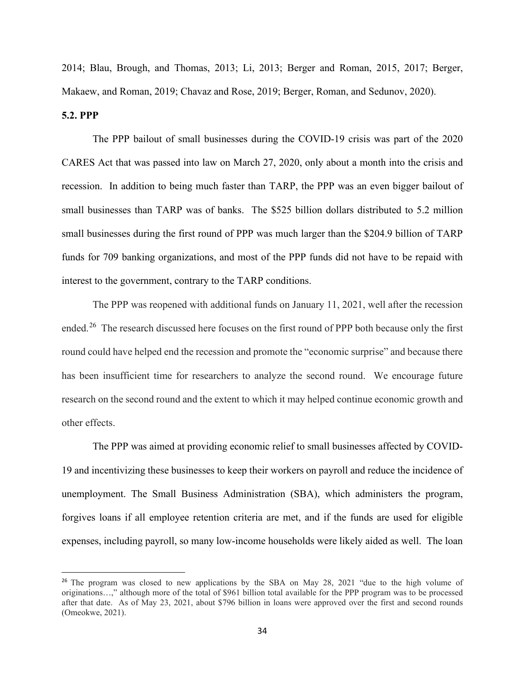2014; Blau, Brough, and Thomas, 2013; Li, 2013; Berger and Roman, 2015, 2017; Berger, Makaew, and Roman, 2019; Chavaz and Rose, 2019; Berger, Roman, and Sedunov, 2020).

#### **5.2. PPP**

The PPP bailout of small businesses during the COVID-19 crisis was part of the 2020 [CARES Act](https://www.congress.gov/116/bills/hr748/BILLS-116hr748enr.pdf) that was passed into law on March 27, 2020, only about a month into the crisis and recession. In addition to being much faster than TARP, the PPP was an even bigger bailout of small businesses than TARP was of banks. The \$525 billion dollars distributed to 5.2 million small businesses during the first round of PPP was much larger than the \$204.9 billion of TARP funds for 709 banking organizations, and most of the PPP funds did not have to be repaid with interest to the government, contrary to the TARP conditions.

The PPP was reopened with additional funds on January 11, 2021, well after the recession ended.[26](#page-35-0) The research discussed here focuses on the first round of PPP both because only the first round could have helped end the recession and promote the "economic surprise" and because there has been insufficient time for researchers to analyze the second round. We encourage future research on the second round and the extent to which it may helped continue economic growth and other effects.

The PPP was aimed at providing economic relief to small businesses affected by COVID-19 and incentivizing these businesses to keep their workers on payroll and reduce the incidence of unemployment. The Small Business Administration (SBA), which administers the program, forgives loans if all employee retention criteria are met, and if the funds are used for eligible expenses, including payroll, so many low-income households were likely aided as well. The loan

<span id="page-35-0"></span><sup>&</sup>lt;sup>26</sup> The program was closed to new applications by the SBA on May 28, 2021 "due to the high volume of originations…," although more of the total of \$961 billion total available for the PPP program was to be processed after that date. As of May 23, 2021, about \$796 billion in loans were approved over the first and second rounds (Omeokwe, 2021).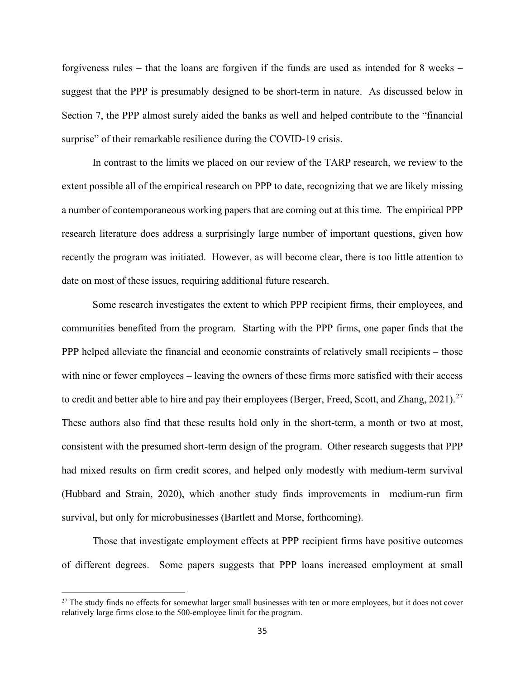forgiveness rules – that the loans are forgiven if the funds are used as intended for 8 weeks – suggest that the PPP is presumably designed to be short-term in nature. As discussed below in Section 7, the PPP almost surely aided the banks as well and helped contribute to the "financial surprise" of their remarkable resilience during the COVID-19 crisis.

In contrast to the limits we placed on our review of the TARP research, we review to the extent possible all of the empirical research on PPP to date, recognizing that we are likely missing a number of contemporaneous working papers that are coming out at this time. The empirical PPP research literature does address a surprisingly large number of important questions, given how recently the program was initiated. However, as will become clear, there is too little attention to date on most of these issues, requiring additional future research.

Some research investigates the extent to which PPP recipient firms, their employees, and communities benefited from the program. Starting with the PPP firms, one paper finds that the PPP helped alleviate the financial and economic constraints of relatively small recipients – those with nine or fewer employees – leaving the owners of these firms more satisfied with their access to credit and better able to hire and pay their employees (Berger, Freed, Scott, and Zhang, 2021).<sup>[27](#page-36-0)</sup> These authors also find that these results hold only in the short-term, a month or two at most, consistent with the presumed short-term design of the program. Other research suggests that PPP had mixed results on firm credit scores, and helped only modestly with medium-term survival (Hubbard and Strain, 2020), which another study finds improvements in medium-run firm survival, but only for microbusinesses (Bartlett and Morse, forthcoming).

Those that investigate employment effects at PPP recipient firms have positive outcomes of different degrees. Some papers suggests that PPP loans increased employment at small

<span id="page-36-0"></span><sup>&</sup>lt;sup>27</sup> The study finds no effects for somewhat larger small businesses with ten or more employees, but it does not cover relatively large firms close to the 500-employee limit for the program.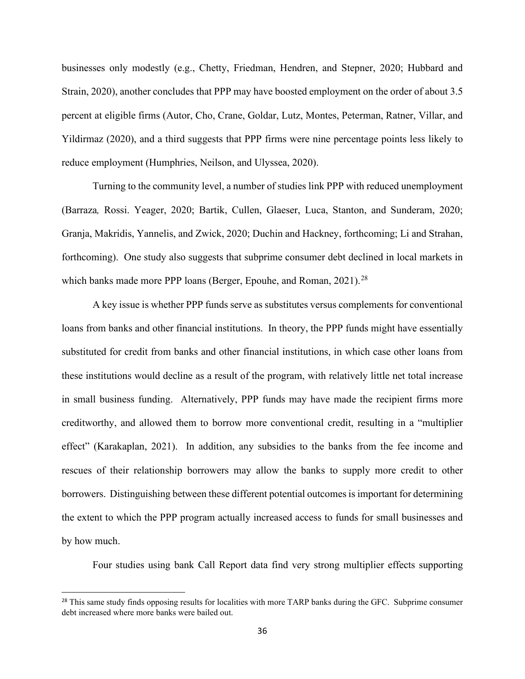businesses only modestly (e.g., Chetty, Friedman, Hendren, and Stepner, 2020; Hubbard and Strain, 2020), another concludes that PPP may have boosted employment on the order of about 3.5 percent at eligible firms (Autor, Cho, Crane, Goldar, Lutz, Montes, Peterman, Ratner, Villar, and Yildirmaz (2020), and a third suggests that PPP firms were nine percentage points less likely to reduce employment (Humphries, Neilson, and Ulyssea, 2020).

Turning to the community level, a number of studies link PPP with reduced unemployment (Barraza*,* Rossi. Yeager, 2020; Bartik, Cullen, Glaeser, Luca, Stanton, and Sunderam, 2020; Granja, Makridis, Yannelis, and Zwick, 2020; Duchin and Hackney, forthcoming; Li and Strahan, forthcoming). One study also suggests that subprime consumer debt declined in local markets in which banks made more PPP loans (Berger, Epouhe, and Roman,  $2021$ ).<sup>[28](#page-37-0)</sup>

A key issue is whether PPP funds serve as substitutes versus complements for conventional loans from banks and other financial institutions. In theory, the PPP funds might have essentially substituted for credit from banks and other financial institutions, in which case other loans from these institutions would decline as a result of the program, with relatively little net total increase in small business funding. Alternatively, PPP funds may have made the recipient firms more creditworthy, and allowed them to borrow more conventional credit, resulting in a "multiplier effect" (Karakaplan, 2021). In addition, any subsidies to the banks from the fee income and rescues of their relationship borrowers may allow the banks to supply more credit to other borrowers. Distinguishing between these different potential outcomes is important for determining the extent to which the PPP program actually increased access to funds for small businesses and by how much.

Four studies using bank Call Report data find very strong multiplier effects supporting

<span id="page-37-0"></span><sup>&</sup>lt;sup>28</sup> This same study finds opposing results for localities with more TARP banks during the GFC. Subprime consumer debt increased where more banks were bailed out.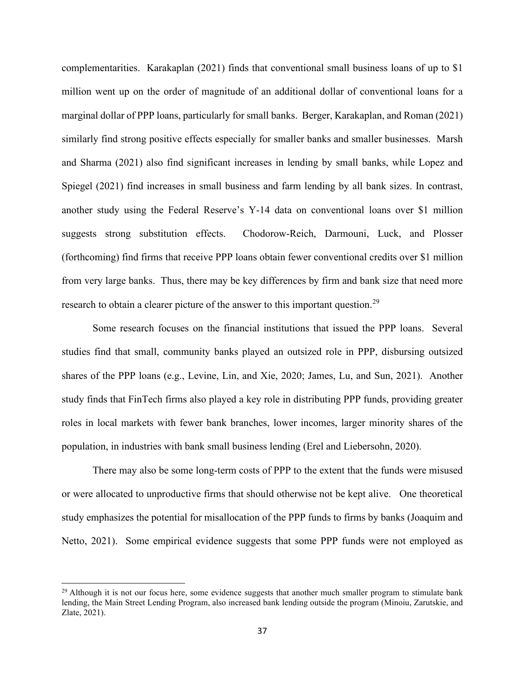complementarities. Karakaplan (2021) finds that conventional small business loans of up to \$1 million went up on the order of magnitude of an additional dollar of conventional loans for a marginal dollar of PPP loans, particularly for small banks. Berger, Karakaplan, and Roman (2021) similarly find strong positive effects especially for smaller banks and smaller businesses. Marsh and Sharma (2021) also find significant increases in lending by small banks, while Lopez and Spiegel (2021) find increases in small business and farm lending by all bank sizes. In contrast, another study using the Federal Reserve's Y-14 data on conventional loans over \$1 million suggests strong substitution effects. Chodorow-Reich, Darmouni, Luck, and Plosser (forthcoming) find firms that receive PPP loans obtain fewer conventional credits over \$1 million from very large banks. Thus, there may be key differences by firm and bank size that need more research to obtain a clearer picture of the answer to this important question.<sup>[29](#page-38-0)</sup>

Some research focuses on the financial institutions that issued the PPP loans. Several studies find that small, community banks played an outsized role in PPP, disbursing outsized shares of the PPP loans (e.g., Levine, Lin, and Xie, 2020; James, Lu, and Sun, 2021). Another study finds that FinTech firms also played a key role in distributing PPP funds, providing greater roles in local markets with fewer bank branches, lower incomes, larger minority shares of the population, in industries with bank small business lending (Erel and Liebersohn, 2020).

There may also be some long-term costs of PPP to the extent that the funds were misused or were allocated to unproductive firms that should otherwise not be kept alive. One theoretical study emphasizes the potential for misallocation of the PPP funds to firms by banks (Joaquim and Netto, 2021). Some empirical evidence suggests that some PPP funds were not employed as

<span id="page-38-0"></span> $^{29}$  Although it is not our focus here, some evidence suggests that another much smaller program to stimulate bank lending, the Main Street Lending Program, also increased bank lending outside the program (Minoiu, Zarutskie, and Zlate, 2021).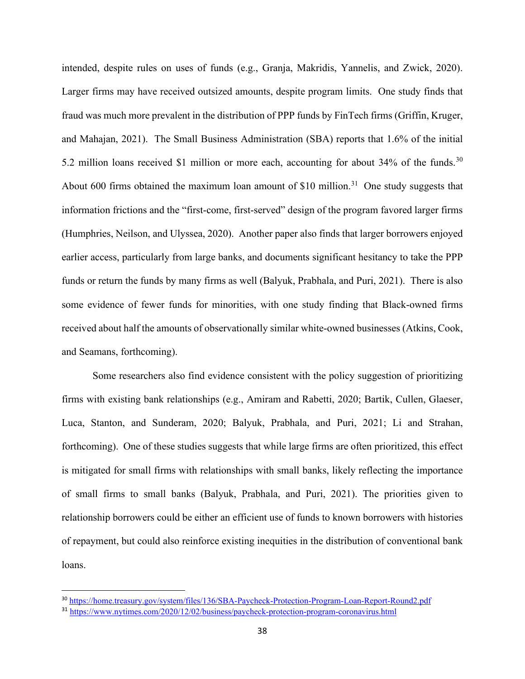intended, despite rules on uses of funds (e.g., Granja, Makridis, Yannelis, and Zwick, 2020). Larger firms may have received outsized amounts, despite program limits. One study finds that fraud was much more prevalent in the distribution of PPP funds by FinTech firms (Griffin, Kruger, and Mahajan, 2021). The Small Business Administration (SBA) reports that 1.6% of the initial 5.2 million loans received \$1 million or more each, accounting for about 34% of the funds.<sup>[30](#page-39-0)</sup> About 600 firms obtained the maximum loan amount of  $$10$  million.<sup>31</sup> One study suggests that information frictions and the "first-come, first-served" design of the program favored larger firms (Humphries, Neilson, and Ulyssea, 2020). Another paper also finds that larger borrowers enjoyed earlier access, particularly from large banks, and documents significant hesitancy to take the PPP funds or return the funds by many firms as well (Balyuk, Prabhala, and Puri, 2021). There is also some evidence of fewer funds for minorities, with one study finding that Black-owned firms received about half the amounts of observationally similar white-owned businesses (Atkins, Cook, and Seamans, forthcoming).

Some researchers also find evidence consistent with the policy suggestion of prioritizing firms with existing bank relationships (e.g., Amiram and Rabetti, 2020; Bartik, Cullen, Glaeser, Luca, Stanton, and Sunderam, 2020; Balyuk, Prabhala, and Puri, 2021; Li and Strahan, forthcoming). One of these studies suggests that while large firms are often prioritized, this effect is mitigated for small firms with relationships with small banks, likely reflecting the importance of small firms to small banks (Balyuk, Prabhala, and Puri, 2021). The priorities given to relationship borrowers could be either an efficient use of funds to known borrowers with histories of repayment, but could also reinforce existing inequities in the distribution of conventional bank loans.

<span id="page-39-0"></span><sup>30</sup> <https://home.treasury.gov/system/files/136/SBA-Paycheck-Protection-Program-Loan-Report-Round2.pdf>

<span id="page-39-1"></span><sup>&</sup>lt;sup>31</sup> <https://www.nytimes.com/2020/12/02/business/paycheck-protection-program-coronavirus.html>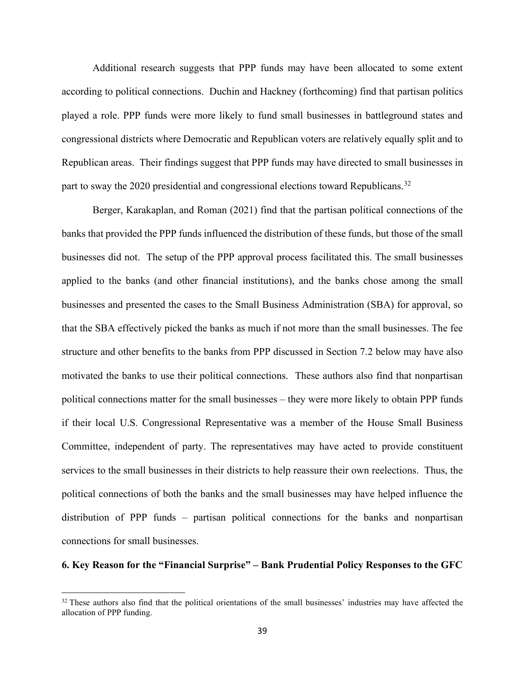Additional research suggests that PPP funds may have been allocated to some extent according to political connections. Duchin and Hackney (forthcoming) find that partisan politics played a role. PPP funds were more likely to fund small businesses in battleground states and congressional districts where Democratic and Republican voters are relatively equally split and to Republican areas. Their findings suggest that PPP funds may have directed to small businesses in part to sway the 2020 presidential and congressional elections toward Republicans.<sup>32</sup>

Berger, Karakaplan, and Roman (2021) find that the partisan political connections of the banks that provided the PPP funds influenced the distribution of these funds, but those of the small businesses did not. The setup of the PPP approval process facilitated this. The small businesses applied to the banks (and other financial institutions), and the banks chose among the small businesses and presented the cases to the Small Business Administration (SBA) for approval, so that the SBA effectively picked the banks as much if not more than the small businesses. The fee structure and other benefits to the banks from PPP discussed in Section 7.2 below may have also motivated the banks to use their political connections. These authors also find that nonpartisan political connections matter for the small businesses – they were more likely to obtain PPP funds if their local U.S. Congressional Representative was a member of the House Small Business Committee, independent of party. The representatives may have acted to provide constituent services to the small businesses in their districts to help reassure their own reelections. Thus, the political connections of both the banks and the small businesses may have helped influence the distribution of PPP funds – partisan political connections for the banks and nonpartisan connections for small businesses.

### **6. Key Reason for the "Financial Surprise" – Bank Prudential Policy Responses to the GFC**

<span id="page-40-0"></span> $32$  These authors also find that the political orientations of the small businesses' industries may have affected the allocation of PPP funding.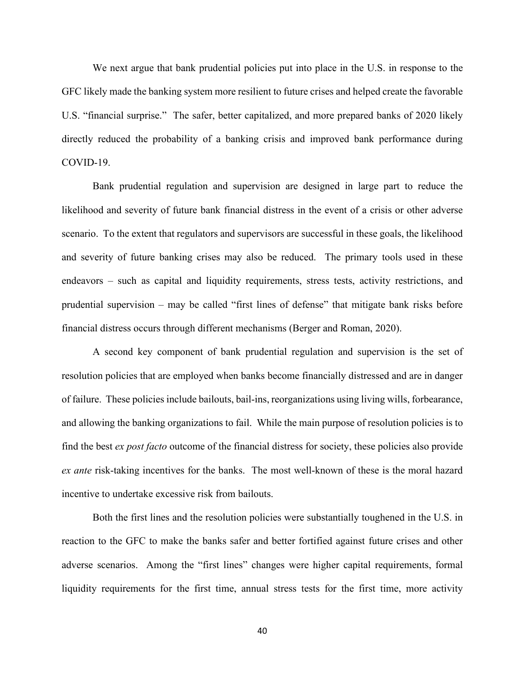We next argue that bank prudential policies put into place in the U.S. in response to the GFC likely made the banking system more resilient to future crises and helped create the favorable U.S. "financial surprise." The safer, better capitalized, and more prepared banks of 2020 likely directly reduced the probability of a banking crisis and improved bank performance during COVID-19.

Bank prudential regulation and supervision are designed in large part to reduce the likelihood and severity of future bank financial distress in the event of a crisis or other adverse scenario. To the extent that regulators and supervisors are successful in these goals, the likelihood and severity of future banking crises may also be reduced. The primary tools used in these endeavors – such as capital and liquidity requirements, stress tests, activity restrictions, and prudential supervision – may be called "first lines of defense" that mitigate bank risks before financial distress occurs through different mechanisms (Berger and Roman, 2020).

A second key component of bank prudential regulation and supervision is the set of resolution policies that are employed when banks become financially distressed and are in danger of failure. These policies include bailouts, bail-ins, reorganizations using living wills, forbearance, and allowing the banking organizations to fail. While the main purpose of resolution policies is to find the best *ex post facto* outcome of the financial distress for society, these policies also provide *ex ante* risk-taking incentives for the banks. The most well-known of these is the moral hazard incentive to undertake excessive risk from bailouts.

Both the first lines and the resolution policies were substantially toughened in the U.S. in reaction to the GFC to make the banks safer and better fortified against future crises and other adverse scenarios. Among the "first lines" changes were higher capital requirements, formal liquidity requirements for the first time, annual stress tests for the first time, more activity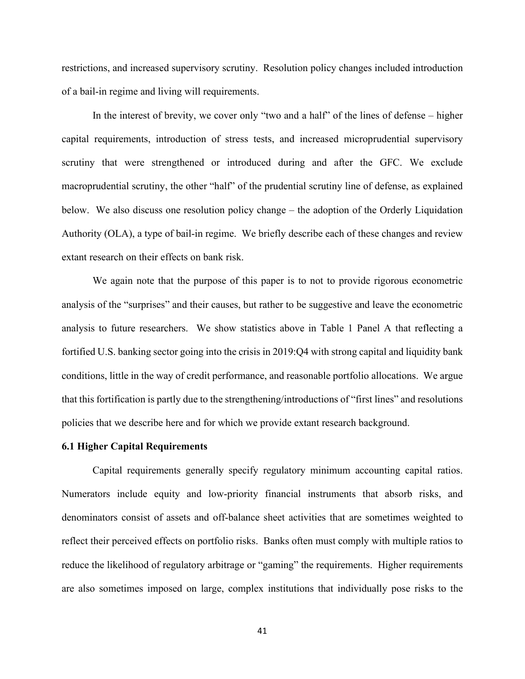restrictions, and increased supervisory scrutiny. Resolution policy changes included introduction of a bail-in regime and living will requirements.

In the interest of brevity, we cover only "two and a half" of the lines of defense – higher capital requirements, introduction of stress tests, and increased microprudential supervisory scrutiny that were strengthened or introduced during and after the GFC. We exclude macroprudential scrutiny, the other "half" of the prudential scrutiny line of defense, as explained below. We also discuss one resolution policy change – the adoption of the Orderly Liquidation Authority (OLA), a type of bail-in regime. We briefly describe each of these changes and review extant research on their effects on bank risk.

We again note that the purpose of this paper is to not to provide rigorous econometric analysis of the "surprises" and their causes, but rather to be suggestive and leave the econometric analysis to future researchers. We show statistics above in Table 1 Panel A that reflecting a fortified U.S. banking sector going into the crisis in 2019:Q4 with strong capital and liquidity bank conditions, little in the way of credit performance, and reasonable portfolio allocations. We argue that this fortification is partly due to the strengthening/introductions of "first lines" and resolutions policies that we describe here and for which we provide extant research background.

### **6.1 Higher Capital Requirements**

Capital requirements generally specify regulatory minimum accounting capital ratios. Numerators include equity and low-priority financial instruments that absorb risks, and denominators consist of assets and off-balance sheet activities that are sometimes weighted to reflect their perceived effects on portfolio risks. Banks often must comply with multiple ratios to reduce the likelihood of regulatory arbitrage or "gaming" the requirements. Higher requirements are also sometimes imposed on large, complex institutions that individually pose risks to the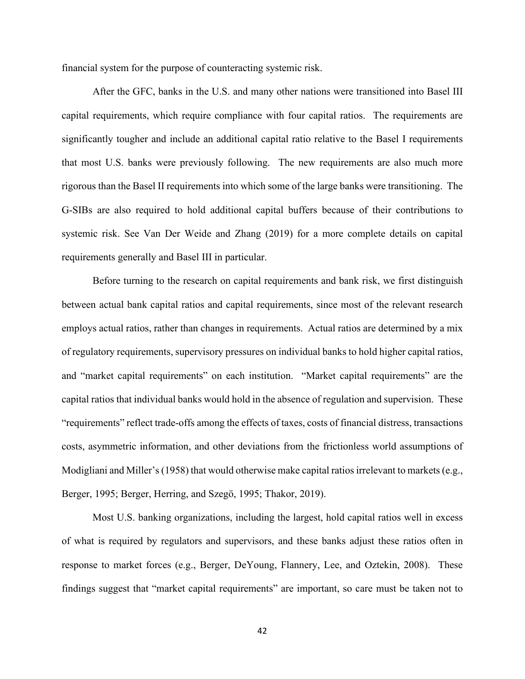financial system for the purpose of counteracting systemic risk.

After the GFC, banks in the U.S. and many other nations were transitioned into Basel III capital requirements, which require compliance with four capital ratios. The requirements are significantly tougher and include an additional capital ratio relative to the Basel I requirements that most U.S. banks were previously following. The new requirements are also much more rigorous than the Basel II requirements into which some of the large banks were transitioning. The G-SIBs are also required to hold additional capital buffers because of their contributions to systemic risk. See Van Der Weide and Zhang (2019) for a more complete details on capital requirements generally and Basel III in particular.

Before turning to the research on capital requirements and bank risk, we first distinguish between actual bank capital ratios and capital requirements, since most of the relevant research employs actual ratios, rather than changes in requirements. Actual ratios are determined by a mix of regulatory requirements, supervisory pressures on individual banks to hold higher capital ratios, and "market capital requirements" on each institution. "Market capital requirements" are the capital ratios that individual banks would hold in the absence of regulation and supervision. These "requirements" reflect trade-offs among the effects of taxes, costs of financial distress, transactions costs, asymmetric information, and other deviations from the frictionless world assumptions of Modigliani and Miller's (1958) that would otherwise make capital ratios irrelevant to markets (e.g., Berger, 1995; Berger, Herring, and Szegö, 1995; Thakor, 2019).

Most U.S. banking organizations, including the largest, hold capital ratios well in excess of what is required by regulators and supervisors, and these banks adjust these ratios often in response to market forces (e.g., Berger, DeYoung, Flannery, Lee, and Oztekin, 2008). These findings suggest that "market capital requirements" are important, so care must be taken not to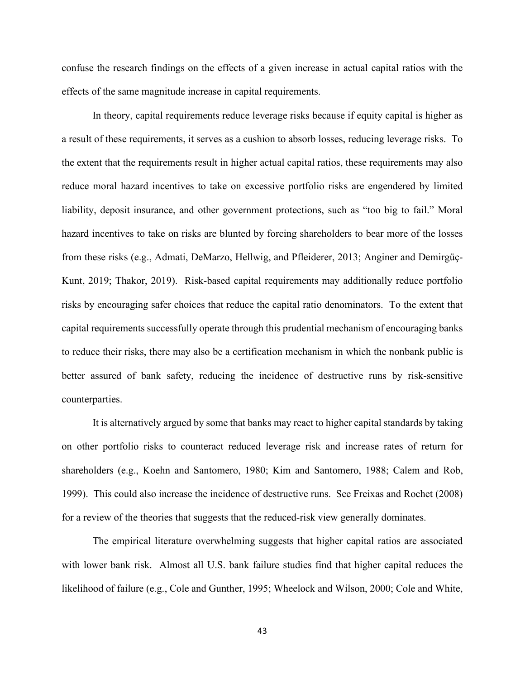confuse the research findings on the effects of a given increase in actual capital ratios with the effects of the same magnitude increase in capital requirements.

In theory, capital requirements reduce leverage risks because if equity capital is higher as a result of these requirements, it serves as a cushion to absorb losses, reducing leverage risks. To the extent that the requirements result in higher actual capital ratios, these requirements may also reduce moral hazard incentives to take on excessive portfolio risks are engendered by limited liability, deposit insurance, and other government protections, such as "too big to fail." Moral hazard incentives to take on risks are blunted by forcing shareholders to bear more of the losses from these risks (e.g., Admati, DeMarzo, Hellwig, and Pfleiderer, 2013; Anginer and Demirgüç-Kunt, 2019; Thakor, 2019). Risk-based capital requirements may additionally reduce portfolio risks by encouraging safer choices that reduce the capital ratio denominators. To the extent that capital requirements successfully operate through this prudential mechanism of encouraging banks to reduce their risks, there may also be a certification mechanism in which the nonbank public is better assured of bank safety, reducing the incidence of destructive runs by risk-sensitive counterparties.

It is alternatively argued by some that banks may react to higher capital standards by taking on other portfolio risks to counteract reduced leverage risk and increase rates of return for shareholders (e.g., Koehn and Santomero, 1980; Kim and Santomero, 1988; Calem and Rob, 1999). This could also increase the incidence of destructive runs. See Freixas and Rochet (2008) for a review of the theories that suggests that the reduced-risk view generally dominates.

The empirical literature overwhelming suggests that higher capital ratios are associated with lower bank risk. Almost all U.S. bank failure studies find that higher capital reduces the likelihood of failure (e.g., Cole and Gunther, 1995; Wheelock and Wilson, 2000; Cole and White,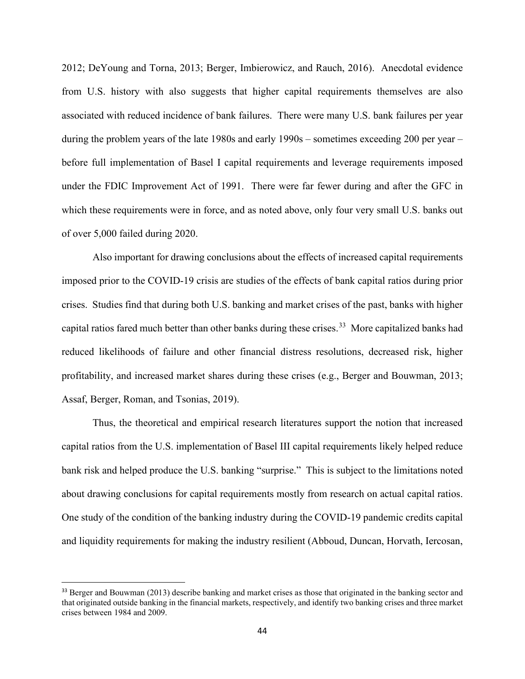2012; DeYoung and Torna, 2013; Berger, Imbierowicz, and Rauch, 2016). Anecdotal evidence from U.S. history with also suggests that higher capital requirements themselves are also associated with reduced incidence of bank failures. There were many U.S. bank failures per year during the problem years of the late 1980s and early 1990s – sometimes exceeding 200 per year – before full implementation of Basel I capital requirements and leverage requirements imposed under the FDIC Improvement Act of 1991. There were far fewer during and after the GFC in which these requirements were in force, and as noted above, only four very small U.S. banks out of over 5,000 failed during 2020.

Also important for drawing conclusions about the effects of increased capital requirements imposed prior to the COVID-19 crisis are studies of the effects of bank capital ratios during prior crises. Studies find that during both U.S. banking and market crises of the past, banks with higher capital ratios fared much better than other banks during these crises.<sup>33</sup> More capitalized banks had reduced likelihoods of failure and other financial distress resolutions, decreased risk, higher profitability, and increased market shares during these crises (e.g., Berger and Bouwman, 2013; Assaf, Berger, Roman, and Tsonias, 2019).

Thus, the theoretical and empirical research literatures support the notion that increased capital ratios from the U.S. implementation of Basel III capital requirements likely helped reduce bank risk and helped produce the U.S. banking "surprise." This is subject to the limitations noted about drawing conclusions for capital requirements mostly from research on actual capital ratios. One study of the condition of the banking industry during the COVID-19 pandemic credits capital and liquidity requirements for making the industry resilient (Abboud, Duncan, Horvath, Iercosan,

<span id="page-45-0"></span><sup>&</sup>lt;sup>33</sup> Berger and Bouwman (2013) describe banking and market crises as those that originated in the banking sector and that originated outside banking in the financial markets, respectively, and identify two banking crises and three market crises between 1984 and 2009.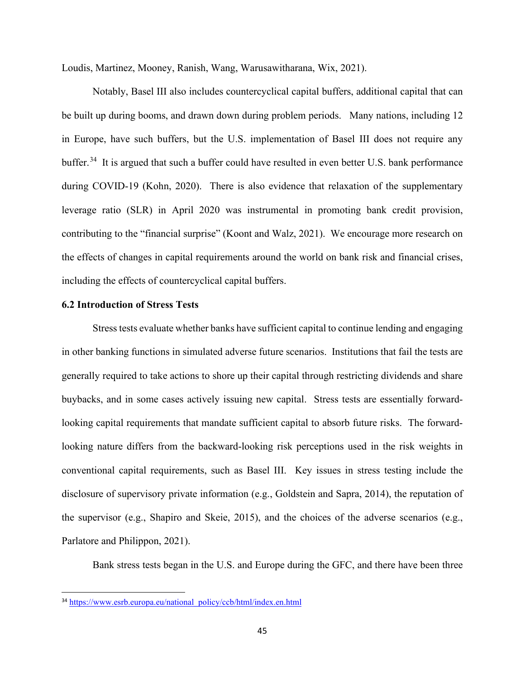Loudis, Martinez, Mooney, Ranish, Wang, Warusawitharana, Wix, 2021).

Notably, Basel III also includes countercyclical capital buffers, additional capital that can be built up during booms, and drawn down during problem periods. Many nations, including 12 in Europe, have such buffers, but the U.S. implementation of Basel III does not require any buffer.<sup>[34](#page-46-0)</sup> It is argued that such a buffer could have resulted in even better U.S. bank performance during COVID-19 (Kohn, 2020). There is also evidence that relaxation of the supplementary leverage ratio (SLR) in April 2020 was instrumental in promoting bank credit provision, contributing to the "financial surprise" (Koont and Walz, 2021). We encourage more research on the effects of changes in capital requirements around the world on bank risk and financial crises, including the effects of countercyclical capital buffers.

#### **6.2 Introduction of Stress Tests**

Stress tests evaluate whether banks have sufficient capital to continue lending and engaging in other banking functions in simulated adverse future scenarios. Institutions that fail the tests are generally required to take actions to shore up their capital through restricting dividends and share buybacks, and in some cases actively issuing new capital. Stress tests are essentially forwardlooking capital requirements that mandate sufficient capital to absorb future risks. The forwardlooking nature differs from the backward-looking risk perceptions used in the risk weights in conventional capital requirements, such as Basel III. Key issues in stress testing include the disclosure of supervisory private information (e.g., Goldstein and Sapra, 2014), the reputation of the supervisor (e.g., Shapiro and Skeie, 2015), and the choices of the adverse scenarios (e.g., Parlatore and Philippon, 2021).

Bank stress tests began in the U.S. and Europe during the GFC, and there have been three

<span id="page-46-0"></span><sup>34</sup> [https://www.esrb.europa.eu/national\\_policy/ccb/html/index.en.html](https://www.esrb.europa.eu/national_policy/ccb/html/index.en.html)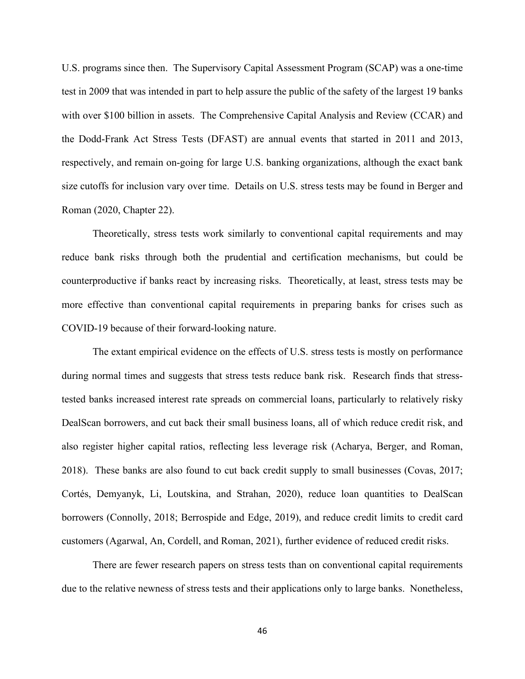U.S. programs since then. The Supervisory Capital Assessment Program (SCAP) was a one-time test in 2009 that was intended in part to help assure the public of the safety of the largest 19 banks with over \$100 billion in assets. The Comprehensive Capital Analysis and Review (CCAR) and the Dodd-Frank Act Stress Tests (DFAST) are annual events that started in 2011 and 2013, respectively, and remain on-going for large U.S. banking organizations, although the exact bank size cutoffs for inclusion vary over time. Details on U.S. stress tests may be found in Berger and Roman (2020, Chapter 22).

Theoretically, stress tests work similarly to conventional capital requirements and may reduce bank risks through both the prudential and certification mechanisms, but could be counterproductive if banks react by increasing risks. Theoretically, at least, stress tests may be more effective than conventional capital requirements in preparing banks for crises such as COVID-19 because of their forward-looking nature.

The extant empirical evidence on the effects of U.S. stress tests is mostly on performance during normal times and suggests that stress tests reduce bank risk. Research finds that stresstested banks increased interest rate spreads on commercial loans, particularly to relatively risky DealScan borrowers, and cut back their small business loans, all of which reduce credit risk, and also register higher capital ratios, reflecting less leverage risk (Acharya, Berger, and Roman, 2018). These banks are also found to cut back credit supply to small businesses (Covas, 2017; Cortés, Demyanyk, Li, Loutskina, and Strahan, 2020), reduce loan quantities to DealScan borrowers (Connolly, 2018; Berrospide and Edge, 2019), and reduce credit limits to credit card customers (Agarwal, An, Cordell, and Roman, 2021), further evidence of reduced credit risks.

There are fewer research papers on stress tests than on conventional capital requirements due to the relative newness of stress tests and their applications only to large banks. Nonetheless,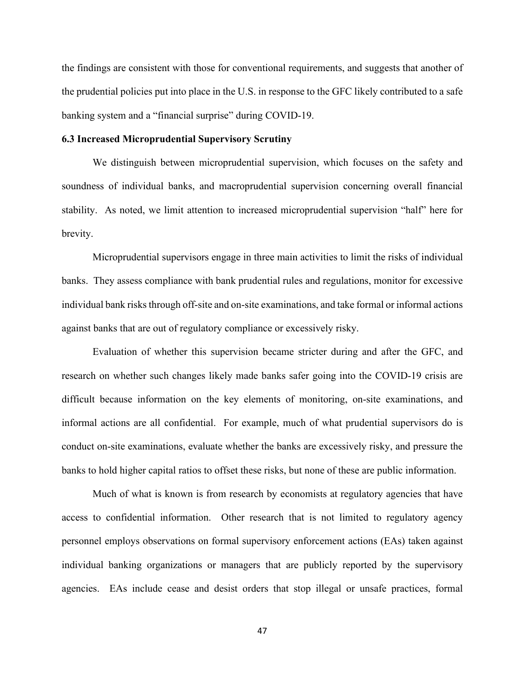the findings are consistent with those for conventional requirements, and suggests that another of the prudential policies put into place in the U.S. in response to the GFC likely contributed to a safe banking system and a "financial surprise" during COVID-19.

### **6.3 Increased Microprudential Supervisory Scrutiny**

We distinguish between microprudential supervision, which focuses on the safety and soundness of individual banks, and macroprudential supervision concerning overall financial stability. As noted, we limit attention to increased microprudential supervision "half" here for brevity.

Microprudential supervisors engage in three main activities to limit the risks of individual banks. They assess compliance with bank prudential rules and regulations, monitor for excessive individual bank risks through off-site and on-site examinations, and take formal or informal actions against banks that are out of regulatory compliance or excessively risky.

Evaluation of whether this supervision became stricter during and after the GFC, and research on whether such changes likely made banks safer going into the COVID-19 crisis are difficult because information on the key elements of monitoring, on-site examinations, and informal actions are all confidential. For example, much of what prudential supervisors do is conduct on-site examinations, evaluate whether the banks are excessively risky, and pressure the banks to hold higher capital ratios to offset these risks, but none of these are public information.

Much of what is known is from research by economists at regulatory agencies that have access to confidential information. Other research that is not limited to regulatory agency personnel employs observations on formal supervisory enforcement actions (EAs) taken against individual banking organizations or managers that are publicly reported by the supervisory agencies. EAs include cease and desist orders that stop illegal or unsafe practices, formal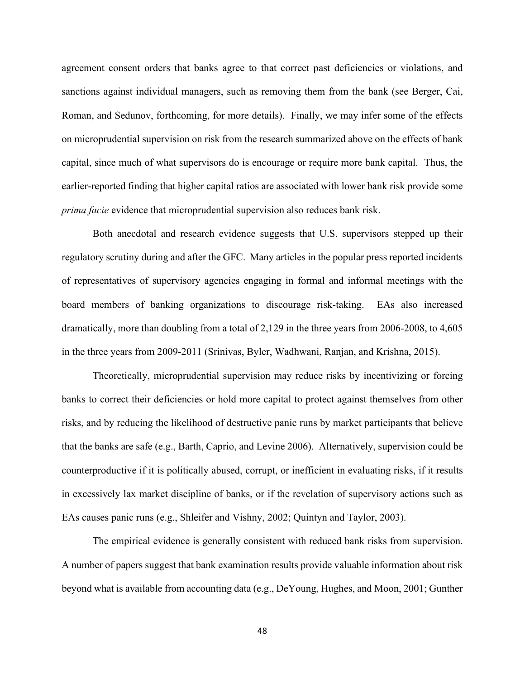agreement consent orders that banks agree to that correct past deficiencies or violations, and sanctions against individual managers, such as removing them from the bank (see Berger, Cai, Roman, and Sedunov, forthcoming, for more details). Finally, we may infer some of the effects on microprudential supervision on risk from the research summarized above on the effects of bank capital, since much of what supervisors do is encourage or require more bank capital. Thus, the earlier-reported finding that higher capital ratios are associated with lower bank risk provide some *prima facie* evidence that microprudential supervision also reduces bank risk.

Both anecdotal and research evidence suggests that U.S. supervisors stepped up their regulatory scrutiny during and after the GFC. Many articles in the popular press reported incidents of representatives of supervisory agencies engaging in formal and informal meetings with the board members of banking organizations to discourage risk-taking. EAs also increased dramatically, more than doubling from a total of 2,129 in the three years from 2006-2008, to 4,605 in the three years from 2009-2011 (Srinivas, Byler, Wadhwani, Ranjan, and Krishna, 2015).

Theoretically, microprudential supervision may reduce risks by incentivizing or forcing banks to correct their deficiencies or hold more capital to protect against themselves from other risks, and by reducing the likelihood of destructive panic runs by market participants that believe that the banks are safe (e.g., Barth, Caprio, and Levine 2006). Alternatively, supervision could be counterproductive if it is politically abused, corrupt, or inefficient in evaluating risks, if it results in excessively lax market discipline of banks, or if the revelation of supervisory actions such as EAs causes panic runs (e.g., Shleifer and Vishny, 2002; Quintyn and Taylor, 2003).

The empirical evidence is generally consistent with reduced bank risks from supervision. A number of papers suggest that bank examination results provide valuable information about risk beyond what is available from accounting data (e.g., DeYoung, Hughes, and Moon, 2001; Gunther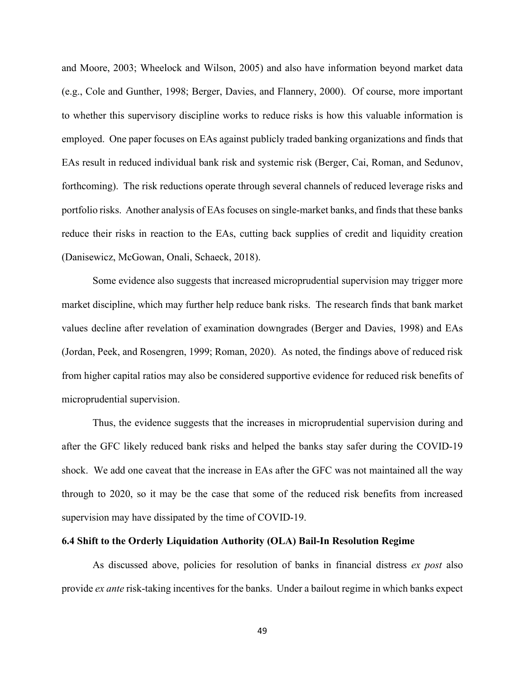and Moore, 2003; Wheelock and Wilson, 2005) and also have information beyond market data (e.g., Cole and Gunther, 1998; Berger, Davies, and Flannery, 2000). Of course, more important to whether this supervisory discipline works to reduce risks is how this valuable information is employed. One paper focuses on EAs against publicly traded banking organizations and finds that EAs result in reduced individual bank risk and systemic risk (Berger, Cai, Roman, and Sedunov, forthcoming). The risk reductions operate through several channels of reduced leverage risks and portfolio risks. Another analysis of EAs focuses on single-market banks, and finds that these banks reduce their risks in reaction to the EAs, cutting back supplies of credit and liquidity creation (Danisewicz, McGowan, Onali, Schaeck, 2018).

Some evidence also suggests that increased microprudential supervision may trigger more market discipline, which may further help reduce bank risks. The research finds that bank market values decline after revelation of examination downgrades (Berger and Davies, 1998) and EAs (Jordan, Peek, and Rosengren, 1999; Roman, 2020). As noted, the findings above of reduced risk from higher capital ratios may also be considered supportive evidence for reduced risk benefits of microprudential supervision.

Thus, the evidence suggests that the increases in microprudential supervision during and after the GFC likely reduced bank risks and helped the banks stay safer during the COVID-19 shock. We add one caveat that the increase in EAs after the GFC was not maintained all the way through to 2020, so it may be the case that some of the reduced risk benefits from increased supervision may have dissipated by the time of COVID-19.

#### **6.4 Shift to the Orderly Liquidation Authority (OLA) Bail-In Resolution Regime**

As discussed above, policies for resolution of banks in financial distress *ex post* also provide *ex ante* risk-taking incentives for the banks. Under a bailout regime in which banks expect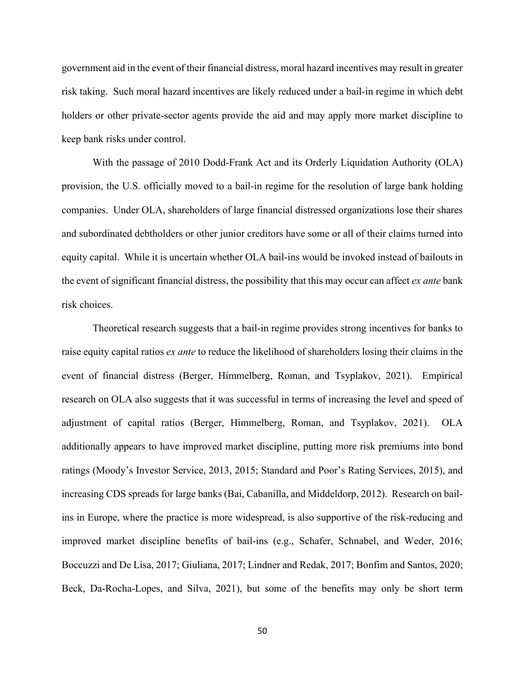government aid in the event of their financial distress, moral hazard incentives may result in greater risk taking. Such moral hazard incentives are likely reduced under a bail-in regime in which debt holders or other private-sector agents provide the aid and may apply more market discipline to keep bank risks under control.

With the passage of 2010 Dodd-Frank Act and its Orderly Liquidation Authority (OLA) provision, the U.S. officially moved to a bail-in regime for the resolution of large bank holding companies. Under OLA, shareholders of large financial distressed organizations lose their shares and subordinated debtholders or other junior creditors have some or all of their claims turned into equity capital. While it is uncertain whether OLA bail-ins would be invoked instead of bailouts in the event of significant financial distress, the possibility that this may occur can affect *ex ante* bank risk choices.

Theoretical research suggests that a bail-in regime provides strong incentives for banks to raise equity capital ratios *ex ante* to reduce the likelihood of shareholders losing their claims in the event of financial distress (Berger, Himmelberg, Roman, and Tsyplakov, 2021). Empirical research on OLA also suggests that it was successful in terms of increasing the level and speed of adjustment of capital ratios (Berger, Himmelberg, Roman, and Tsyplakov, 2021). OLA additionally appears to have improved market discipline, putting more risk premiums into bond ratings (Moody's Investor Service, 2013, 2015; Standard and Poor's Rating Services, 2015), and increasing CDS spreads for large banks (Bai, Cabanilla, and Middeldorp, 2012). Research on bailins in Europe, where the practice is more widespread, is also supportive of the risk-reducing and improved market discipline benefits of bail-ins (e.g., Schafer, Schnabel, and Weder, 2016; Boccuzzi and De Lisa, 2017; Giuliana, 2017; Lindner and Redak, 2017; Bonfim and Santos, 2020; Beck, Da-Rocha-Lopes, and Silva, 2021), but some of the benefits may only be short term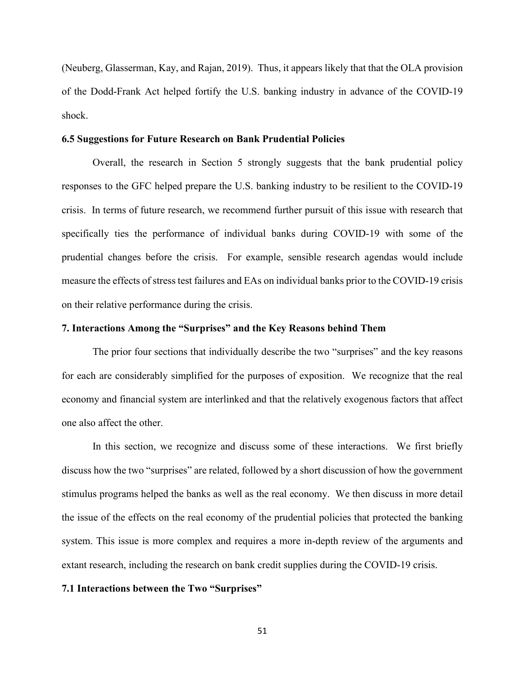(Neuberg, Glasserman, Kay, and Rajan, 2019). Thus, it appears likely that that the OLA provision of the Dodd-Frank Act helped fortify the U.S. banking industry in advance of the COVID-19 shock.

### **6.5 Suggestions for Future Research on Bank Prudential Policies**

Overall, the research in Section 5 strongly suggests that the bank prudential policy responses to the GFC helped prepare the U.S. banking industry to be resilient to the COVID-19 crisis. In terms of future research, we recommend further pursuit of this issue with research that specifically ties the performance of individual banks during COVID-19 with some of the prudential changes before the crisis. For example, sensible research agendas would include measure the effects of stress test failures and EAs on individual banks prior to the COVID-19 crisis on their relative performance during the crisis.

### **7. Interactions Among the "Surprises" and the Key Reasons behind Them**

The prior four sections that individually describe the two "surprises" and the key reasons for each are considerably simplified for the purposes of exposition. We recognize that the real economy and financial system are interlinked and that the relatively exogenous factors that affect one also affect the other.

In this section, we recognize and discuss some of these interactions. We first briefly discuss how the two "surprises" are related, followed by a short discussion of how the government stimulus programs helped the banks as well as the real economy. We then discuss in more detail the issue of the effects on the real economy of the prudential policies that protected the banking system. This issue is more complex and requires a more in-depth review of the arguments and extant research, including the research on bank credit supplies during the COVID-19 crisis.

#### **7.1 Interactions between the Two "Surprises"**

51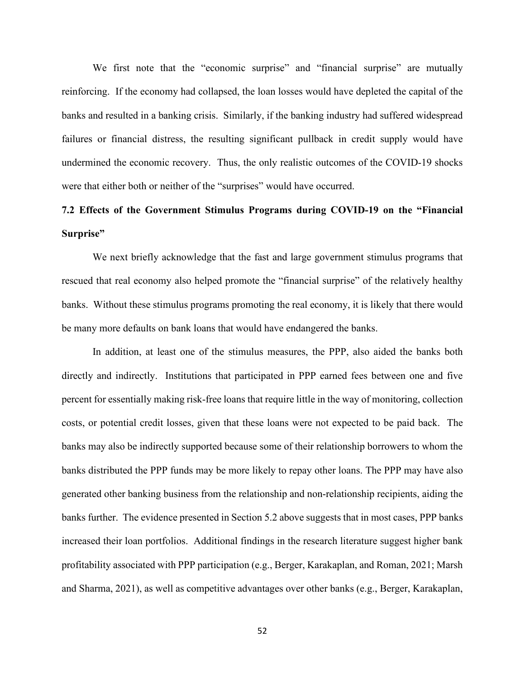We first note that the "economic surprise" and "financial surprise" are mutually reinforcing. If the economy had collapsed, the loan losses would have depleted the capital of the banks and resulted in a banking crisis. Similarly, if the banking industry had suffered widespread failures or financial distress, the resulting significant pullback in credit supply would have undermined the economic recovery. Thus, the only realistic outcomes of the COVID-19 shocks were that either both or neither of the "surprises" would have occurred.

## **7.2 Effects of the Government Stimulus Programs during COVID-19 on the "Financial Surprise"**

We next briefly acknowledge that the fast and large government stimulus programs that rescued that real economy also helped promote the "financial surprise" of the relatively healthy banks. Without these stimulus programs promoting the real economy, it is likely that there would be many more defaults on bank loans that would have endangered the banks.

In addition, at least one of the stimulus measures, the PPP, also aided the banks both directly and indirectly. Institutions that participated in PPP earned fees between one and five percent for essentially making risk-free loans that require little in the way of monitoring, collection costs, or potential credit losses, given that these loans were not expected to be paid back. The banks may also be indirectly supported because some of their relationship borrowers to whom the banks distributed the PPP funds may be more likely to repay other loans. The PPP may have also generated other banking business from the relationship and non-relationship recipients, aiding the banks further. The evidence presented in Section 5.2 above suggests that in most cases, PPP banks increased their loan portfolios. Additional findings in the research literature suggest higher bank profitability associated with PPP participation (e.g., Berger, Karakaplan, and Roman, 2021; Marsh and Sharma, 2021), as well as competitive advantages over other banks (e.g., Berger, Karakaplan,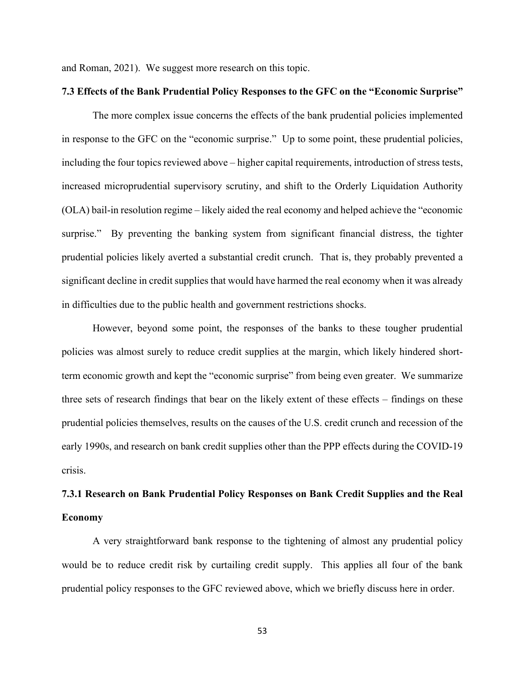and Roman, 2021). We suggest more research on this topic.

### **7.3 Effects of the Bank Prudential Policy Responses to the GFC on the "Economic Surprise"**

The more complex issue concerns the effects of the bank prudential policies implemented in response to the GFC on the "economic surprise." Up to some point, these prudential policies, including the four topics reviewed above – higher capital requirements, introduction of stress tests, increased microprudential supervisory scrutiny, and shift to the Orderly Liquidation Authority (OLA) bail-in resolution regime – likely aided the real economy and helped achieve the "economic surprise." By preventing the banking system from significant financial distress, the tighter prudential policies likely averted a substantial credit crunch. That is, they probably prevented a significant decline in credit supplies that would have harmed the real economy when it was already in difficulties due to the public health and government restrictions shocks.

However, beyond some point, the responses of the banks to these tougher prudential policies was almost surely to reduce credit supplies at the margin, which likely hindered shortterm economic growth and kept the "economic surprise" from being even greater. We summarize three sets of research findings that bear on the likely extent of these effects – findings on these prudential policies themselves, results on the causes of the U.S. credit crunch and recession of the early 1990s, and research on bank credit supplies other than the PPP effects during the COVID-19 crisis.

## **7.3.1 Research on Bank Prudential Policy Responses on Bank Credit Supplies and the Real Economy**

A very straightforward bank response to the tightening of almost any prudential policy would be to reduce credit risk by curtailing credit supply. This applies all four of the bank prudential policy responses to the GFC reviewed above, which we briefly discuss here in order.

53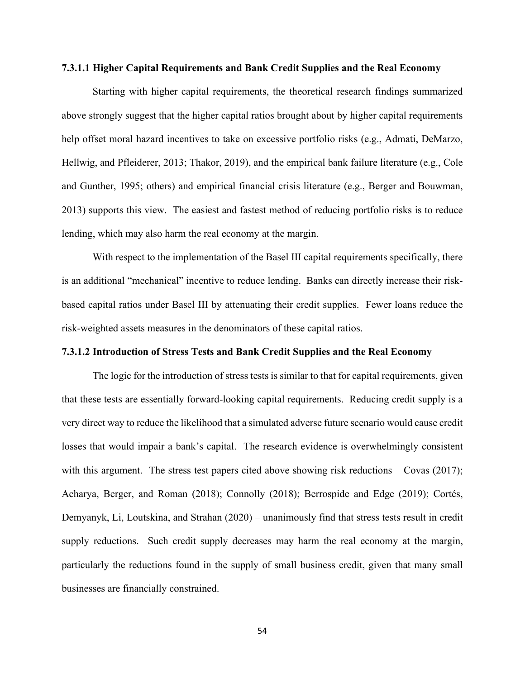### **7.3.1.1 Higher Capital Requirements and Bank Credit Supplies and the Real Economy**

Starting with higher capital requirements, the theoretical research findings summarized above strongly suggest that the higher capital ratios brought about by higher capital requirements help offset moral hazard incentives to take on excessive portfolio risks (e.g., Admati, DeMarzo, Hellwig, and Pfleiderer, 2013; Thakor, 2019), and the empirical bank failure literature (e.g., Cole and Gunther, 1995; others) and empirical financial crisis literature (e.g., Berger and Bouwman, 2013) supports this view. The easiest and fastest method of reducing portfolio risks is to reduce lending, which may also harm the real economy at the margin.

With respect to the implementation of the Basel III capital requirements specifically, there is an additional "mechanical" incentive to reduce lending. Banks can directly increase their riskbased capital ratios under Basel III by attenuating their credit supplies. Fewer loans reduce the risk-weighted assets measures in the denominators of these capital ratios.

### **7.3.1.2 Introduction of Stress Tests and Bank Credit Supplies and the Real Economy**

The logic for the introduction of stress tests is similar to that for capital requirements, given that these tests are essentially forward-looking capital requirements. Reducing credit supply is a very direct way to reduce the likelihood that a simulated adverse future scenario would cause credit losses that would impair a bank's capital. The research evidence is overwhelmingly consistent with this argument. The stress test papers cited above showing risk reductions – Covas (2017); Acharya, Berger, and Roman (2018); Connolly (2018); Berrospide and Edge (2019); Cortés, Demyanyk, Li, Loutskina, and Strahan (2020) – unanimously find that stress tests result in credit supply reductions. Such credit supply decreases may harm the real economy at the margin, particularly the reductions found in the supply of small business credit, given that many small businesses are financially constrained.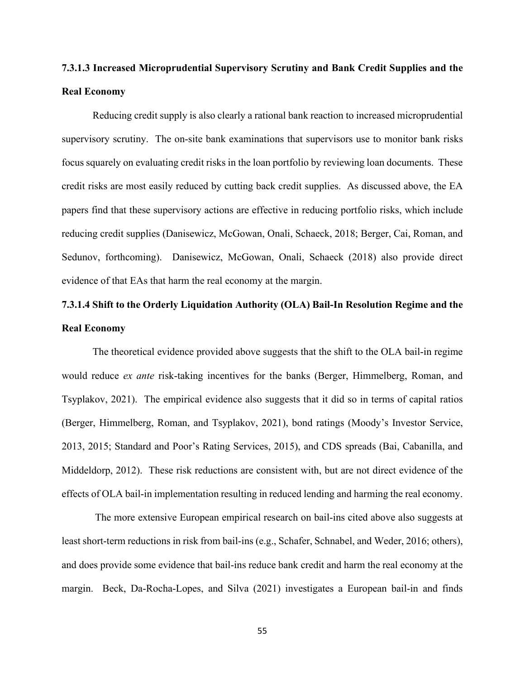## **7.3.1.3 Increased Microprudential Supervisory Scrutiny and Bank Credit Supplies and the Real Economy**

Reducing credit supply is also clearly a rational bank reaction to increased microprudential supervisory scrutiny. The on-site bank examinations that supervisors use to monitor bank risks focus squarely on evaluating credit risks in the loan portfolio by reviewing loan documents. These credit risks are most easily reduced by cutting back credit supplies. As discussed above, the EA papers find that these supervisory actions are effective in reducing portfolio risks, which include reducing credit supplies (Danisewicz, McGowan, Onali, Schaeck, 2018; Berger, Cai, Roman, and Sedunov, forthcoming). Danisewicz, McGowan, Onali, Schaeck (2018) also provide direct evidence of that EAs that harm the real economy at the margin.

## **7.3.1.4 Shift to the Orderly Liquidation Authority (OLA) Bail-In Resolution Regime and the Real Economy**

The theoretical evidence provided above suggests that the shift to the OLA bail-in regime would reduce *ex ante* risk-taking incentives for the banks (Berger, Himmelberg, Roman, and Tsyplakov, 2021). The empirical evidence also suggests that it did so in terms of capital ratios (Berger, Himmelberg, Roman, and Tsyplakov, 2021), bond ratings (Moody's Investor Service, 2013, 2015; Standard and Poor's Rating Services, 2015), and CDS spreads (Bai, Cabanilla, and Middeldorp, 2012). These risk reductions are consistent with, but are not direct evidence of the effects of OLA bail-in implementation resulting in reduced lending and harming the real economy.

The more extensive European empirical research on bail-ins cited above also suggests at least short-term reductions in risk from bail-ins (e.g., Schafer, Schnabel, and Weder, 2016; others), and does provide some evidence that bail-ins reduce bank credit and harm the real economy at the margin. Beck, Da-Rocha-Lopes, and Silva (2021) investigates a European bail-in and finds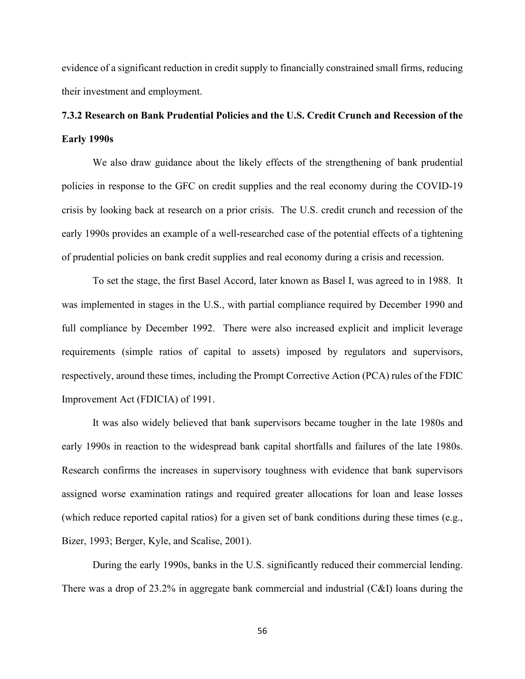evidence of a significant reduction in credit supply to financially constrained small firms, reducing their investment and employment.

# **7.3.2 Research on Bank Prudential Policies and the U.S. Credit Crunch and Recession of the Early 1990s**

We also draw guidance about the likely effects of the strengthening of bank prudential policies in response to the GFC on credit supplies and the real economy during the COVID-19 crisis by looking back at research on a prior crisis. The U.S. credit crunch and recession of the early 1990s provides an example of a well-researched case of the potential effects of a tightening of prudential policies on bank credit supplies and real economy during a crisis and recession.

To set the stage, the first Basel Accord, later known as Basel I, was agreed to in 1988. It was implemented in stages in the U.S., with partial compliance required by December 1990 and full compliance by December 1992. There were also increased explicit and implicit leverage requirements (simple ratios of capital to assets) imposed by regulators and supervisors, respectively, around these times, including the Prompt Corrective Action (PCA) rules of the FDIC Improvement Act (FDICIA) of 1991.

It was also widely believed that bank supervisors became tougher in the late 1980s and early 1990s in reaction to the widespread bank capital shortfalls and failures of the late 1980s. Research confirms the increases in supervisory toughness with evidence that bank supervisors assigned worse examination ratings and required greater allocations for loan and lease losses (which reduce reported capital ratios) for a given set of bank conditions during these times (e.g., Bizer, 1993; Berger, Kyle, and Scalise, 2001).

During the early 1990s, banks in the U.S. significantly reduced their commercial lending. There was a drop of 23.2% in aggregate bank commercial and industrial (C&I) loans during the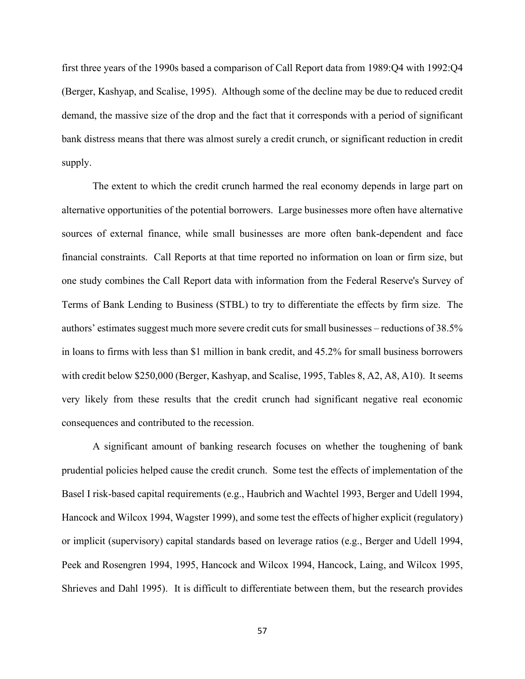first three years of the 1990s based a comparison of Call Report data from 1989:Q4 with 1992:Q4 (Berger, Kashyap, and Scalise, 1995). Although some of the decline may be due to reduced credit demand, the massive size of the drop and the fact that it corresponds with a period of significant bank distress means that there was almost surely a credit crunch, or significant reduction in credit supply.

The extent to which the credit crunch harmed the real economy depends in large part on alternative opportunities of the potential borrowers. Large businesses more often have alternative sources of external finance, while small businesses are more often bank-dependent and face financial constraints. Call Reports at that time reported no information on loan or firm size, but one study combines the Call Report data with information from the Federal Reserve's Survey of Terms of Bank Lending to Business (STBL) to try to differentiate the effects by firm size. The authors' estimates suggest much more severe credit cuts for small businesses – reductions of 38.5% in loans to firms with less than \$1 million in bank credit, and 45.2% for small business borrowers with credit below \$250,000 (Berger, Kashyap, and Scalise, 1995, Tables 8, A2, A8, A10). It seems very likely from these results that the credit crunch had significant negative real economic consequences and contributed to the recession.

A significant amount of banking research focuses on whether the toughening of bank prudential policies helped cause the credit crunch. Some test the effects of implementation of the Basel I risk-based capital requirements (e.g., Haubrich and Wachtel 1993, Berger and Udell 1994, Hancock and Wilcox 1994, Wagster 1999), and some test the effects of higher explicit (regulatory) or implicit (supervisory) capital standards based on leverage ratios (e.g., Berger and Udell 1994, Peek and Rosengren 1994, 1995, Hancock and Wilcox 1994, Hancock, Laing, and Wilcox 1995, Shrieves and Dahl 1995). It is difficult to differentiate between them, but the research provides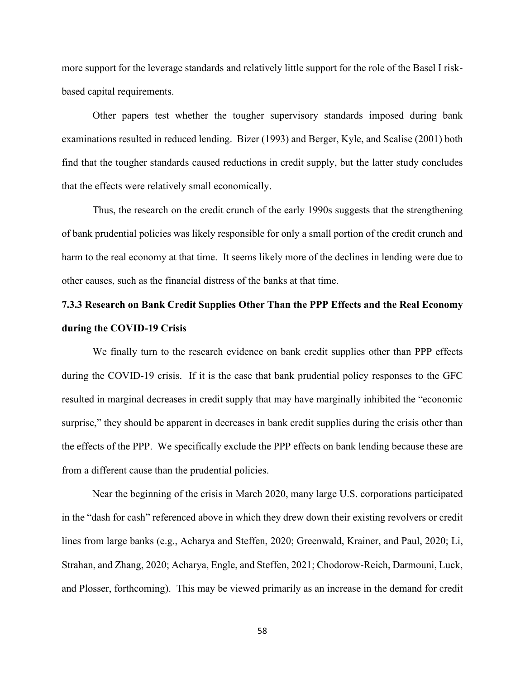more support for the leverage standards and relatively little support for the role of the Basel I riskbased capital requirements.

Other papers test whether the tougher supervisory standards imposed during bank examinations resulted in reduced lending. Bizer (1993) and Berger, Kyle, and Scalise (2001) both find that the tougher standards caused reductions in credit supply, but the latter study concludes that the effects were relatively small economically.

Thus, the research on the credit crunch of the early 1990s suggests that the strengthening of bank prudential policies was likely responsible for only a small portion of the credit crunch and harm to the real economy at that time. It seems likely more of the declines in lending were due to other causes, such as the financial distress of the banks at that time.

# **7.3.3 Research on Bank Credit Supplies Other Than the PPP Effects and the Real Economy during the COVID-19 Crisis**

We finally turn to the research evidence on bank credit supplies other than PPP effects during the COVID-19 crisis. If it is the case that bank prudential policy responses to the GFC resulted in marginal decreases in credit supply that may have marginally inhibited the "economic surprise," they should be apparent in decreases in bank credit supplies during the crisis other than the effects of the PPP. We specifically exclude the PPP effects on bank lending because these are from a different cause than the prudential policies.

Near the beginning of the crisis in March 2020, many large U.S. corporations participated in the "dash for cash" referenced above in which they drew down their existing revolvers or credit lines from large banks (e.g., Acharya and Steffen, 2020; Greenwald, Krainer, and Paul, 2020; Li, Strahan, and Zhang, 2020; Acharya, Engle, and Steffen, 2021; Chodorow-Reich, Darmouni, Luck, and Plosser, forthcoming). This may be viewed primarily as an increase in the demand for credit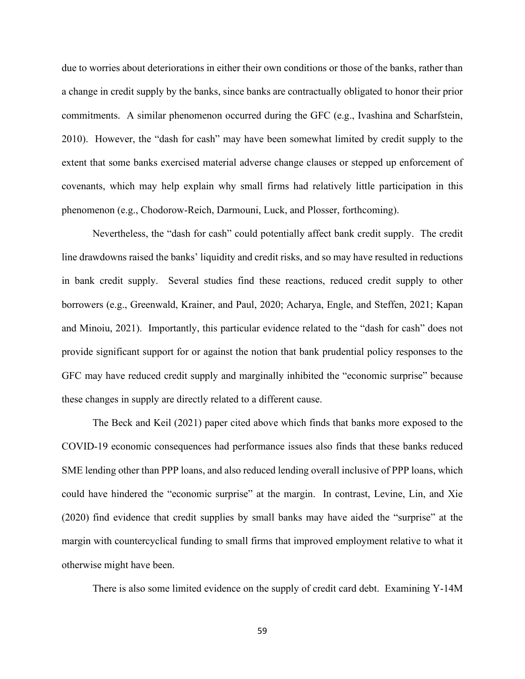due to worries about deteriorations in either their own conditions or those of the banks, rather than a change in credit supply by the banks, since banks are contractually obligated to honor their prior commitments. A similar phenomenon occurred during the GFC (e.g., Ivashina and Scharfstein, 2010). However, the "dash for cash" may have been somewhat limited by credit supply to the extent that some banks exercised material adverse change clauses or stepped up enforcement of covenants, which may help explain why small firms had relatively little participation in this phenomenon (e.g., Chodorow-Reich, Darmouni, Luck, and Plosser, forthcoming).

Nevertheless, the "dash for cash" could potentially affect bank credit supply. The credit line drawdowns raised the banks' liquidity and credit risks, and so may have resulted in reductions in bank credit supply. Several studies find these reactions, reduced credit supply to other borrowers (e.g., Greenwald, Krainer, and Paul, 2020; Acharya, Engle, and Steffen, 2021; Kapan and Minoiu, 2021). Importantly, this particular evidence related to the "dash for cash" does not provide significant support for or against the notion that bank prudential policy responses to the GFC may have reduced credit supply and marginally inhibited the "economic surprise" because these changes in supply are directly related to a different cause.

The Beck and Keil (2021) paper cited above which finds that banks more exposed to the COVID-19 economic consequences had performance issues also finds that these banks reduced SME lending other than PPP loans, and also reduced lending overall inclusive of PPP loans, which could have hindered the "economic surprise" at the margin. In contrast, Levine, Lin, and Xie (2020) find evidence that credit supplies by small banks may have aided the "surprise" at the margin with countercyclical funding to small firms that improved employment relative to what it otherwise might have been.

There is also some limited evidence on the supply of credit card debt. Examining Y-14M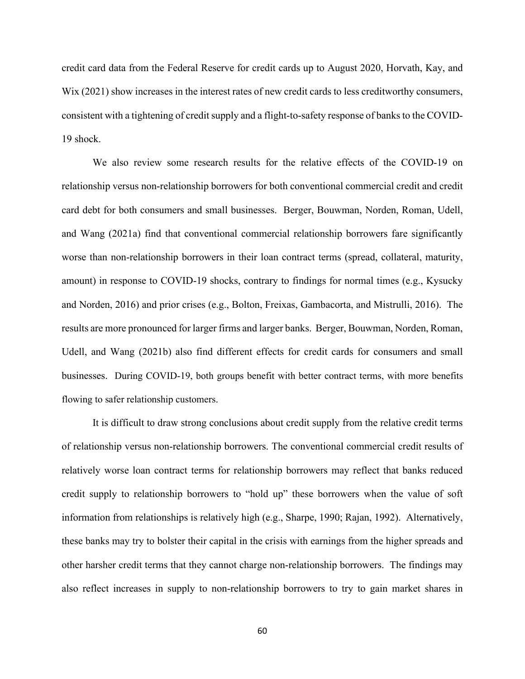credit card data from the Federal Reserve for credit cards up to August 2020, Horvath, Kay, and Wix (2021) show increases in the interest rates of new credit cards to less creditworthy consumers, consistent with a tightening of credit supply and a flight-to-safety response of banks to the COVID-19 shock.

We also review some research results for the relative effects of the COVID-19 on relationship versus non-relationship borrowers for both conventional commercial credit and credit card debt for both consumers and small businesses. Berger, Bouwman, Norden, Roman, Udell, and Wang (2021a) find that conventional commercial relationship borrowers fare significantly worse than non-relationship borrowers in their loan contract terms (spread, collateral, maturity, amount) in response to COVID-19 shocks, contrary to findings for normal times (e.g., Kysucky and Norden, 2016) and prior crises (e.g., Bolton, Freixas, Gambacorta, and Mistrulli, 2016). The results are more pronounced for larger firms and larger banks. Berger, Bouwman, Norden, Roman, Udell, and Wang (2021b) also find different effects for credit cards for consumers and small businesses. During COVID-19, both groups benefit with better contract terms, with more benefits flowing to safer relationship customers.

It is difficult to draw strong conclusions about credit supply from the relative credit terms of relationship versus non-relationship borrowers. The conventional commercial credit results of relatively worse loan contract terms for relationship borrowers may reflect that banks reduced credit supply to relationship borrowers to "hold up" these borrowers when the value of soft information from relationships is relatively high (e.g., Sharpe, 1990; Rajan, 1992). Alternatively, these banks may try to bolster their capital in the crisis with earnings from the higher spreads and other harsher credit terms that they cannot charge non-relationship borrowers. The findings may also reflect increases in supply to non-relationship borrowers to try to gain market shares in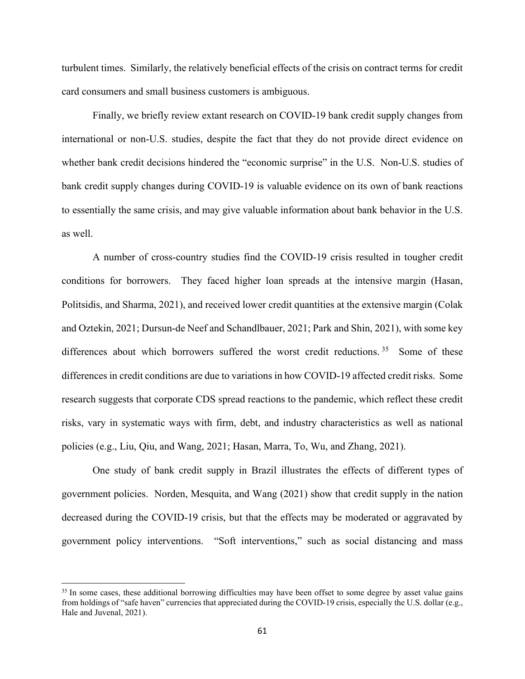turbulent times. Similarly, the relatively beneficial effects of the crisis on contract terms for credit card consumers and small business customers is ambiguous.

Finally, we briefly review extant research on COVID-19 bank credit supply changes from international or non-U.S. studies, despite the fact that they do not provide direct evidence on whether bank credit decisions hindered the "economic surprise" in the U.S. Non-U.S. studies of bank credit supply changes during COVID-19 is valuable evidence on its own of bank reactions to essentially the same crisis, and may give valuable information about bank behavior in the U.S. as well.

A number of cross-country studies find the COVID-19 crisis resulted in tougher credit conditions for borrowers. They faced higher loan spreads at the intensive margin (Hasan, Politsidis, and Sharma, 2021), and received lower credit quantities at the extensive margin (Colak and Oztekin, 2021; Dursun-de Neef and Schandlbauer, 2021; Park and Shin, 2021), with some key differences about which borrowers suffered the worst credit reductions.<sup>[35](#page-62-0)</sup> Some of these differences in credit conditions are due to variations in how COVID-19 affected credit risks. Some research suggests that corporate CDS spread reactions to the pandemic, which reflect these credit risks, vary in systematic ways with firm, debt, and industry characteristics as well as national policies (e.g., Liu, Qiu, and Wang, 2021; Hasan, Marra, To, Wu, and Zhang, 2021).

One study of bank credit supply in Brazil illustrates the effects of different types of government policies. Norden, Mesquita, and Wang (2021) show that credit supply in the nation decreased during the COVID-19 crisis, but that the effects may be moderated or aggravated by government policy interventions. "Soft interventions," such as social distancing and mass

<span id="page-62-0"></span><sup>&</sup>lt;sup>35</sup> In some cases, these additional borrowing difficulties may have been offset to some degree by asset value gains from holdings of "safe haven" currencies that appreciated during the COVID-19 crisis, especially the U.S. dollar (e.g., Hale and Juvenal, 2021).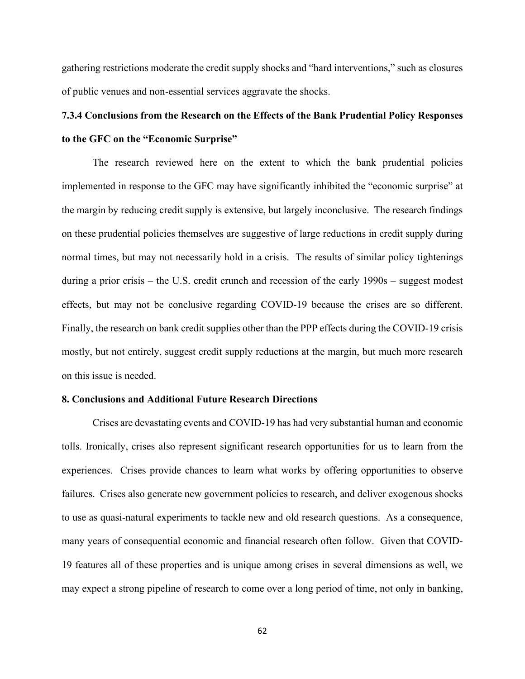gathering restrictions moderate the credit supply shocks and "hard interventions," such as closures of public venues and non-essential services aggravate the shocks.

# **7.3.4 Conclusions from the Research on the Effects of the Bank Prudential Policy Responses to the GFC on the "Economic Surprise"**

The research reviewed here on the extent to which the bank prudential policies implemented in response to the GFC may have significantly inhibited the "economic surprise" at the margin by reducing credit supply is extensive, but largely inconclusive. The research findings on these prudential policies themselves are suggestive of large reductions in credit supply during normal times, but may not necessarily hold in a crisis. The results of similar policy tightenings during a prior crisis – the U.S. credit crunch and recession of the early 1990s – suggest modest effects, but may not be conclusive regarding COVID-19 because the crises are so different. Finally, the research on bank credit supplies other than the PPP effects during the COVID-19 crisis mostly, but not entirely, suggest credit supply reductions at the margin, but much more research on this issue is needed.

### **8. Conclusions and Additional Future Research Directions**

Crises are devastating events and COVID-19 has had very substantial human and economic tolls. Ironically, crises also represent significant research opportunities for us to learn from the experiences. Crises provide chances to learn what works by offering opportunities to observe failures. Crises also generate new government policies to research, and deliver exogenous shocks to use as quasi-natural experiments to tackle new and old research questions. As a consequence, many years of consequential economic and financial research often follow. Given that COVID-19 features all of these properties and is unique among crises in several dimensions as well, we may expect a strong pipeline of research to come over a long period of time, not only in banking,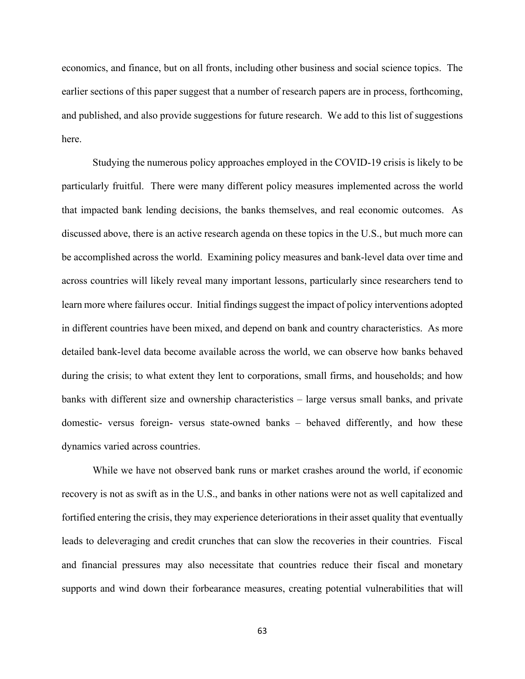economics, and finance, but on all fronts, including other business and social science topics. The earlier sections of this paper suggest that a number of research papers are in process, forthcoming, and published, and also provide suggestions for future research. We add to this list of suggestions here.

Studying the numerous policy approaches employed in the COVID-19 crisis is likely to be particularly fruitful. There were many different policy measures implemented across the world that impacted bank lending decisions, the banks themselves, and real economic outcomes. As discussed above, there is an active research agenda on these topics in the U.S., but much more can be accomplished across the world. Examining policy measures and bank-level data over time and across countries will likely reveal many important lessons, particularly since researchers tend to learn more where failures occur. Initial findings suggest the impact of policy interventions adopted in different countries have been mixed, and depend on bank and country characteristics. As more detailed bank-level data become available across the world, we can observe how banks behaved during the crisis; to what extent they lent to corporations, small firms, and households; and how banks with different size and ownership characteristics – large versus small banks, and private domestic- versus foreign- versus state-owned banks – behaved differently, and how these dynamics varied across countries.

While we have not observed bank runs or market crashes around the world, if economic recovery is not as swift as in the U.S., and banks in other nations were not as well capitalized and fortified entering the crisis, they may experience deteriorations in their asset quality that eventually leads to deleveraging and credit crunches that can slow the recoveries in their countries. Fiscal and financial pressures may also necessitate that countries reduce their fiscal and monetary supports and wind down their forbearance measures, creating potential vulnerabilities that will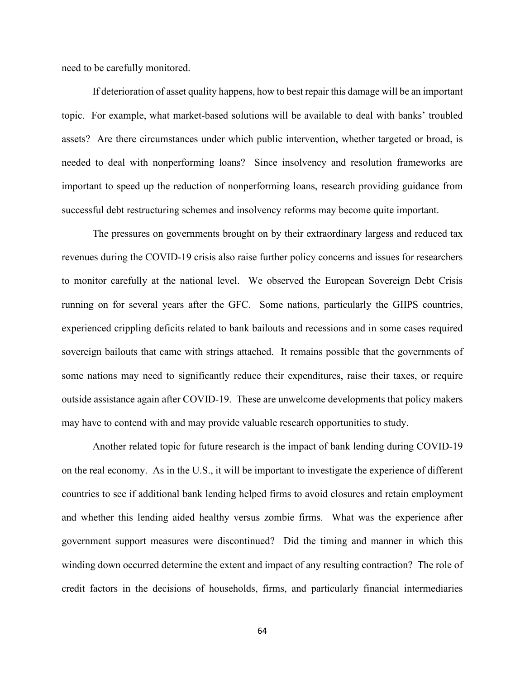need to be carefully monitored.

If deterioration of asset quality happens, how to best repair this damage will be an important topic. For example, what market-based solutions will be available to deal with banks' troubled assets? Are there circumstances under which public intervention, whether targeted or broad, is needed to deal with nonperforming loans? Since insolvency and resolution frameworks are important to speed up the reduction of nonperforming loans, research providing guidance from successful debt restructuring schemes and insolvency reforms may become quite important.

The pressures on governments brought on by their extraordinary largess and reduced tax revenues during the COVID-19 crisis also raise further policy concerns and issues for researchers to monitor carefully at the national level. We observed the European Sovereign Debt Crisis running on for several years after the GFC. Some nations, particularly the GIIPS countries, experienced crippling deficits related to bank bailouts and recessions and in some cases required sovereign bailouts that came with strings attached. It remains possible that the governments of some nations may need to significantly reduce their expenditures, raise their taxes, or require outside assistance again after COVID-19. These are unwelcome developments that policy makers may have to contend with and may provide valuable research opportunities to study.

Another related topic for future research is the impact of bank lending during COVID-19 on the real economy. As in the U.S., it will be important to investigate the experience of different countries to see if additional bank lending helped firms to avoid closures and retain employment and whether this lending aided healthy versus zombie firms. What was the experience after government support measures were discontinued? Did the timing and manner in which this winding down occurred determine the extent and impact of any resulting contraction? The role of credit factors in the decisions of households, firms, and particularly financial intermediaries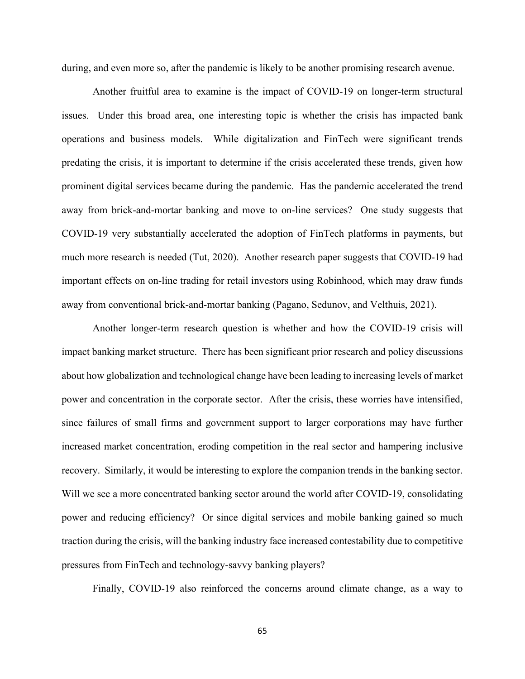during, and even more so, after the pandemic is likely to be another promising research avenue.

Another fruitful area to examine is the impact of COVID-19 on longer-term structural issues. Under this broad area, one interesting topic is whether the crisis has impacted bank operations and business models. While digitalization and FinTech were significant trends predating the crisis, it is important to determine if the crisis accelerated these trends, given how prominent digital services became during the pandemic. Has the pandemic accelerated the trend away from brick-and-mortar banking and move to on-line services? One study suggests that COVID-19 very substantially accelerated the adoption of FinTech platforms in payments, but much more research is needed (Tut, 2020). Another research paper suggests that COVID-19 had important effects on on-line trading for retail investors using Robinhood, which may draw funds away from conventional brick-and-mortar banking (Pagano, Sedunov, and Velthuis, 2021).

Another longer-term research question is whether and how the COVID-19 crisis will impact banking market structure. There has been significant prior research and policy discussions about how globalization and technological change have been leading to increasing levels of market power and concentration in the corporate sector. After the crisis, these worries have intensified, since failures of small firms and government support to larger corporations may have further increased market concentration, eroding competition in the real sector and hampering inclusive recovery. Similarly, it would be interesting to explore the companion trends in the banking sector. Will we see a more concentrated banking sector around the world after COVID-19, consolidating power and reducing efficiency? Or since digital services and mobile banking gained so much traction during the crisis, will the banking industry face increased contestability due to competitive pressures from FinTech and technology-savvy banking players?

Finally, COVID-19 also reinforced the concerns around climate change, as a way to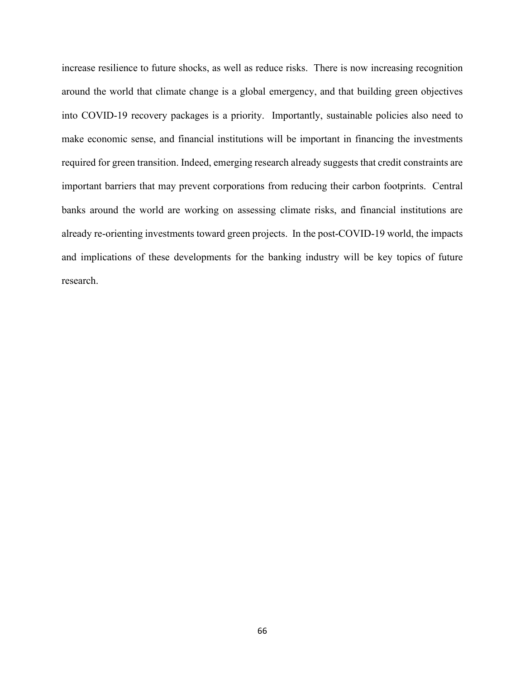increase resilience to future shocks, as well as reduce risks. There is now increasing recognition around the world that climate change is a global emergency, and that building green objectives into COVID-19 recovery packages is a priority. Importantly, sustainable policies also need to make economic sense, and financial institutions will be important in financing the investments required for green transition. Indeed, emerging research already suggests that credit constraints are important barriers that may prevent corporations from reducing their carbon footprints. Central banks around the world are working on assessing climate risks, and financial institutions are already re-orienting investments toward green projects. In the post-COVID-19 world, the impacts and implications of these developments for the banking industry will be key topics of future research.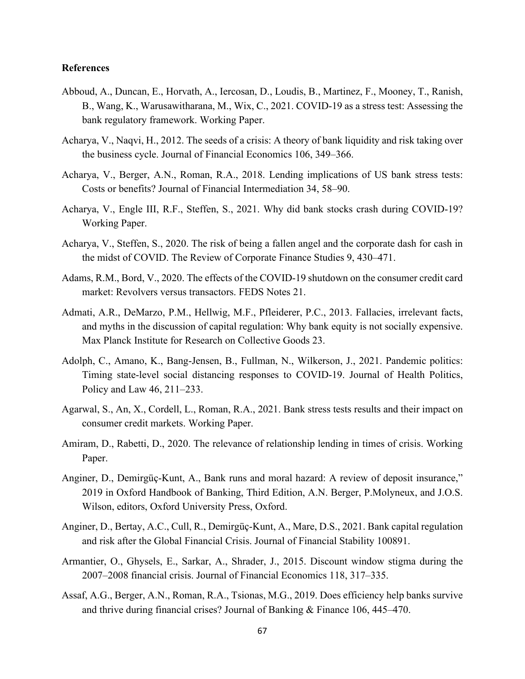### **References**

- Abboud, A., Duncan, E., Horvath, A., Iercosan, D., Loudis, B., Martinez, F., Mooney, T., Ranish, B., Wang, K., Warusawitharana, M., Wix, C., 2021. COVID-19 as a stress test: Assessing the bank regulatory framework. Working Paper.
- Acharya, V., Naqvi, H., 2012. The seeds of a crisis: A theory of bank liquidity and risk taking over the business cycle. Journal of Financial Economics 106, 349–366.
- Acharya, V., Berger, A.N., Roman, R.A., 2018. Lending implications of US bank stress tests: Costs or benefits? Journal of Financial Intermediation 34, 58–90.
- Acharya, V., Engle III, R.F., Steffen, S., 2021. Why did bank stocks crash during COVID-19? Working Paper.
- Acharya, V., Steffen, S., 2020. The risk of being a fallen angel and the corporate dash for cash in the midst of COVID. The Review of Corporate Finance Studies 9, 430–471.
- Adams, R.M., Bord, V., 2020. The effects of the COVID-19 shutdown on the consumer credit card market: Revolvers versus transactors. FEDS Notes 21.
- Admati, A.R., DeMarzo, P.M., Hellwig, M.F., Pfleiderer, P.C., 2013. Fallacies, irrelevant facts, and myths in the discussion of capital regulation: Why bank equity is not socially expensive. Max Planck Institute for Research on Collective Goods 23.
- Adolph, C., Amano, K., Bang-Jensen, B., Fullman, N., Wilkerson, J., 2021. Pandemic politics: Timing state-level social distancing responses to COVID-19. Journal of Health Politics, Policy and Law 46, 211–233.
- Agarwal, S., An, X., Cordell, L., Roman, R.A., 2021. Bank stress tests results and their impact on consumer credit markets. Working Paper.
- Amiram, D., Rabetti, D., 2020. The relevance of relationship lending in times of crisis. Working Paper.
- Anginer, D., Demirgüç-Kunt, A., Bank runs and moral hazard: A review of deposit insurance," 2019 in Oxford Handbook of Banking, Third Edition, A.N. Berger, P.Molyneux, and J.O.S. Wilson, editors, Oxford University Press, Oxford.
- Anginer, D., Bertay, A.C., Cull, R., Demirgüç-Kunt, A., Mare, D.S., 2021. Bank capital regulation and risk after the Global Financial Crisis. Journal of Financial Stability 100891.
- Armantier, O., Ghysels, E., Sarkar, A., Shrader, J., 2015. Discount window stigma during the 2007–2008 financial crisis. Journal of Financial Economics 118, 317–335.
- Assaf, A.G., Berger, A.N., Roman, R.A., Tsionas, M.G., 2019. Does efficiency help banks survive and thrive during financial crises? Journal of Banking & Finance 106, 445–470.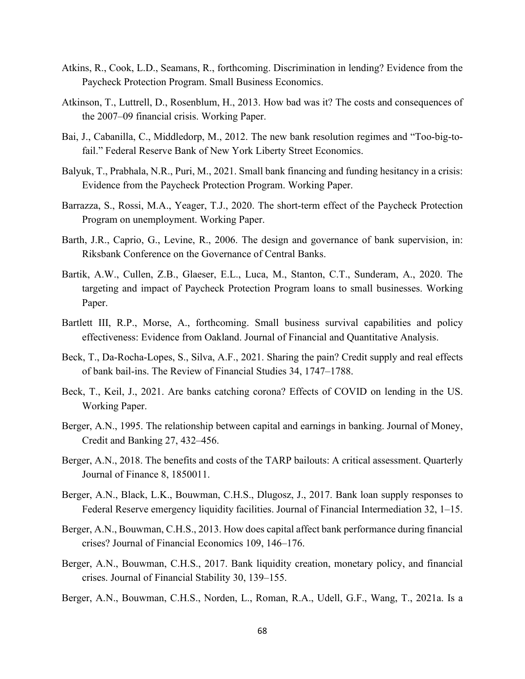- Atkins, R., Cook, L.D., Seamans, R., forthcoming. Discrimination in lending? Evidence from the Paycheck Protection Program. Small Business Economics.
- Atkinson, T., Luttrell, D., Rosenblum, H., 2013. How bad was it? The costs and consequences of the 2007–09 financial crisis. Working Paper.
- Bai, J., Cabanilla, C., Middledorp, M., 2012. The new bank resolution regimes and "Too-big-tofail." Federal Reserve Bank of New York Liberty Street Economics.
- Balyuk, T., Prabhala, N.R., Puri, M., 2021. Small bank financing and funding hesitancy in a crisis: Evidence from the Paycheck Protection Program. Working Paper.
- Barrazza, S., Rossi, M.A., Yeager, T.J., 2020. The short-term effect of the Paycheck Protection Program on unemployment. Working Paper.
- Barth, J.R., Caprio, G., Levine, R., 2006. The design and governance of bank supervision, in: Riksbank Conference on the Governance of Central Banks.
- Bartik, A.W., Cullen, Z.B., Glaeser, E.L., Luca, M., Stanton, C.T., Sunderam, A., 2020. The targeting and impact of Paycheck Protection Program loans to small businesses. Working Paper.
- Bartlett III, R.P., Morse, A., forthcoming. Small business survival capabilities and policy effectiveness: Evidence from Oakland. Journal of Financial and Quantitative Analysis.
- Beck, T., Da-Rocha-Lopes, S., Silva, A.F., 2021. Sharing the pain? Credit supply and real effects of bank bail-ins. The Review of Financial Studies 34, 1747–1788.
- Beck, T., Keil, J., 2021. Are banks catching corona? Effects of COVID on lending in the US. Working Paper.
- Berger, A.N., 1995. The relationship between capital and earnings in banking. Journal of Money, Credit and Banking 27, 432–456.
- Berger, A.N., 2018. The benefits and costs of the TARP bailouts: A critical assessment. Quarterly Journal of Finance 8, 1850011.
- Berger, A.N., Black, L.K., Bouwman, C.H.S., Dlugosz, J., 2017. Bank loan supply responses to Federal Reserve emergency liquidity facilities. Journal of Financial Intermediation 32, 1–15.
- Berger, A.N., Bouwman, C.H.S., 2013. How does capital affect bank performance during financial crises? Journal of Financial Economics 109, 146–176.
- Berger, A.N., Bouwman, C.H.S., 2017. Bank liquidity creation, monetary policy, and financial crises. Journal of Financial Stability 30, 139–155.
- Berger, A.N., Bouwman, C.H.S., Norden, L., Roman, R.A., Udell, G.F., Wang, T., 2021a. Is a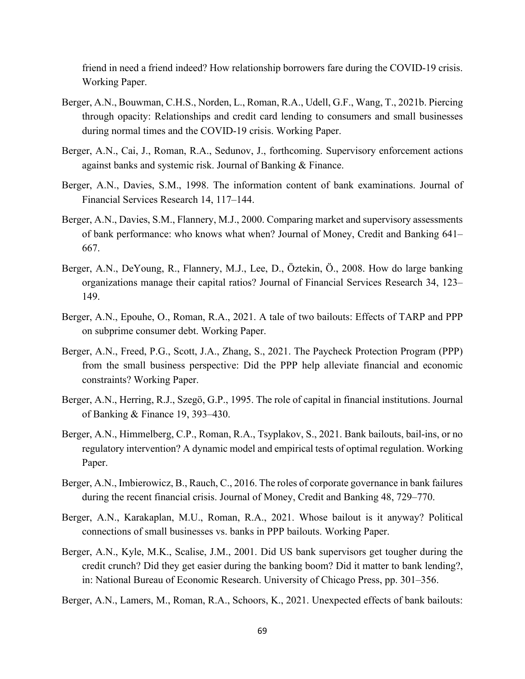friend in need a friend indeed? How relationship borrowers fare during the COVID-19 crisis. Working Paper.

- Berger, A.N., Bouwman, C.H.S., Norden, L., Roman, R.A., Udell, G.F., Wang, T., 2021b. Piercing through opacity: Relationships and credit card lending to consumers and small businesses during normal times and the COVID-19 crisis. Working Paper.
- Berger, A.N., Cai, J., Roman, R.A., Sedunov, J., forthcoming. Supervisory enforcement actions against banks and systemic risk. Journal of Banking & Finance.
- Berger, A.N., Davies, S.M., 1998. The information content of bank examinations. Journal of Financial Services Research 14, 117–144.
- Berger, A.N., Davies, S.M., Flannery, M.J., 2000. Comparing market and supervisory assessments of bank performance: who knows what when? Journal of Money, Credit and Banking 641– 667.
- Berger, A.N., DeYoung, R., Flannery, M.J., Lee, D., Öztekin, Ö., 2008. How do large banking organizations manage their capital ratios? Journal of Financial Services Research 34, 123– 149.
- Berger, A.N., Epouhe, O., Roman, R.A., 2021. A tale of two bailouts: Effects of TARP and PPP on subprime consumer debt. Working Paper.
- Berger, A.N., Freed, P.G., Scott, J.A., Zhang, S., 2021. The Paycheck Protection Program (PPP) from the small business perspective: Did the PPP help alleviate financial and economic constraints? Working Paper.
- Berger, A.N., Herring, R.J., Szegö, G.P., 1995. The role of capital in financial institutions. Journal of Banking & Finance 19, 393–430.
- Berger, A.N., Himmelberg, C.P., Roman, R.A., Tsyplakov, S., 2021. Bank bailouts, bail-ins, or no regulatory intervention? A dynamic model and empirical tests of optimal regulation. Working Paper.
- Berger, A.N., Imbierowicz, B., Rauch, C., 2016. The roles of corporate governance in bank failures during the recent financial crisis. Journal of Money, Credit and Banking 48, 729–770.
- Berger, A.N., Karakaplan, M.U., Roman, R.A., 2021. Whose bailout is it anyway? Political connections of small businesses vs. banks in PPP bailouts. Working Paper.
- Berger, A.N., Kyle, M.K., Scalise, J.M., 2001. Did US bank supervisors get tougher during the credit crunch? Did they get easier during the banking boom? Did it matter to bank lending?, in: National Bureau of Economic Research. University of Chicago Press, pp. 301–356.
- Berger, A.N., Lamers, M., Roman, R.A., Schoors, K., 2021. Unexpected effects of bank bailouts: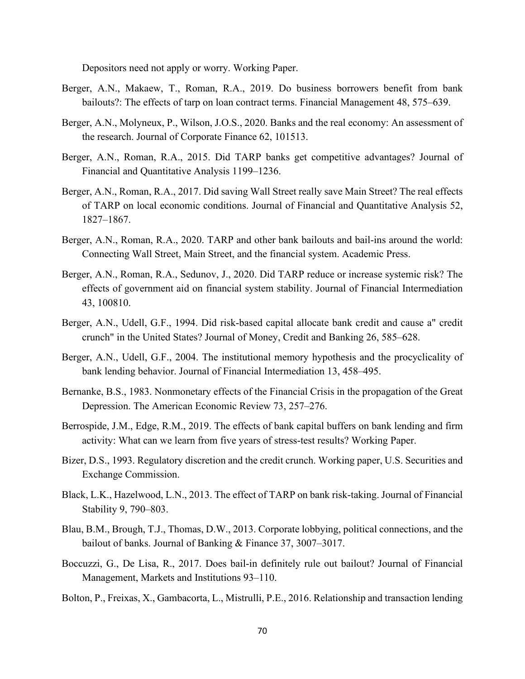Depositors need not apply or worry. Working Paper.

- Berger, A.N., Makaew, T., Roman, R.A., 2019. Do business borrowers benefit from bank bailouts?: The effects of tarp on loan contract terms. Financial Management 48, 575–639.
- Berger, A.N., Molyneux, P., Wilson, J.O.S., 2020. Banks and the real economy: An assessment of the research. Journal of Corporate Finance 62, 101513.
- Berger, A.N., Roman, R.A., 2015. Did TARP banks get competitive advantages? Journal of Financial and Quantitative Analysis 1199–1236.
- Berger, A.N., Roman, R.A., 2017. Did saving Wall Street really save Main Street? The real effects of TARP on local economic conditions. Journal of Financial and Quantitative Analysis 52, 1827–1867.
- Berger, A.N., Roman, R.A., 2020. TARP and other bank bailouts and bail-ins around the world: Connecting Wall Street, Main Street, and the financial system. Academic Press.
- Berger, A.N., Roman, R.A., Sedunov, J., 2020. Did TARP reduce or increase systemic risk? The effects of government aid on financial system stability. Journal of Financial Intermediation 43, 100810.
- Berger, A.N., Udell, G.F., 1994. Did risk-based capital allocate bank credit and cause a" credit crunch" in the United States? Journal of Money, Credit and Banking 26, 585–628.
- Berger, A.N., Udell, G.F., 2004. The institutional memory hypothesis and the procyclicality of bank lending behavior. Journal of Financial Intermediation 13, 458–495.
- Bernanke, B.S., 1983. Nonmonetary effects of the Financial Crisis in the propagation of the Great Depression. The American Economic Review 73, 257–276.
- Berrospide, J.M., Edge, R.M., 2019. The effects of bank capital buffers on bank lending and firm activity: What can we learn from five years of stress-test results? Working Paper.
- Bizer, D.S., 1993. Regulatory discretion and the credit crunch. Working paper, U.S. Securities and Exchange Commission.
- Black, L.K., Hazelwood, L.N., 2013. The effect of TARP on bank risk-taking. Journal of Financial Stability 9, 790–803.
- Blau, B.M., Brough, T.J., Thomas, D.W., 2013. Corporate lobbying, political connections, and the bailout of banks. Journal of Banking & Finance 37, 3007–3017.
- Boccuzzi, G., De Lisa, R., 2017. Does bail-in definitely rule out bailout? Journal of Financial Management, Markets and Institutions 93–110.
- Bolton, P., Freixas, X., Gambacorta, L., Mistrulli, P.E., 2016. Relationship and transaction lending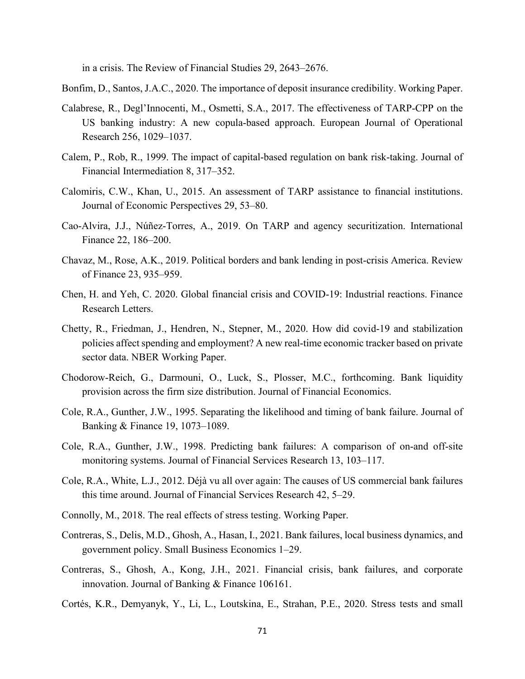in a crisis. The Review of Financial Studies 29, 2643–2676.

Bonfim, D., Santos, J.A.C., 2020. The importance of deposit insurance credibility. Working Paper.

- Calabrese, R., Degl'Innocenti, M., Osmetti, S.A., 2017. The effectiveness of TARP-CPP on the US banking industry: A new copula-based approach. European Journal of Operational Research 256, 1029–1037.
- Calem, P., Rob, R., 1999. The impact of capital-based regulation on bank risk-taking. Journal of Financial Intermediation 8, 317–352.
- Calomiris, C.W., Khan, U., 2015. An assessment of TARP assistance to financial institutions. Journal of Economic Perspectives 29, 53–80.
- Cao‐Alvira, J.J., Núñez‐Torres, A., 2019. On TARP and agency securitization. International Finance 22, 186–200.
- Chavaz, M., Rose, A.K., 2019. Political borders and bank lending in post-crisis America. Review of Finance 23, 935–959.
- Chen, H. and Yeh, C. 2020. Global financial crisis and COVID-19: Industrial reactions. Finance Research Letters.
- Chetty, R., Friedman, J., Hendren, N., Stepner, M., 2020. How did covid-19 and stabilization policies affect spending and employment? A new real-time economic tracker based on private sector data. NBER Working Paper.
- Chodorow-Reich, G., Darmouni, O., Luck, S., Plosser, M.C., forthcoming. Bank liquidity provision across the firm size distribution. Journal of Financial Economics.
- Cole, R.A., Gunther, J.W., 1995. Separating the likelihood and timing of bank failure. Journal of Banking & Finance 19, 1073–1089.
- Cole, R.A., Gunther, J.W., 1998. Predicting bank failures: A comparison of on-and off-site monitoring systems. Journal of Financial Services Research 13, 103–117.
- Cole, R.A., White, L.J., 2012. Déjà vu all over again: The causes of US commercial bank failures this time around. Journal of Financial Services Research 42, 5–29.
- Connolly, M., 2018. The real effects of stress testing. Working Paper.
- Contreras, S., Delis, M.D., Ghosh, A., Hasan, I., 2021. Bank failures, local business dynamics, and government policy. Small Business Economics 1–29.
- Contreras, S., Ghosh, A., Kong, J.H., 2021. Financial crisis, bank failures, and corporate innovation. Journal of Banking & Finance 106161.
- Cortés, K.R., Demyanyk, Y., Li, L., Loutskina, E., Strahan, P.E., 2020. Stress tests and small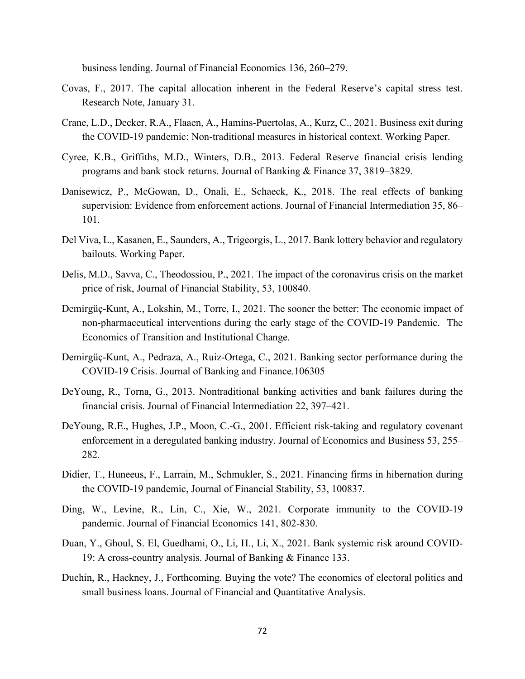business lending. Journal of Financial Economics 136, 260–279.

- Covas, F., 2017. The capital allocation inherent in the Federal Reserve's capital stress test. Research Note, January 31.
- Crane, L.D., Decker, R.A., Flaaen, A., Hamins-Puertolas, A., Kurz, C., 2021. Business exit during the COVID-19 pandemic: Non-traditional measures in historical context. Working Paper.
- Cyree, K.B., Griffiths, M.D., Winters, D.B., 2013. Federal Reserve financial crisis lending programs and bank stock returns. Journal of Banking & Finance 37, 3819–3829.
- Danisewicz, P., McGowan, D., Onali, E., Schaeck, K., 2018. The real effects of banking supervision: Evidence from enforcement actions. Journal of Financial Intermediation 35, 86– 101.
- Del Viva, L., Kasanen, E., Saunders, A., Trigeorgis, L., 2017. Bank lottery behavior and regulatory bailouts. Working Paper.
- Delis, M.D., Savva, C., Theodossiou, P., 2021. The impact of the coronavirus crisis on the market price of risk, Journal of Financial Stability, 53, 100840.
- Demirgüç-Kunt, A., Lokshin, M., Torre, I., 2021. The sooner the better: The economic impact of non-pharmaceutical interventions during the early stage of the COVID-19 Pandemic. The Economics of Transition and Institutional Change.
- Demirgüç-Kunt, A., Pedraza, A., Ruiz-Ortega, C., 2021. Banking sector performance during the COVID-19 Crisis. Journal of Banking and Finance.106305
- DeYoung, R., Torna, G., 2013. Nontraditional banking activities and bank failures during the financial crisis. Journal of Financial Intermediation 22, 397–421.
- DeYoung, R.E., Hughes, J.P., Moon, C.-G., 2001. Efficient risk-taking and regulatory covenant enforcement in a deregulated banking industry. Journal of Economics and Business 53, 255– 282.
- Didier, T., Huneeus, F., Larrain, M., Schmukler, S., 2021. [Financing firms in hibernation during](https://www.sciencedirect.com/science/article/pii/S1572308920301406)  [the COVID-19 pandemic,](https://www.sciencedirect.com/science/article/pii/S1572308920301406) Journal of Financial Stability, 53, 100837.
- Ding, W., Levine, R., Lin, C., Xie, W., 2021. Corporate immunity to the COVID-19 pandemic. Journal of Financial Economics 141, 802-830.
- Duan, Y., Ghoul, S. El, Guedhami, O., Li, H., Li, X., 2021. Bank systemic risk around COVID-19: A cross-country analysis. Journal of Banking & Finance 133.
- Duchin, R., Hackney, J., Forthcoming. Buying the vote? The economics of electoral politics and small business loans. Journal of Financial and Quantitative Analysis.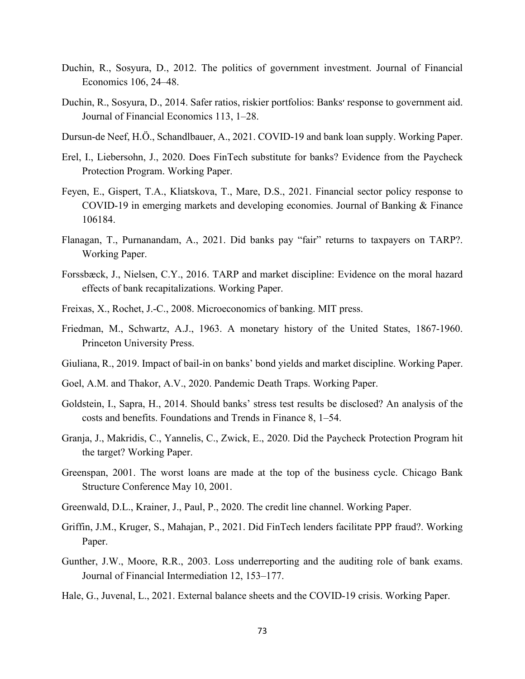- Duchin, R., Sosyura, D., 2012. The politics of government investment. Journal of Financial Economics 106, 24–48.
- Duchin, R., Sosyura, D., 2014. Safer ratios, riskier portfolios: Banks׳ response to government aid. Journal of Financial Economics 113, 1–28.
- Dursun-de Neef, H.Ö., Schandlbauer, A., 2021. COVID-19 and bank loan supply. Working Paper.
- Erel, I., Liebersohn, J., 2020. Does FinTech substitute for banks? Evidence from the Paycheck Protection Program. Working Paper.
- Feyen, E., Gispert, T.A., Kliatskova, T., Mare, D.S., 2021. Financial sector policy response to COVID-19 in emerging markets and developing economies. Journal of Banking & Finance 106184.
- Flanagan, T., Purnanandam, A., 2021. Did banks pay "fair" returns to taxpayers on TARP?. Working Paper.
- Forssbæck, J., Nielsen, C.Y., 2016. TARP and market discipline: Evidence on the moral hazard effects of bank recapitalizations. Working Paper.
- Freixas, X., Rochet, J.-C., 2008. Microeconomics of banking. MIT press.
- Friedman, M., Schwartz, A.J., 1963. A monetary history of the United States, 1867-1960. Princeton University Press.
- Giuliana, R., 2019. Impact of bail-in on banks' bond yields and market discipline. Working Paper.
- Goel, A.M. and Thakor, A.V., 2020. Pandemic Death Traps. Working Paper.
- Goldstein, I., Sapra, H., 2014. Should banks' stress test results be disclosed? An analysis of the costs and benefits. Foundations and Trends in Finance 8, 1–54.
- Granja, J., Makridis, C., Yannelis, C., Zwick, E., 2020. Did the Paycheck Protection Program hit the target? Working Paper.
- Greenspan, 2001. The worst loans are made at the top of the business cycle. Chicago Bank Structure Conference May 10, 2001.
- Greenwald, D.L., Krainer, J., Paul, P., 2020. The credit line channel. Working Paper.
- Griffin, J.M., Kruger, S., Mahajan, P., 2021. Did FinTech lenders facilitate PPP fraud?. Working Paper.
- Gunther, J.W., Moore, R.R., 2003. Loss underreporting and the auditing role of bank exams. Journal of Financial Intermediation 12, 153–177.
- Hale, G., Juvenal, L., 2021. External balance sheets and the COVID-19 crisis. Working Paper.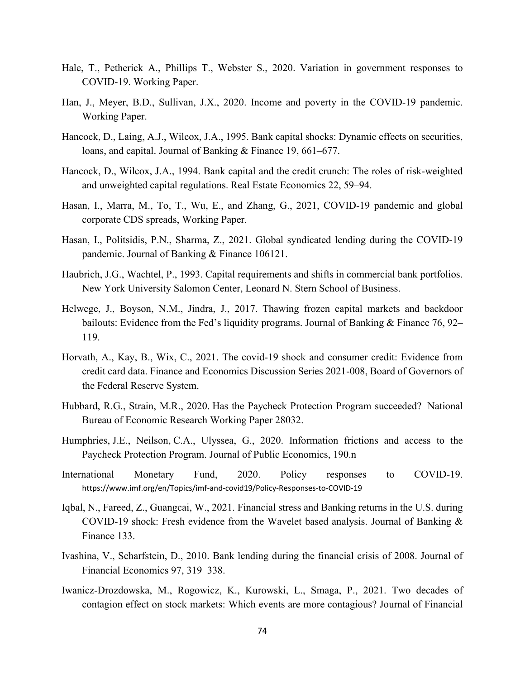- Hale, T., Petherick A., Phillips T., Webster S., 2020. Variation in government responses to COVID-19. Working Paper.
- Han, J., Meyer, B.D., Sullivan, J.X., 2020. Income and poverty in the COVID-19 pandemic. Working Paper.
- Hancock, D., Laing, A.J., Wilcox, J.A., 1995. Bank capital shocks: Dynamic effects on securities, loans, and capital. Journal of Banking & Finance 19, 661–677.
- Hancock, D., Wilcox, J.A., 1994. Bank capital and the credit crunch: The roles of risk-weighted and unweighted capital regulations. Real Estate Economics 22, 59–94.
- Hasan, I., Marra, M., To, T., Wu, E., and Zhang, G., 2021, COVID-19 pandemic and global corporate CDS spreads, Working Paper.
- Hasan, I., Politsidis, P.N., Sharma, Z., 2021. Global syndicated lending during the COVID-19 pandemic. Journal of Banking & Finance 106121.
- Haubrich, J.G., Wachtel, P., 1993. Capital requirements and shifts in commercial bank portfolios. New York University Salomon Center, Leonard N. Stern School of Business.
- Helwege, J., Boyson, N.M., Jindra, J., 2017. Thawing frozen capital markets and backdoor bailouts: Evidence from the Fed's liquidity programs. Journal of Banking & Finance 76, 92– 119.
- Horvath, A., Kay, B., Wix, C., 2021. The covid-19 shock and consumer credit: Evidence from credit card data. Finance and Economics Discussion Series 2021-008, Board of Governors of the Federal Reserve System.
- Hubbard, R.G., Strain, M.R., 2020. Has the Paycheck Protection Program succeeded? National Bureau of Economic Research Working Paper 28032.
- [Humphries,](https://scholar.google.com/citations?user=thdVBWwAAAAJ&hl=en&oi=sra) J.E., [Neilson,](https://scholar.google.com/citations?user=6MZfok0AAAAJ&hl=en&oi=sra) C.A., [Ulyssea,](https://scholar.google.com/citations?user=VdFSRLUAAAAJ&hl=en&oi=sra) G., 2020. [Information frictions and access to the](https://www.sciencedirect.com/science/article/pii/S0047272720301080)  [Paycheck Protection Program.](https://www.sciencedirect.com/science/article/pii/S0047272720301080) Journal of Public Economics, 190.n
- International Monetary Fund, 2020. Policy responses to COVID-19. <https://www.imf.org/en/Topics/imf-and-covid19/Policy-Responses-to-COVID-19>
- Iqbal, N., Fareed, Z., Guangcai, W., 2021. Financial stress and Banking returns in the U.S. during COVID-19 shock: Fresh evidence from the Wavelet based analysis. Journal of Banking  $\&$ Finance 133.
- Ivashina, V., Scharfstein, D., 2010. Bank lending during the financial crisis of 2008. Journal of Financial Economics 97, 319–338.
- Iwanicz-Drozdowska, M., Rogowicz, K., Kurowski, L., Smaga, P., 2021. Two decades of contagion effect on stock markets: Which events are more contagious? Journal of Financial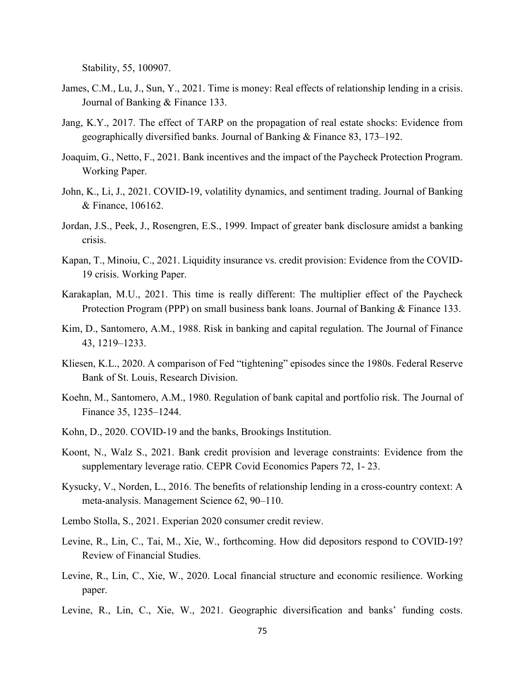Stability, 55, 100907.

- James, C.M., Lu, J., Sun, Y., 2021. Time is money: Real effects of relationship lending in a crisis. Journal of Banking & Finance 133.
- Jang, K.Y., 2017. The effect of TARP on the propagation of real estate shocks: Evidence from geographically diversified banks. Journal of Banking & Finance 83, 173–192.
- Joaquim, G., Netto, F., 2021. Bank incentives and the impact of the Paycheck Protection Program. Working Paper.
- John, K., Li, J., 2021. COVID-19, volatility dynamics, and sentiment trading. Journal of Banking & Finance, 106162.
- Jordan, J.S., Peek, J., Rosengren, E.S., 1999. Impact of greater bank disclosure amidst a banking crisis.
- Kapan, T., Minoiu, C., 2021. Liquidity insurance vs. credit provision: Evidence from the COVID-19 crisis. Working Paper.
- Karakaplan, M.U., 2021. This time is really different: The multiplier effect of the Paycheck Protection Program (PPP) on small business bank loans. Journal of Banking & Finance 133.
- Kim, D., Santomero, A.M., 1988. Risk in banking and capital regulation. The Journal of Finance 43, 1219–1233.
- Kliesen, K.L., 2020. A comparison of Fed "tightening" episodes since the 1980s. Federal Reserve Bank of St. Louis, Research Division.
- Koehn, M., Santomero, A.M., 1980. Regulation of bank capital and portfolio risk. The Journal of Finance 35, 1235–1244.
- Kohn, D., 2020. COVID-19 and the banks, Brookings Institution.
- Koont, N., Walz S., 2021. Bank credit provision and leverage constraints: Evidence from the supplementary leverage ratio. CEPR Covid Economics Papers 72, 1- 23.
- Kysucky, V., Norden, L., 2016. The benefits of relationship lending in a cross-country context: A meta-analysis. Management Science 62, 90–110.
- Lembo Stolla, S., 2021. Experian 2020 consumer credit review.
- Levine, R., Lin, C., Tai, M., Xie, W., forthcoming. How did depositors respond to COVID-19? Review of Financial Studies.
- Levine, R., Lin, C., Xie, W., 2020. Local financial structure and economic resilience. Working paper.
- Levine, R., Lin, C., Xie, W., 2021. Geographic diversification and banks' funding costs.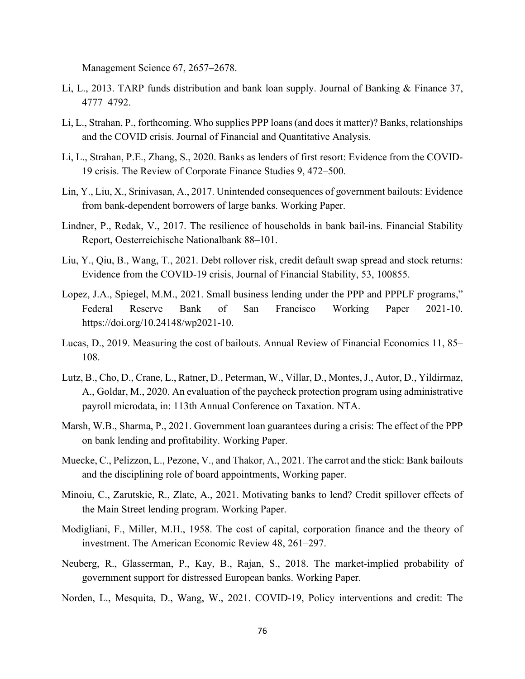Management Science 67, 2657–2678.

- Li, L., 2013. TARP funds distribution and bank loan supply. Journal of Banking & Finance 37, 4777–4792.
- Li, L., Strahan, P., forthcoming. Who supplies PPP loans (and does it matter)? Banks, relationships and the COVID crisis. Journal of Financial and Quantitative Analysis.
- Li, L., Strahan, P.E., Zhang, S., 2020. Banks as lenders of first resort: Evidence from the COVID-19 crisis. The Review of Corporate Finance Studies 9, 472–500.
- Lin, Y., Liu, X., Srinivasan, A., 2017. Unintended consequences of government bailouts: Evidence from bank-dependent borrowers of large banks. Working Paper.
- Lindner, P., Redak, V., 2017. The resilience of households in bank bail-ins. Financial Stability Report, Oesterreichische Nationalbank 88–101.
- Liu, Y., Qiu, B., Wang, T., 2021. Debt rollover risk, credit default swap spread and stock returns: Evidence from the COVID-19 crisis, Journal of Financial Stability, 53, 100855.
- Lopez, J.A., Spiegel, M.M., 2021. Small business lending under the PPP and PPPLF programs," Federal Reserve Bank of San Francisco Working Paper 2021-10. [https://doi.org/10.24148/wp2021-10.](https://doi.org/10.24148/wp2021-10)
- Lucas, D., 2019. Measuring the cost of bailouts. Annual Review of Financial Economics 11, 85– 108.
- Lutz, B., Cho, D., Crane, L., Ratner, D., Peterman, W., Villar, D., Montes, J., Autor, D., Yildirmaz, A., Goldar, M., 2020. An evaluation of the paycheck protection program using administrative payroll microdata, in: 113th Annual Conference on Taxation. NTA.
- Marsh, W.B., Sharma, P., 2021. Government loan guarantees during a crisis: The effect of the PPP on bank lending and profitability. Working Paper.
- Muecke, C., Pelizzon, L., Pezone, V., and Thakor, A., 2021. The carrot and the stick: Bank bailouts and the disciplining role of board appointments, Working paper.
- Minoiu, C., Zarutskie, R., Zlate, A., 2021. Motivating banks to lend? Credit spillover effects of the Main Street lending program. Working Paper.
- Modigliani, F., Miller, M.H., 1958. The cost of capital, corporation finance and the theory of investment. The American Economic Review 48, 261–297.
- Neuberg, R., Glasserman, P., Kay, B., Rajan, S., 2018. The market-implied probability of government support for distressed European banks. Working Paper.
- Norden, L., Mesquita, D., Wang, W., 2021. COVID-19, Policy interventions and credit: The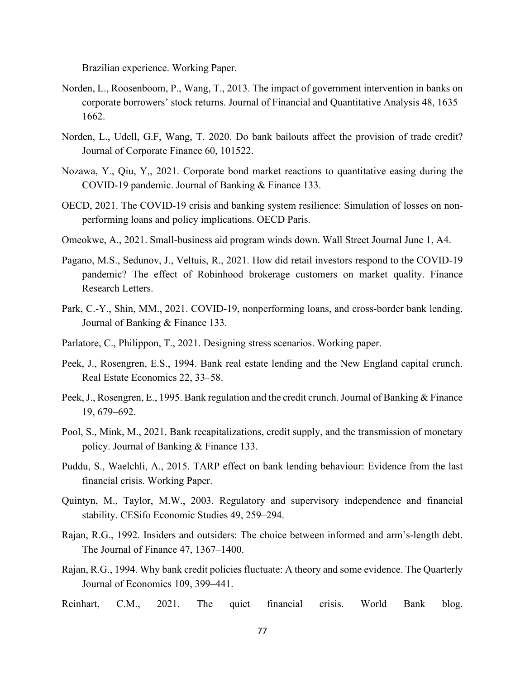Brazilian experience. Working Paper.

- Norden, L., Roosenboom, P., Wang, T., 2013. The impact of government intervention in banks on corporate borrowers' stock returns. Journal of Financial and Quantitative Analysis 48, 1635– 1662.
- Norden, L., Udell, G.F, Wang, T. 2020. Do bank bailouts affect the provision of trade credit? Journal of Corporate Finance 60, 101522.
- Nozawa, Y., Qiu, Y,, 2021. Corporate bond market reactions to quantitative easing during the COVID-19 pandemic. Journal of Banking & Finance 133.
- OECD, 2021. The COVID-19 crisis and banking system resilience: Simulation of losses on nonperforming loans and policy implications. OECD Paris.
- Omeokwe, A., 2021. Small-business aid program winds down. Wall Street Journal June 1, A4.
- Pagano, M.S., Sedunov, J., Veltuis, R., 2021. How did retail investors respond to the COVID-19 pandemic? The effect of Robinhood brokerage customers on market quality. [Finance](https://www.sciencedirect.com/science/journal/15446123)  [Research Letters.](https://www.sciencedirect.com/science/journal/15446123)
- Park, C.-Y., Shin, MM., 2021. COVID-19, nonperforming loans, and cross-border bank lending. Journal of Banking & Finance 133.
- Parlatore, C., Philippon, T., 2021. Designing stress scenarios. Working paper.
- Peek, J., Rosengren, E.S., 1994. Bank real estate lending and the New England capital crunch. Real Estate Economics 22, 33–58.
- Peek, J., Rosengren, E., 1995. Bank regulation and the credit crunch. Journal of Banking & Finance 19, 679–692.
- Pool, S., Mink, M., 2021. Bank recapitalizations, credit supply, and the transmission of monetary policy. Journal of Banking & Finance 133.
- Puddu, S., Waelchli, A., 2015. TARP effect on bank lending behaviour: Evidence from the last financial crisis. Working Paper.
- Quintyn, M., Taylor, M.W., 2003. Regulatory and supervisory independence and financial stability. CESifo Economic Studies 49, 259–294.
- Rajan, R.G., 1992. Insiders and outsiders: The choice between informed and arm's‐length debt. The Journal of Finance 47, 1367–1400.
- Rajan, R.G., 1994. Why bank credit policies fluctuate: A theory and some evidence. The Quarterly Journal of Economics 109, 399–441.
- Reinhart, C.M., 2021. The quiet financial crisis. World Bank blog.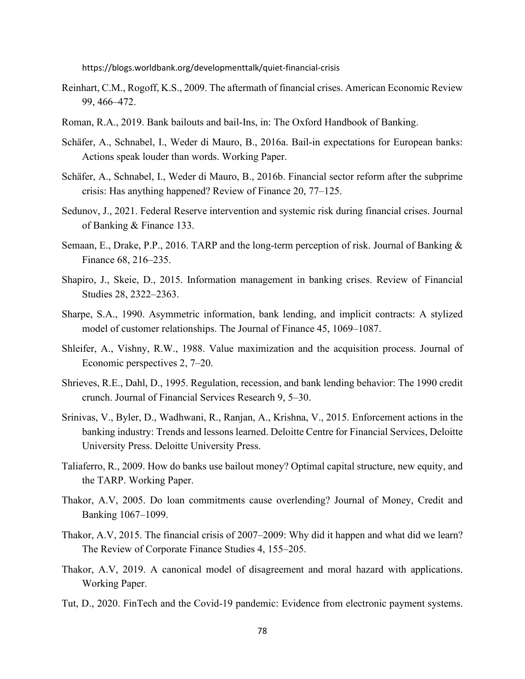<https://blogs.worldbank.org/developmenttalk/quiet-financial-crisis>

- Reinhart, C.M., Rogoff, K.S., 2009. The aftermath of financial crises. American Economic Review 99, 466–472.
- Roman, R.A., 2019. Bank bailouts and bail-Ins, in: The Oxford Handbook of Banking.
- Schäfer, A., Schnabel, I., Weder di Mauro, B., 2016a. Bail-in expectations for European banks: Actions speak louder than words. Working Paper.
- Schäfer, A., Schnabel, I., Weder di Mauro, B., 2016b. Financial sector reform after the subprime crisis: Has anything happened? Review of Finance 20, 77–125.
- Sedunov, J., 2021. Federal Reserve intervention and systemic risk during financial crises. Journal of Banking & Finance 133.
- Semaan, E., Drake, P.P., 2016. TARP and the long-term perception of risk. Journal of Banking & Finance 68, 216–235.
- Shapiro, J., Skeie, D., 2015. Information management in banking crises. Review of Financial Studies 28, 2322–2363.
- Sharpe, S.A., 1990. Asymmetric information, bank lending, and implicit contracts: A stylized model of customer relationships. The Journal of Finance 45, 1069–1087.
- Shleifer, A., Vishny, R.W., 1988. Value maximization and the acquisition process. Journal of Economic perspectives 2, 7–20.
- Shrieves, R.E., Dahl, D., 1995. Regulation, recession, and bank lending behavior: The 1990 credit crunch. Journal of Financial Services Research 9, 5–30.
- Srinivas, V., Byler, D., Wadhwani, R., Ranjan, A., Krishna, V., 2015. Enforcement actions in the banking industry: Trends and lessons learned. Deloitte Centre for Financial Services, Deloitte University Press. Deloitte University Press.
- Taliaferro, R., 2009. How do banks use bailout money? Optimal capital structure, new equity, and the TARP. Working Paper.
- Thakor, A.V, 2005. Do loan commitments cause overlending? Journal of Money, Credit and Banking 1067–1099.
- Thakor, A.V, 2015. The financial crisis of 2007–2009: Why did it happen and what did we learn? The Review of Corporate Finance Studies 4, 155–205.
- Thakor, A.V, 2019. A canonical model of disagreement and moral hazard with applications. Working Paper.
- Tut, D., 2020. FinTech and the Covid-19 pandemic: Evidence from electronic payment systems.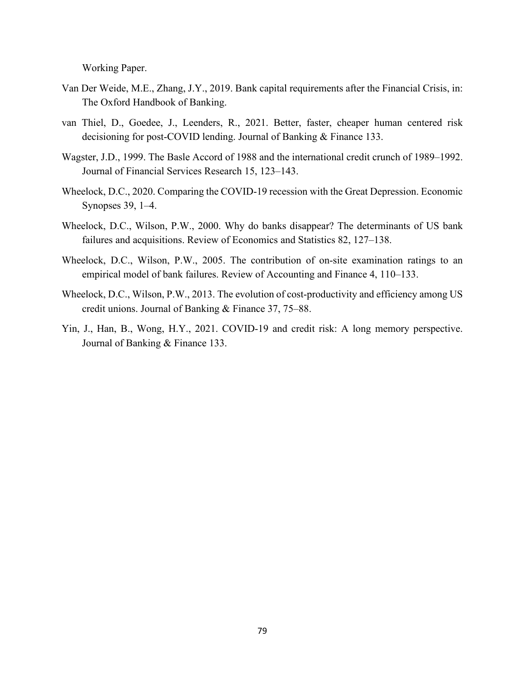Working Paper.

- Van Der Weide, M.E., Zhang, J.Y., 2019. Bank capital requirements after the Financial Crisis, in: The Oxford Handbook of Banking.
- van Thiel, D., Goedee, J., Leenders, R., 2021. Better, faster, cheaper human centered risk decisioning for post-COVID lending. Journal of Banking & Finance 133.
- Wagster, J.D., 1999. The Basle Accord of 1988 and the international credit crunch of 1989–1992. Journal of Financial Services Research 15, 123–143.
- Wheelock, D.C., 2020. Comparing the COVID-19 recession with the Great Depression. Economic Synopses 39, 1–4.
- Wheelock, D.C., Wilson, P.W., 2000. Why do banks disappear? The determinants of US bank failures and acquisitions. Review of Economics and Statistics 82, 127–138.
- Wheelock, D.C., Wilson, P.W., 2005. The contribution of on-site examination ratings to an empirical model of bank failures. Review of Accounting and Finance 4, 110–133.
- Wheelock, D.C., Wilson, P.W., 2013. The evolution of cost-productivity and efficiency among US credit unions. Journal of Banking & Finance 37, 75–88.
- Yin, J., Han, B., Wong, H.Y., 2021. COVID-19 and credit risk: A long memory perspective. Journal of Banking & Finance 133.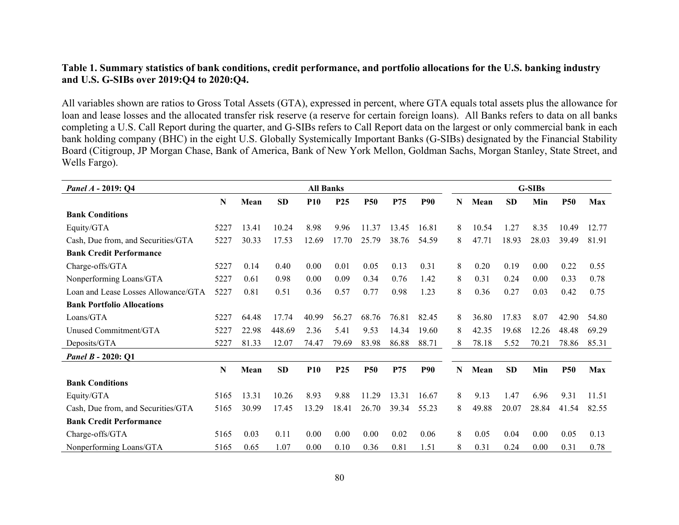## **Table 1. Summary statistics of bank conditions, credit performance, and portfolio allocations for the U.S. banking industry and U.S. G-SIBs over 2019:Q4 to 2020:Q4.**

All variables shown are ratios to Gross Total Assets (GTA), expressed in percent, where GTA equals total assets plus the allowance for loan and lease losses and the allocated transfer risk reserve (a reserve for certain foreign loans). All Banks refers to data on all banks completing a U.S. Call Report during the quarter, and G-SIBs refers to Call Report data on the largest or only commercial bank in each bank holding company (BHC) in the eight U.S. Globally Systemically Important Banks (G-SIBs) designated by the [Financial Stability](https://en.wikipedia.org/wiki/Financial_Stability_Board)  [Board](https://en.wikipedia.org/wiki/Financial_Stability_Board) (Citigroup, JP Morgan Chase, Bank of America, Bank of New York Mellon, Goldman Sachs, Morgan Stanley, State Street, and Wells Fargo).

| Panel A - 2019: Q4                  | <b>All Banks</b> |       |           |            |                 |            |       |            |   | <b>G-SIBs</b> |           |       |            |       |  |  |
|-------------------------------------|------------------|-------|-----------|------------|-----------------|------------|-------|------------|---|---------------|-----------|-------|------------|-------|--|--|
|                                     | N                | Mean  | <b>SD</b> | <b>P10</b> | P <sub>25</sub> | <b>P50</b> | P75   | <b>P90</b> | N | Mean          | <b>SD</b> | Min   | <b>P50</b> | Max   |  |  |
| <b>Bank Conditions</b>              |                  |       |           |            |                 |            |       |            |   |               |           |       |            |       |  |  |
| Equity/GTA                          | 5227             | 13.41 | 10.24     | 8.98       | 9.96            | 11.37      | 13.45 | 16.81      | 8 | 10.54         | 1.27      | 8.35  | 10.49      | 12.77 |  |  |
| Cash, Due from, and Securities/GTA  | 5227             | 30.33 | 17.53     | 12.69      | 17.70           | 25.79      | 38.76 | 54.59      | 8 | 47.71         | 18.93     | 28.03 | 39.49      | 81.91 |  |  |
| <b>Bank Credit Performance</b>      |                  |       |           |            |                 |            |       |            |   |               |           |       |            |       |  |  |
| Charge-offs/GTA                     | 5227             | 0.14  | 0.40      | 0.00       | 0.01            | 0.05       | 0.13  | 0.31       | 8 | 0.20          | 0.19      | 0.00  | 0.22       | 0.55  |  |  |
| Nonperforming Loans/GTA             | 5227             | 0.61  | 0.98      | 0.00       | 0.09            | 0.34       | 0.76  | 1.42       | 8 | 0.31          | 0.24      | 0.00  | 0.33       | 0.78  |  |  |
| Loan and Lease Losses Allowance/GTA | 5227             | 0.81  | 0.51      | 0.36       | 0.57            | 0.77       | 0.98  | 1.23       | 8 | 0.36          | 0.27      | 0.03  | 0.42       | 0.75  |  |  |
| <b>Bank Portfolio Allocations</b>   |                  |       |           |            |                 |            |       |            |   |               |           |       |            |       |  |  |
| Loans/GTA                           | 5227             | 64.48 | 17.74     | 40.99      | 56.27           | 68.76      | 76.81 | 82.45      | 8 | 36.80         | 17.83     | 8.07  | 42.90      | 54.80 |  |  |
| Unused Commitment/GTA               | 5227             | 22.98 | 448.69    | 2.36       | 5.41            | 9.53       | 14.34 | 19.60      | 8 | 42.35         | 19.68     | 12.26 | 48.48      | 69.29 |  |  |
| Deposits/GTA                        | 5227             | 81.33 | 12.07     | 74.47      | 79.69           | 83.98      | 86.88 | 88.71      | 8 | 78.18         | 5.52      | 70.21 | 78.86      | 85.31 |  |  |
| <i>Panel B - 2020: Q1</i>           |                  |       |           |            |                 |            |       |            |   |               |           |       |            |       |  |  |
|                                     | N                | Mean  | SD        | <b>P10</b> | P <sub>25</sub> | <b>P50</b> | P75   | <b>P90</b> | N | Mean          | <b>SD</b> | Min   | <b>P50</b> | Max   |  |  |
| <b>Bank Conditions</b>              |                  |       |           |            |                 |            |       |            |   |               |           |       |            |       |  |  |
| Equity/GTA                          | 5165             | 13.31 | 10.26     | 8.93       | 9.88            | 11.29      | 13.31 | 16.67      | 8 | 9.13          | 1.47      | 6.96  | 9.31       | 11.51 |  |  |
| Cash, Due from, and Securities/GTA  | 5165             | 30.99 | 17.45     | 13.29      | 18.41           | 26.70      | 39.34 | 55.23      | 8 | 49.88         | 20.07     | 28.84 | 41.54      | 82.55 |  |  |
| <b>Bank Credit Performance</b>      |                  |       |           |            |                 |            |       |            |   |               |           |       |            |       |  |  |
| Charge-offs/GTA                     | 5165             | 0.03  | 0.11      | 0.00       | 0.00            | 0.00       | 0.02  | 0.06       | 8 | 0.05          | 0.04      | 0.00  | 0.05       | 0.13  |  |  |
| Nonperforming Loans/GTA             | 5165             | 0.65  | 1.07      | 0.00       | 0.10            | 0.36       | 0.81  | 1.51       | 8 | 0.31          | 0.24      | 0.00  | 0.31       | 0.78  |  |  |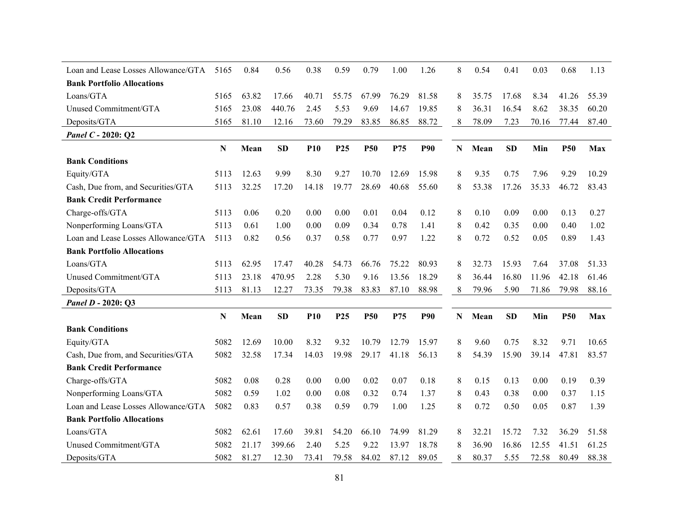| Loan and Lease Losses Allowance/GTA | 5165 | 0.84  | 0.56   | 0.38       | 0.59            | 0.79       | 1.00  | 1.26       | 8 | 0.54  | 0.41      | 0.03  | 0.68       | 1.13  |
|-------------------------------------|------|-------|--------|------------|-----------------|------------|-------|------------|---|-------|-----------|-------|------------|-------|
| <b>Bank Portfolio Allocations</b>   |      |       |        |            |                 |            |       |            |   |       |           |       |            |       |
| Loans/GTA                           | 5165 | 63.82 | 17.66  | 40.71      | 55.75           | 67.99      | 76.29 | 81.58      | 8 | 35.75 | 17.68     | 8.34  | 41.26      | 55.39 |
| Unused Commitment/GTA               | 5165 | 23.08 | 440.76 | 2.45       | 5.53            | 9.69       | 14.67 | 19.85      | 8 | 36.31 | 16.54     | 8.62  | 38.35      | 60.20 |
| Deposits/GTA                        | 5165 | 81.10 | 12.16  | 73.60      | 79.29           | 83.85      | 86.85 | 88.72      | 8 | 78.09 | 7.23      | 70.16 | 77.44      | 87.40 |
| Panel C - 2020: Q2                  |      |       |        |            |                 |            |       |            |   |       |           |       |            |       |
|                                     | N    | Mean  | SD     | <b>P10</b> | P <sub>25</sub> | <b>P50</b> | P75   | <b>P90</b> | N | Mean  | <b>SD</b> | Min   | <b>P50</b> | Max   |
| <b>Bank Conditions</b>              |      |       |        |            |                 |            |       |            |   |       |           |       |            |       |
| Equity/GTA                          | 5113 | 12.63 | 9.99   | 8.30       | 9.27            | 10.70      | 12.69 | 15.98      | 8 | 9.35  | 0.75      | 7.96  | 9.29       | 10.29 |
| Cash, Due from, and Securities/GTA  | 5113 | 32.25 | 17.20  | 14.18      | 19.77           | 28.69      | 40.68 | 55.60      | 8 | 53.38 | 17.26     | 35.33 | 46.72      | 83.43 |
| <b>Bank Credit Performance</b>      |      |       |        |            |                 |            |       |            |   |       |           |       |            |       |
| Charge-offs/GTA                     | 5113 | 0.06  | 0.20   | 0.00       | 0.00            | 0.01       | 0.04  | 0.12       | 8 | 0.10  | 0.09      | 0.00  | 0.13       | 0.27  |
| Nonperforming Loans/GTA             | 5113 | 0.61  | 1.00   | 0.00       | 0.09            | 0.34       | 0.78  | 1.41       | 8 | 0.42  | 0.35      | 0.00  | 0.40       | 1.02  |
| Loan and Lease Losses Allowance/GTA | 5113 | 0.82  | 0.56   | 0.37       | 0.58            | 0.77       | 0.97  | 1.22       | 8 | 0.72  | 0.52      | 0.05  | 0.89       | 1.43  |
| <b>Bank Portfolio Allocations</b>   |      |       |        |            |                 |            |       |            |   |       |           |       |            |       |
| Loans/GTA                           | 5113 | 62.95 | 17.47  | 40.28      | 54.73           | 66.76      | 75.22 | 80.93      | 8 | 32.73 | 15.93     | 7.64  | 37.08      | 51.33 |
| Unused Commitment/GTA               | 5113 | 23.18 | 470.95 | 2.28       | 5.30            | 9.16       | 13.56 | 18.29      | 8 | 36.44 | 16.80     | 11.96 | 42.18      | 61.46 |
| Deposits/GTA                        | 5113 | 81.13 | 12.27  | 73.35      | 79.38           | 83.83      | 87.10 | 88.98      | 8 | 79.96 | 5.90      | 71.86 | 79.98      | 88.16 |
| Panel D - 2020: Q3                  |      |       |        |            |                 |            |       |            |   |       |           |       |            |       |
|                                     | N    | Mean  | SD     | <b>P10</b> | P <sub>25</sub> | <b>P50</b> | P75   | <b>P90</b> | N | Mean  | <b>SD</b> | Min   | <b>P50</b> | Max   |
| <b>Bank Conditions</b>              |      |       |        |            |                 |            |       |            |   |       |           |       |            |       |
| Equity/GTA                          | 5082 | 12.69 | 10.00  | 8.32       | 9.32            | 10.79      | 12.79 | 15.97      | 8 | 9.60  | 0.75      | 8.32  | 9.71       | 10.65 |
| Cash, Due from, and Securities/GTA  | 5082 | 32.58 | 17.34  | 14.03      | 19.98           | 29.17      | 41.18 | 56.13      | 8 | 54.39 | 15.90     | 39.14 | 47.81      | 83.57 |
| <b>Bank Credit Performance</b>      |      |       |        |            |                 |            |       |            |   |       |           |       |            |       |
| Charge-offs/GTA                     | 5082 | 0.08  | 0.28   | 0.00       | 0.00            | 0.02       | 0.07  | 0.18       | 8 | 0.15  | 0.13      | 0.00  | 0.19       | 0.39  |
| Nonperforming Loans/GTA             | 5082 | 0.59  | 1.02   | 0.00       | 0.08            | 0.32       | 0.74  | 1.37       | 8 | 0.43  | 0.38      | 0.00  | 0.37       | 1.15  |
| Loan and Lease Losses Allowance/GTA | 5082 | 0.83  | 0.57   | 0.38       | 0.59            | 0.79       | 1.00  | 1.25       | 8 | 0.72  | 0.50      | 0.05  | 0.87       | 1.39  |
| <b>Bank Portfolio Allocations</b>   |      |       |        |            |                 |            |       |            |   |       |           |       |            |       |
| Loans/GTA                           | 5082 | 62.61 | 17.60  | 39.81      | 54.20           | 66.10      | 74.99 | 81.29      | 8 | 32.21 | 15.72     | 7.32  | 36.29      | 51.58 |
| Unused Commitment/GTA               | 5082 | 21.17 | 399.66 | 2.40       | 5.25            | 9.22       | 13.97 | 18.78      | 8 | 36.90 | 16.86     | 12.55 | 41.51      | 61.25 |
| Deposits/GTA                        | 5082 | 81.27 | 12.30  | 73.41      | 79.58           | 84.02      | 87.12 | 89.05      | 8 | 80.37 | 5.55      | 72.58 | 80.49      | 88.38 |